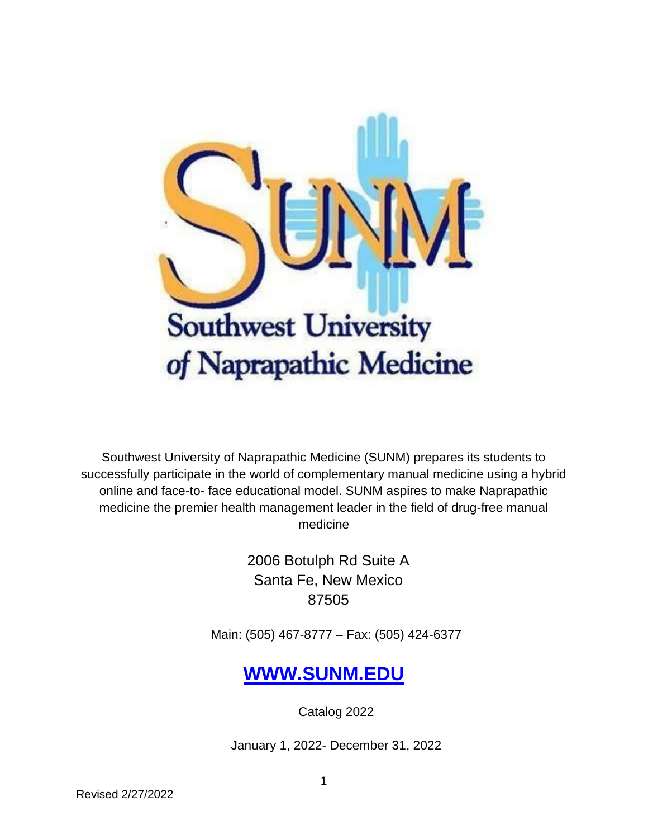

Southwest University of Naprapathic Medicine (SUNM) prepares its students to successfully participate in the world of complementary manual medicine using a hybrid online and face-to- face educational model. SUNM aspires to make Naprapathic medicine the premier health management leader in the field of drug-free manual medicine

> 2006 Botulph Rd Suite A Santa Fe, New Mexico 87505

Main: (505) 467-8777 – Fax: (505) 424-6377

# **[WWW.SUNM.EDU](http://www.sunm.edu/)**

Catalog 2022

January 1, 2022- December 31, 2022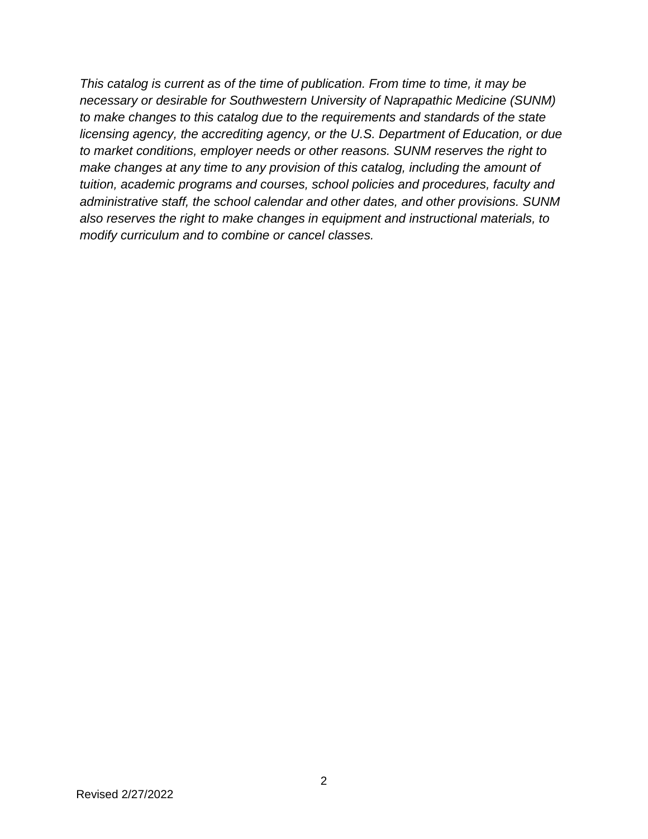*This catalog is current as of the time of publication. From time to time, it may be necessary or desirable for Southwestern University of Naprapathic Medicine (SUNM) to make changes to this catalog due to the requirements and standards of the state licensing agency, the accrediting agency, or the U.S. Department of Education, or due to market conditions, employer needs or other reasons. SUNM reserves the right to make changes at any time to any provision of this catalog, including the amount of tuition, academic programs and courses, school policies and procedures, faculty and administrative staff, the school calendar and other dates, and other provisions. SUNM also reserves the right to make changes in equipment and instructional materials, to modify curriculum and to combine or cancel classes.*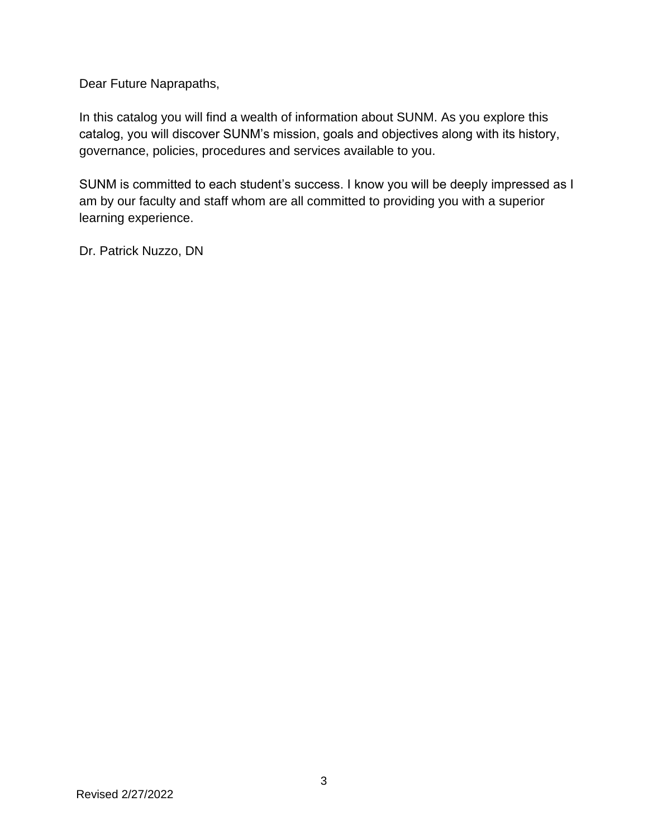Dear Future Naprapaths,

In this catalog you will find a wealth of information about SUNM. As you explore this catalog, you will discover SUNM's mission, goals and objectives along with its history, governance, policies, procedures and services available to you.

SUNM is committed to each student's success. I know you will be deeply impressed as I am by our faculty and staff whom are all committed to providing you with a superior learning experience.

Dr. Patrick Nuzzo, DN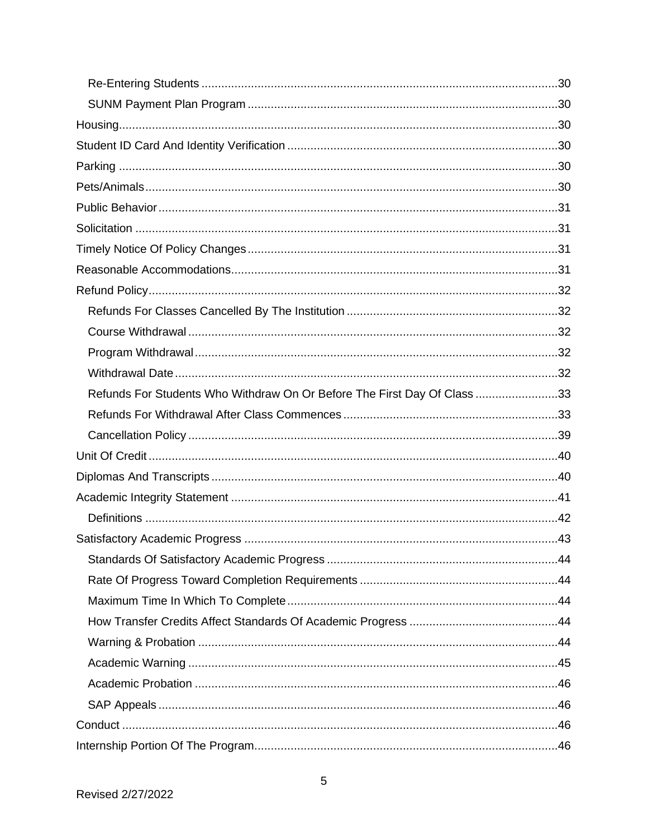| Refunds For Students Who Withdraw On Or Before The First Day Of Class 33 |  |
|--------------------------------------------------------------------------|--|
|                                                                          |  |
|                                                                          |  |
|                                                                          |  |
|                                                                          |  |
|                                                                          |  |
|                                                                          |  |
|                                                                          |  |
|                                                                          |  |
|                                                                          |  |
|                                                                          |  |
|                                                                          |  |
|                                                                          |  |
|                                                                          |  |
|                                                                          |  |
|                                                                          |  |
|                                                                          |  |
|                                                                          |  |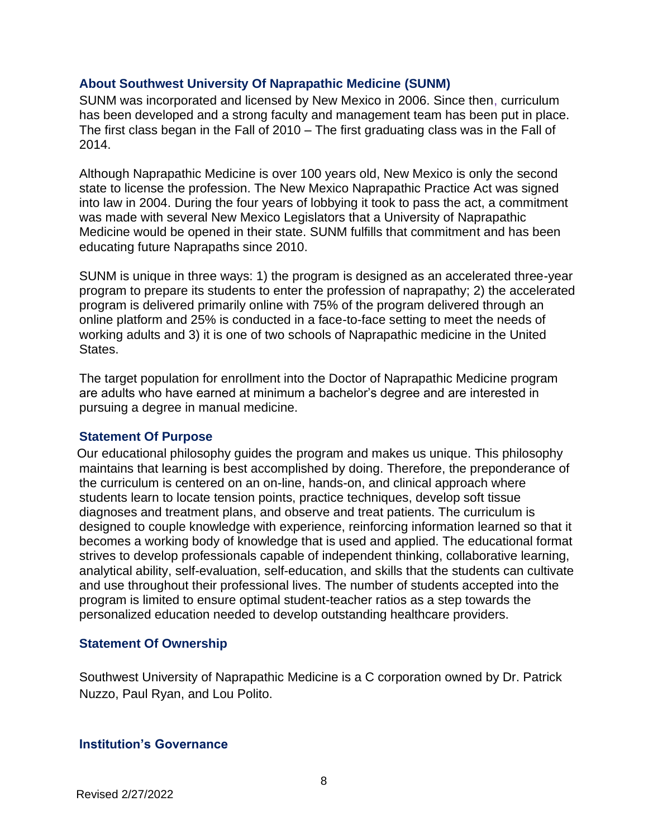#### <span id="page-7-0"></span>**About Southwest University Of Naprapathic Medicine (SUNM)**

SUNM was incorporated and licensed by New Mexico in 2006. Since then, curriculum has been developed and a strong faculty and management team has been put in place. The first class began in the Fall of 2010 – The first graduating class was in the Fall of 2014.

Although Naprapathic Medicine is over 100 years old, New Mexico is only the second state to license the profession. The New Mexico Naprapathic Practice Act was signed into law in 2004. During the four years of lobbying it took to pass the act, a commitment was made with several New Mexico Legislators that a University of Naprapathic Medicine would be opened in their state. SUNM fulfills that commitment and has been educating future Naprapaths since 2010.

SUNM is unique in three ways: 1) the program is designed as an accelerated three-year program to prepare its students to enter the profession of naprapathy; 2) the accelerated program is delivered primarily online with 75% of the program delivered through an online platform and 25% is conducted in a face-to-face setting to meet the needs of working adults and 3) it is one of two schools of Naprapathic medicine in the United States.

The target population for enrollment into the Doctor of Naprapathic Medicine program are adults who have earned at minimum a bachelor's degree and are interested in pursuing a degree in manual medicine.

#### <span id="page-7-1"></span>**Statement Of Purpose**

Our educational philosophy guides the program and makes us unique. This philosophy maintains that learning is best accomplished by doing. Therefore, the preponderance of the curriculum is centered on an on-line, hands-on, and clinical approach where students learn to locate tension points, practice techniques, develop soft tissue diagnoses and treatment plans, and observe and treat patients. The curriculum is designed to couple knowledge with experience, reinforcing information learned so that it becomes a working body of knowledge that is used and applied. The educational format strives to develop professionals capable of independent thinking, collaborative learning, analytical ability, self-evaluation, self-education, and skills that the students can cultivate and use throughout their professional lives. The number of students accepted into the program is limited to ensure optimal student-teacher ratios as a step towards the personalized education needed to develop outstanding healthcare providers.

#### <span id="page-7-2"></span>**Statement Of Ownership**

Southwest University of Naprapathic Medicine is a C corporation owned by Dr. Patrick Nuzzo, Paul Ryan, and Lou Polito.

#### <span id="page-7-3"></span>**Institution's Governance**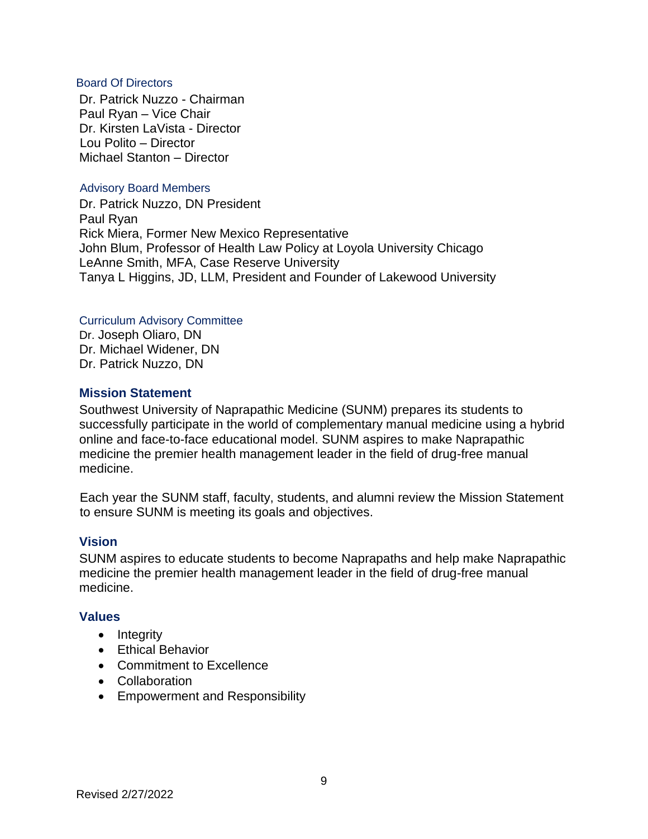#### <span id="page-8-0"></span>Board Of Directors

Dr. Patrick Nuzzo - Chairman Paul Ryan – Vice Chair Dr. Kirsten LaVista - Director Lou Polito – Director Michael Stanton – Director

#### Advisory Board Members

Dr. Patrick Nuzzo, DN President Paul Ryan Rick Miera, Former New Mexico Representative John Blum, Professor of Health Law Policy at Loyola University Chicago LeAnne Smith, MFA, Case Reserve University Tanya L Higgins, JD, LLM, President and Founder of Lakewood University

#### Curriculum Advisory Committee

Dr. Joseph Oliaro, DN Dr. Michael Widener, DN Dr. Patrick Nuzzo, DN

## <span id="page-8-1"></span>**Mission Statement**

Southwest University of Naprapathic Medicine (SUNM) prepares its students to successfully participate in the world of complementary manual medicine using a hybrid online and face-to-face educational model. SUNM aspires to make Naprapathic medicine the premier health management leader in the field of drug-free manual medicine.

Each year the SUNM staff, faculty, students, and alumni review the Mission Statement to ensure SUNM is meeting its goals and objectives.

## <span id="page-8-2"></span>**Vision**

SUNM aspires to educate students to become Naprapaths and help make Naprapathic medicine the premier health management leader in the field of drug-free manual medicine.

#### <span id="page-8-3"></span>**Values**

- Integrity
- Ethical Behavior
- Commitment to Excellence
- Collaboration
- Empowerment and Responsibility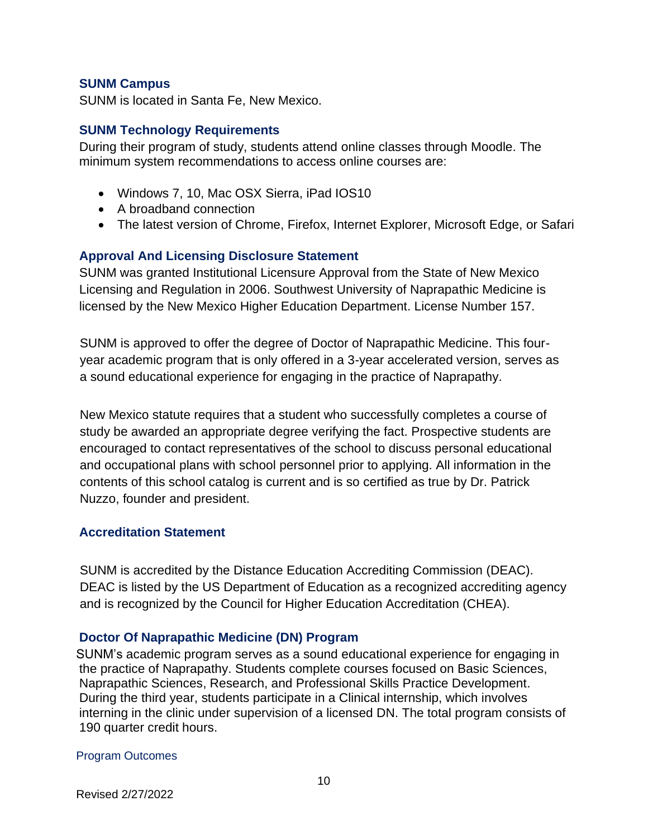## <span id="page-9-0"></span>**SUNM Campus**

SUNM is located in Santa Fe, New Mexico.

## <span id="page-9-1"></span>**SUNM Technology Requirements**

During their program of study, students attend online classes through Moodle. The minimum system recommendations to access online courses are:

- Windows 7, 10, Mac OSX Sierra, iPad IOS10
- A broadband connection
- The latest version of Chrome, Firefox, Internet Explorer, Microsoft Edge, or Safari

## <span id="page-9-2"></span>**Approval And Licensing Disclosure Statement**

SUNM was granted Institutional Licensure Approval from the State of New Mexico Licensing and Regulation in 2006. Southwest University of Naprapathic Medicine is licensed by the New Mexico Higher Education Department. License Number 157.

SUNM is approved to offer the degree of Doctor of Naprapathic Medicine. This fouryear academic program that is only offered in a 3-year accelerated version, serves as a sound educational experience for engaging in the practice of Naprapathy.

New Mexico statute requires that a student who successfully completes a course of study be awarded an appropriate degree verifying the fact. Prospective students are encouraged to contact representatives of the school to discuss personal educational and occupational plans with school personnel prior to applying. All information in the contents of this school catalog is current and is so certified as true by Dr. Patrick Nuzzo, founder and president.

#### <span id="page-9-3"></span>**Accreditation Statement**

SUNM is accredited by the Distance Education Accrediting Commission (DEAC). DEAC is listed by the US Department of Education as a recognized accrediting agency and is recognized by the Council for Higher Education Accreditation (CHEA).

## <span id="page-9-4"></span>**Doctor Of Naprapathic Medicine (DN) Program**

SUNM's academic program serves as a sound educational experience for engaging in the practice of Naprapathy. Students complete courses focused on Basic Sciences, Naprapathic Sciences, Research, and Professional Skills Practice Development. During the third year, students participate in a Clinical internship, which involves interning in the clinic under supervision of a licensed DN. The total program consists of 190 quarter credit hours.

#### <span id="page-9-5"></span>Program Outcomes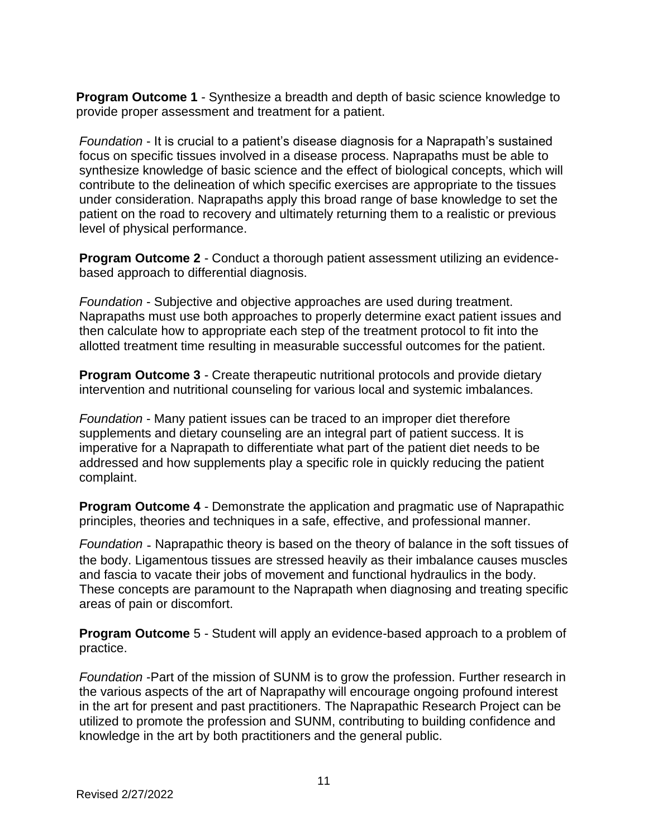**Program Outcome 1** - Synthesize a breadth and depth of basic science knowledge to provide proper assessment and treatment for a patient.

*Foundation* - It is crucial to a patient's disease diagnosis for a Naprapath's sustained focus on specific tissues involved in a disease process. Naprapaths must be able to synthesize knowledge of basic science and the effect of biological concepts, which will contribute to the delineation of which specific exercises are appropriate to the tissues under consideration. Naprapaths apply this broad range of base knowledge to set the patient on the road to recovery and ultimately returning them to a realistic or previous level of physical performance.

**Program Outcome 2** - Conduct a thorough patient assessment utilizing an evidencebased approach to differential diagnosis.

*Foundation* - Subjective and objective approaches are used during treatment. Naprapaths must use both approaches to properly determine exact patient issues and then calculate how to appropriate each step of the treatment protocol to fit into the allotted treatment time resulting in measurable successful outcomes for the patient.

**Program Outcome 3** - Create therapeutic nutritional protocols and provide dietary intervention and nutritional counseling for various local and systemic imbalances.

*Foundation* - Many patient issues can be traced to an improper diet therefore supplements and dietary counseling are an integral part of patient success. It is imperative for a Naprapath to differentiate what part of the patient diet needs to be addressed and how supplements play a specific role in quickly reducing the patient complaint.

**Program Outcome 4** - Demonstrate the application and pragmatic use of Naprapathic principles, theories and techniques in a safe, effective, and professional manner.

*Foundation* - Naprapathic theory is based on the theory of balance in the soft tissues of the body. Ligamentous tissues are stressed heavily as their imbalance causes muscles and fascia to vacate their jobs of movement and functional hydraulics in the body. These concepts are paramount to the Naprapath when diagnosing and treating specific areas of pain or discomfort.

**Program Outcome** 5 - Student will apply an evidence-based approach to a problem of practice.

*Foundation* -Part of the mission of SUNM is to grow the profession. Further research in the various aspects of the art of Naprapathy will encourage ongoing profound interest in the art for present and past practitioners. The Naprapathic Research Project can be utilized to promote the profession and SUNM, contributing to building confidence and knowledge in the art by both practitioners and the general public.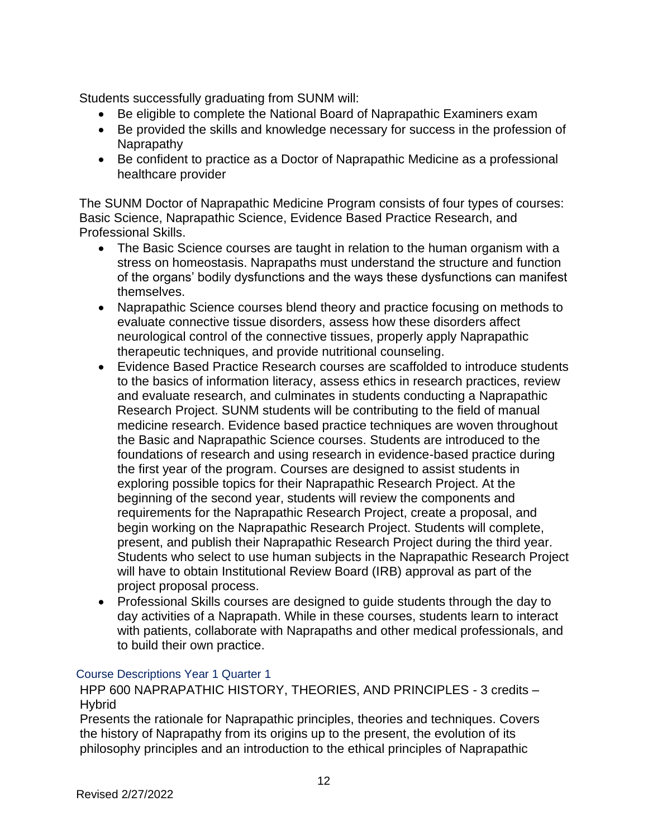Students successfully graduating from SUNM will:

- Be eligible to complete the National Board of Naprapathic Examiners exam
- Be provided the skills and knowledge necessary for success in the profession of Naprapathy
- Be confident to practice as a Doctor of Naprapathic Medicine as a professional healthcare provider

The SUNM Doctor of Naprapathic Medicine Program consists of four types of courses: Basic Science, Naprapathic Science, Evidence Based Practice Research, and Professional Skills.

- The Basic Science courses are taught in relation to the human organism with a stress on homeostasis. Naprapaths must understand the structure and function of the organs' bodily dysfunctions and the ways these dysfunctions can manifest themselves.
- Naprapathic Science courses blend theory and practice focusing on methods to evaluate connective tissue disorders, assess how these disorders affect neurological control of the connective tissues, properly apply Naprapathic therapeutic techniques, and provide nutritional counseling.
- Evidence Based Practice Research courses are scaffolded to introduce students to the basics of information literacy, assess ethics in research practices, review and evaluate research, and culminates in students conducting a Naprapathic Research Project. SUNM students will be contributing to the field of manual medicine research. Evidence based practice techniques are woven throughout the Basic and Naprapathic Science courses. Students are introduced to the foundations of research and using research in evidence-based practice during the first year of the program. Courses are designed to assist students in exploring possible topics for their Naprapathic Research Project. At the beginning of the second year, students will review the components and requirements for the Naprapathic Research Project, create a proposal, and begin working on the Naprapathic Research Project. Students will complete, present, and publish their Naprapathic Research Project during the third year. Students who select to use human subjects in the Naprapathic Research Project will have to obtain Institutional Review Board (IRB) approval as part of the project proposal process.
- Professional Skills courses are designed to guide students through the day to day activities of a Naprapath. While in these courses, students learn to interact with patients, collaborate with Naprapaths and other medical professionals, and to build their own practice.

## <span id="page-11-0"></span>Course Descriptions Year 1 Quarter 1

HPP 600 NAPRAPATHIC HISTORY, THEORIES, AND PRINCIPLES - 3 credits – **Hybrid** 

Presents the rationale for Naprapathic principles, theories and techniques. Covers the history of Naprapathy from its origins up to the present, the evolution of its philosophy principles and an introduction to the ethical principles of Naprapathic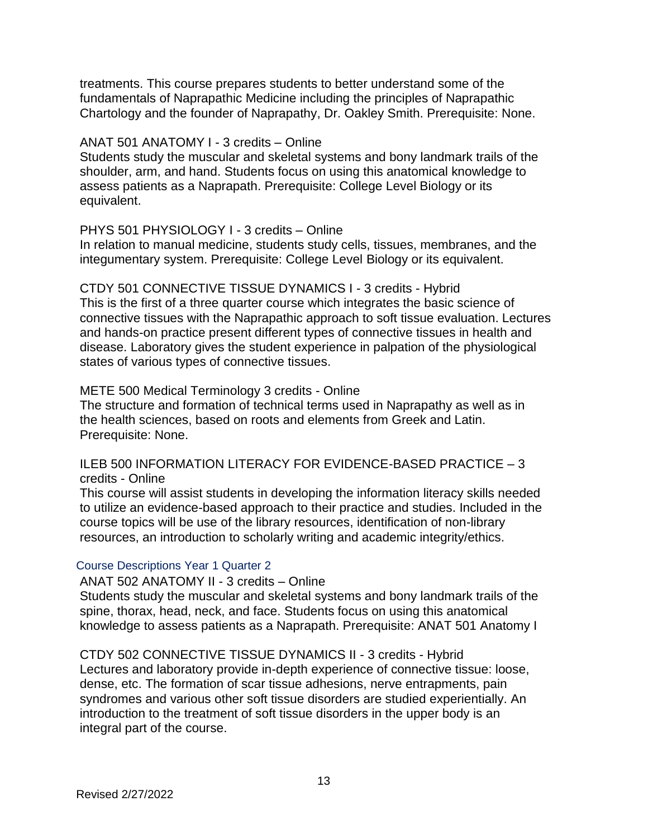treatments. This course prepares students to better understand some of the fundamentals of Naprapathic Medicine including the principles of Naprapathic Chartology and the founder of Naprapathy, Dr. Oakley Smith. Prerequisite: None.

#### ANAT 501 ANATOMY I - 3 credits – Online

Students study the muscular and skeletal systems and bony landmark trails of the shoulder, arm, and hand. Students focus on using this anatomical knowledge to assess patients as a Naprapath. Prerequisite: College Level Biology or its equivalent.

## PHYS 501 PHYSIOLOGY I - 3 credits – Online

In relation to manual medicine, students study cells, tissues, membranes, and the integumentary system. Prerequisite: College Level Biology or its equivalent.

CTDY 501 CONNECTIVE TISSUE DYNAMICS I - 3 credits - Hybrid This is the first of a three quarter course which integrates the basic science of connective tissues with the Naprapathic approach to soft tissue evaluation. Lectures and hands-on practice present different types of connective tissues in health and disease. Laboratory gives the student experience in palpation of the physiological states of various types of connective tissues.

#### METE 500 Medical Terminology 3 credits - Online

The structure and formation of technical terms used in Naprapathy as well as in the health sciences, based on roots and elements from Greek and Latin. Prerequisite: None.

#### ILEB 500 INFORMATION LITERACY FOR EVIDENCE-BASED PRACTICE – 3 credits - Online

This course will assist students in developing the information literacy skills needed to utilize an evidence-based approach to their practice and studies. Included in the course topics will be use of the library resources, identification of non-library resources, an introduction to scholarly writing and academic integrity/ethics.

## <span id="page-12-0"></span>Course Descriptions Year 1 Quarter 2

ANAT 502 ANATOMY II - 3 credits – Online

Students study the muscular and skeletal systems and bony landmark trails of the spine, thorax, head, neck, and face. Students focus on using this anatomical knowledge to assess patients as a Naprapath. Prerequisite: ANAT 501 Anatomy I

CTDY 502 CONNECTIVE TISSUE DYNAMICS II - 3 credits - Hybrid Lectures and laboratory provide in-depth experience of connective tissue: loose, dense, etc. The formation of scar tissue adhesions, nerve entrapments, pain syndromes and various other soft tissue disorders are studied experientially. An introduction to the treatment of soft tissue disorders in the upper body is an integral part of the course.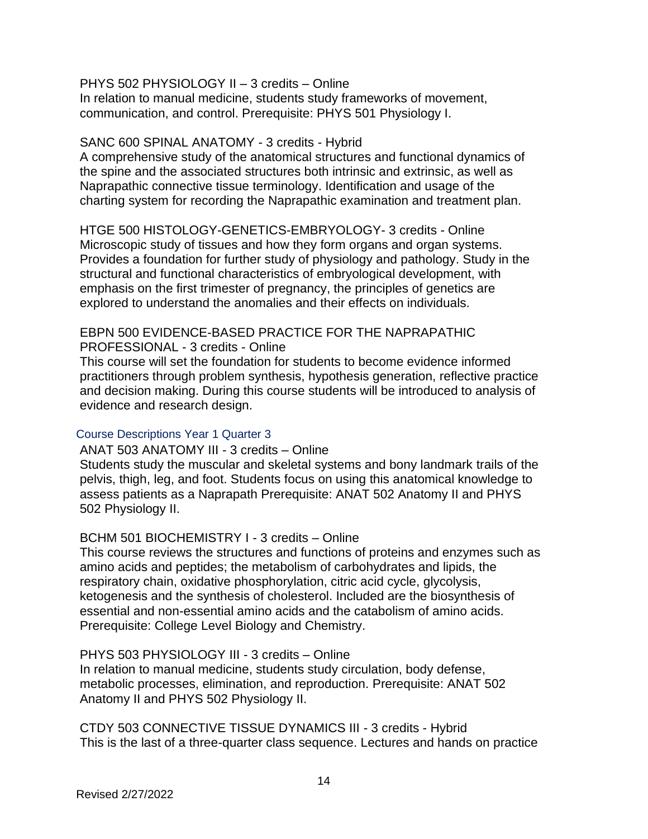#### PHYS 502 PHYSIOLOGY II – 3 credits – Online

In relation to manual medicine, students study frameworks of movement, communication, and control. Prerequisite: PHYS 501 Physiology I.

#### SANC 600 SPINAL ANATOMY - 3 credits - Hybrid

A comprehensive study of the anatomical structures and functional dynamics of the spine and the associated structures both intrinsic and extrinsic, as well as Naprapathic connective tissue terminology. Identification and usage of the charting system for recording the Naprapathic examination and treatment plan.

HTGE 500 HISTOLOGY-GENETICS-EMBRYOLOGY- 3 credits - Online Microscopic study of tissues and how they form organs and organ systems. Provides a foundation for further study of physiology and pathology. Study in the structural and functional characteristics of embryological development, with emphasis on the first trimester of pregnancy, the principles of genetics are explored to understand the anomalies and their effects on individuals.

## EBPN 500 EVIDENCE-BASED PRACTICE FOR THE NAPRAPATHIC PROFESSIONAL - 3 credits - Online

This course will set the foundation for students to become evidence informed practitioners through problem synthesis, hypothesis generation, reflective practice and decision making. During this course students will be introduced to analysis of evidence and research design.

## <span id="page-13-0"></span>Course Descriptions Year 1 Quarter 3

ANAT 503 ANATOMY III - 3 credits – Online Students study the muscular and skeletal systems and bony landmark trails of the pelvis, thigh, leg, and foot. Students focus on using this anatomical knowledge to assess patients as a Naprapath Prerequisite: ANAT 502 Anatomy II and PHYS 502 Physiology II.

## BCHM 501 BIOCHEMISTRY I - 3 credits – Online

This course reviews the structures and functions of proteins and enzymes such as amino acids and peptides; the metabolism of carbohydrates and lipids, the respiratory chain, oxidative phosphorylation, citric acid cycle, glycolysis, ketogenesis and the synthesis of cholesterol. Included are the biosynthesis of essential and non-essential amino acids and the catabolism of amino acids. Prerequisite: College Level Biology and Chemistry.

PHYS 503 PHYSIOLOGY III - 3 credits – Online

In relation to manual medicine, students study circulation, body defense, metabolic processes, elimination, and reproduction. Prerequisite: ANAT 502 Anatomy II and PHYS 502 Physiology II.

CTDY 503 CONNECTIVE TISSUE DYNAMICS III - 3 credits - Hybrid This is the last of a three-quarter class sequence. Lectures and hands on practice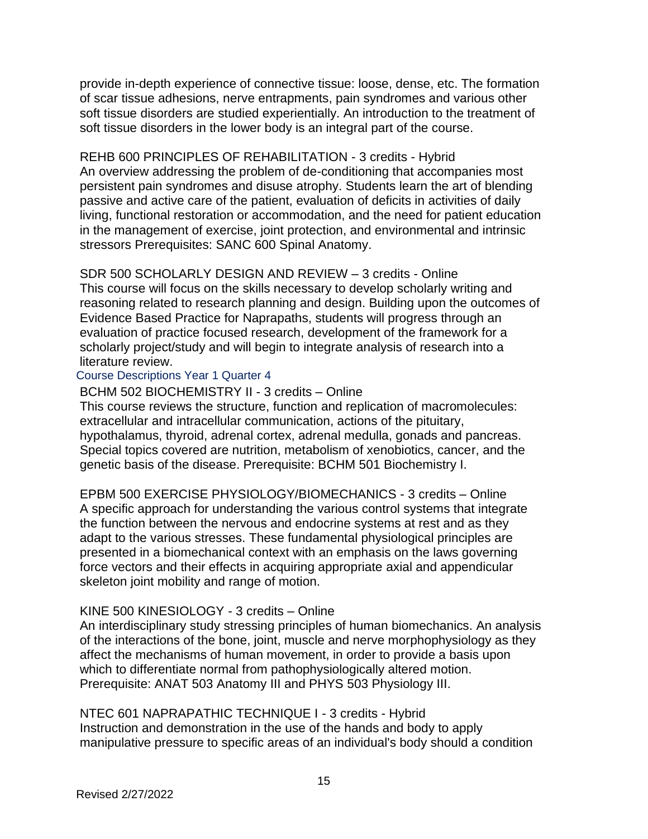provide in-depth experience of connective tissue: loose, dense, etc. The formation of scar tissue adhesions, nerve entrapments, pain syndromes and various other soft tissue disorders are studied experientially. An introduction to the treatment of soft tissue disorders in the lower body is an integral part of the course.

REHB 600 PRINCIPLES OF REHABILITATION - 3 credits - Hybrid An overview addressing the problem of de-conditioning that accompanies most persistent pain syndromes and disuse atrophy. Students learn the art of blending passive and active care of the patient, evaluation of deficits in activities of daily living, functional restoration or accommodation, and the need for patient education in the management of exercise, joint protection, and environmental and intrinsic stressors Prerequisites: SANC 600 Spinal Anatomy.

## SDR 500 SCHOLARLY DESIGN AND REVIEW – 3 credits - Online

This course will focus on the skills necessary to develop scholarly writing and reasoning related to research planning and design. Building upon the outcomes of Evidence Based Practice for Naprapaths, students will progress through an evaluation of practice focused research, development of the framework for a scholarly project/study and will begin to integrate analysis of research into a literature review.

#### <span id="page-14-0"></span>Course Descriptions Year 1 Quarter 4

BCHM 502 BIOCHEMISTRY II - 3 credits – Online

This course reviews the structure, function and replication of macromolecules: extracellular and intracellular communication, actions of the pituitary, hypothalamus, thyroid, adrenal cortex, adrenal medulla, gonads and pancreas. Special topics covered are nutrition, metabolism of xenobiotics, cancer, and the genetic basis of the disease. Prerequisite: BCHM 501 Biochemistry I.

EPBM 500 EXERCISE PHYSIOLOGY/BIOMECHANICS - 3 credits – Online A specific approach for understanding the various control systems that integrate the function between the nervous and endocrine systems at rest and as they adapt to the various stresses. These fundamental physiological principles are presented in a biomechanical context with an emphasis on the laws governing force vectors and their effects in acquiring appropriate axial and appendicular skeleton joint mobility and range of motion.

## KINE 500 KINESIOLOGY - 3 credits – Online

An interdisciplinary study stressing principles of human biomechanics. An analysis of the interactions of the bone, joint, muscle and nerve morphophysiology as they affect the mechanisms of human movement, in order to provide a basis upon which to differentiate normal from pathophysiologically altered motion. Prerequisite: ANAT 503 Anatomy III and PHYS 503 Physiology III.

NTEC 601 NAPRAPATHIC TECHNIQUE I - 3 credits - Hybrid Instruction and demonstration in the use of the hands and body to apply manipulative pressure to specific areas of an individual's body should a condition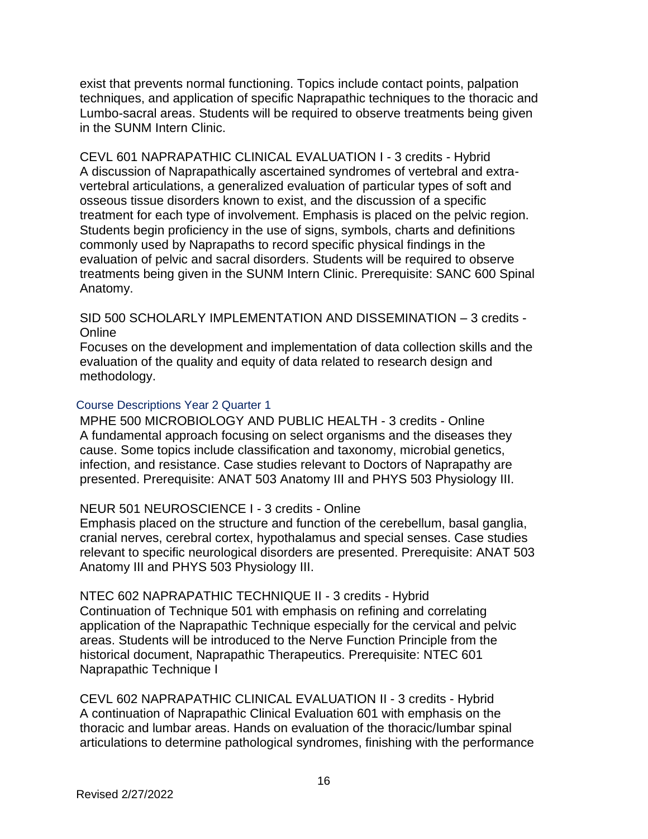exist that prevents normal functioning. Topics include contact points, palpation techniques, and application of specific Naprapathic techniques to the thoracic and Lumbo-sacral areas. Students will be required to observe treatments being given in the SUNM Intern Clinic.

CEVL 601 NAPRAPATHIC CLINICAL EVALUATION I - 3 credits - Hybrid A discussion of Naprapathically ascertained syndromes of vertebral and extravertebral articulations, a generalized evaluation of particular types of soft and osseous tissue disorders known to exist, and the discussion of a specific treatment for each type of involvement. Emphasis is placed on the pelvic region. Students begin proficiency in the use of signs, symbols, charts and definitions commonly used by Naprapaths to record specific physical findings in the evaluation of pelvic and sacral disorders. Students will be required to observe treatments being given in the SUNM Intern Clinic. Prerequisite: SANC 600 Spinal Anatomy.

SID 500 SCHOLARLY IMPLEMENTATION AND DISSEMINATION – 3 credits - **Online** 

Focuses on the development and implementation of data collection skills and the evaluation of the quality and equity of data related to research design and methodology.

#### <span id="page-15-0"></span>Course Descriptions Year 2 Quarter 1

MPHE 500 MICROBIOLOGY AND PUBLIC HEALTH - 3 credits - Online A fundamental approach focusing on select organisms and the diseases they cause. Some topics include classification and taxonomy, microbial genetics, infection, and resistance. Case studies relevant to Doctors of Naprapathy are presented. Prerequisite: ANAT 503 Anatomy III and PHYS 503 Physiology III.

## NEUR 501 NEUROSCIENCE I - 3 credits - Online

Emphasis placed on the structure and function of the cerebellum, basal ganglia, cranial nerves, cerebral cortex, hypothalamus and special senses. Case studies relevant to specific neurological disorders are presented. Prerequisite: ANAT 503 Anatomy III and PHYS 503 Physiology III.

NTEC 602 NAPRAPATHIC TECHNIQUE II - 3 credits - Hybrid

Continuation of Technique 501 with emphasis on refining and correlating application of the Naprapathic Technique especially for the cervical and pelvic areas. Students will be introduced to the Nerve Function Principle from the historical document, Naprapathic Therapeutics. Prerequisite: NTEC 601 Naprapathic Technique I

CEVL 602 NAPRAPATHIC CLINICAL EVALUATION II - 3 credits - Hybrid A continuation of Naprapathic Clinical Evaluation 601 with emphasis on the thoracic and lumbar areas. Hands on evaluation of the thoracic/lumbar spinal articulations to determine pathological syndromes, finishing with the performance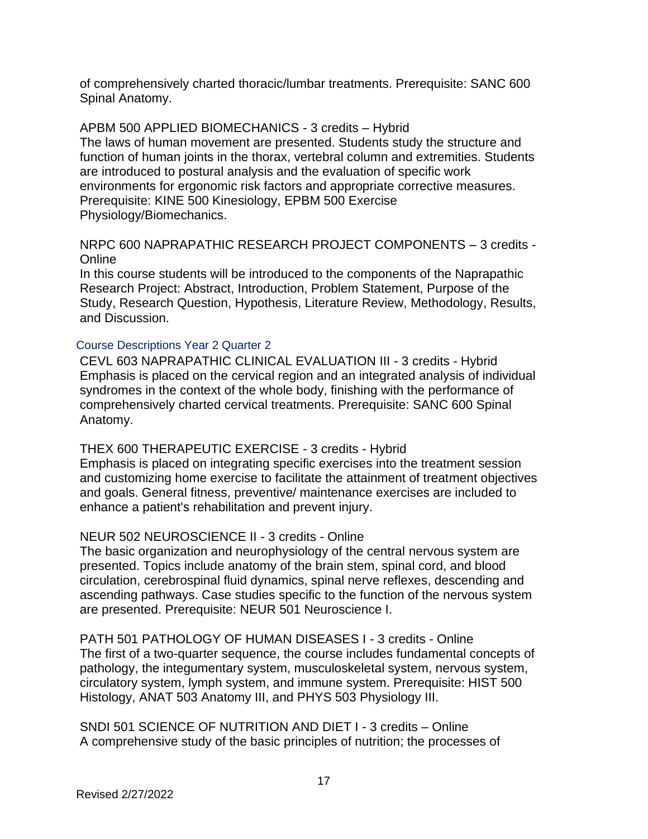of comprehensively charted thoracic/lumbar treatments. Prerequisite: SANC 600 Spinal Anatomy.

## APBM 500 APPLIED BIOMECHANICS - 3 credits – Hybrid

The laws of human movement are presented. Students study the structure and function of human joints in the thorax, vertebral column and extremities. Students are introduced to postural analysis and the evaluation of specific work environments for ergonomic risk factors and appropriate corrective measures. Prerequisite: KINE 500 Kinesiology, EPBM 500 Exercise Physiology/Biomechanics.

## NRPC 600 NAPRAPATHIC RESEARCH PROJECT COMPONENTS – 3 credits - **Online**

In this course students will be introduced to the components of the Naprapathic Research Project: Abstract, Introduction, Problem Statement, Purpose of the Study, Research Question, Hypothesis, Literature Review, Methodology, Results, and Discussion.

## <span id="page-16-0"></span>Course Descriptions Year 2 Quarter 2

CEVL 603 NAPRAPATHIC CLINICAL EVALUATION III - 3 credits - Hybrid Emphasis is placed on the cervical region and an integrated analysis of individual syndromes in the context of the whole body, finishing with the performance of comprehensively charted cervical treatments. Prerequisite: SANC 600 Spinal Anatomy.

# THEX 600 THERAPEUTIC EXERCISE - 3 credits - Hybrid

Emphasis is placed on integrating specific exercises into the treatment session and customizing home exercise to facilitate the attainment of treatment objectives and goals. General fitness, preventive/ maintenance exercises are included to enhance a patient's rehabilitation and prevent injury.

# NEUR 502 NEUROSCIENCE II - 3 credits - Online

The basic organization and neurophysiology of the central nervous system are presented. Topics include anatomy of the brain stem, spinal cord, and blood circulation, cerebrospinal fluid dynamics, spinal nerve reflexes, descending and ascending pathways. Case studies specific to the function of the nervous system are presented. Prerequisite: NEUR 501 Neuroscience I.

PATH 501 PATHOLOGY OF HUMAN DISEASES I - 3 credits - Online The first of a two-quarter sequence, the course includes fundamental concepts of pathology, the integumentary system, musculoskeletal system, nervous system, circulatory system, lymph system, and immune system. Prerequisite: HIST 500 Histology, ANAT 503 Anatomy III, and PHYS 503 Physiology III.

SNDI 501 SCIENCE OF NUTRITION AND DIET I - 3 credits – Online A comprehensive study of the basic principles of nutrition; the processes of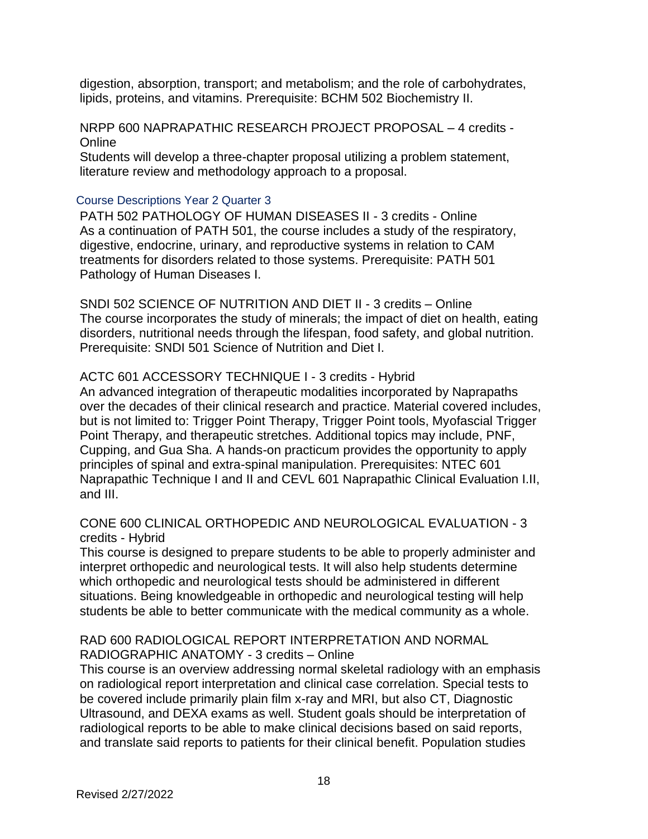digestion, absorption, transport; and metabolism; and the role of carbohydrates, lipids, proteins, and vitamins. Prerequisite: BCHM 502 Biochemistry II.

NRPP 600 NAPRAPATHIC RESEARCH PROJECT PROPOSAL – 4 credits - **Online** Students will develop a three-chapter proposal utilizing a problem statement, literature review and methodology approach to a proposal.

#### <span id="page-17-0"></span>Course Descriptions Year 2 Quarter 3

PATH 502 PATHOLOGY OF HUMAN DISEASES II - 3 credits - Online As a continuation of PATH 501, the course includes a study of the respiratory, digestive, endocrine, urinary, and reproductive systems in relation to CAM treatments for disorders related to those systems. Prerequisite: PATH 501 Pathology of Human Diseases I.

SNDI 502 SCIENCE OF NUTRITION AND DIET II - 3 credits – Online The course incorporates the study of minerals; the impact of diet on health, eating disorders, nutritional needs through the lifespan, food safety, and global nutrition. Prerequisite: SNDI 501 Science of Nutrition and Diet I.

#### ACTC 601 ACCESSORY TECHNIQUE I - 3 credits - Hybrid

An advanced integration of therapeutic modalities incorporated by Naprapaths over the decades of their clinical research and practice. Material covered includes, but is not limited to: Trigger Point Therapy, Trigger Point tools, Myofascial Trigger Point Therapy, and therapeutic stretches. Additional topics may include, PNF, Cupping, and Gua Sha. A hands-on practicum provides the opportunity to apply principles of spinal and extra-spinal manipulation. Prerequisites: NTEC 601 Naprapathic Technique I and II and CEVL 601 Naprapathic Clinical Evaluation I.II, and III.

#### CONE 600 CLINICAL ORTHOPEDIC AND NEUROLOGICAL EVALUATION - 3 credits - Hybrid

This course is designed to prepare students to be able to properly administer and interpret orthopedic and neurological tests. It will also help students determine which orthopedic and neurological tests should be administered in different situations. Being knowledgeable in orthopedic and neurological testing will help students be able to better communicate with the medical community as a whole.

## RAD 600 RADIOLOGICAL REPORT INTERPRETATION AND NORMAL RADIOGRAPHIC ANATOMY - 3 credits – Online

This course is an overview addressing normal skeletal radiology with an emphasis on radiological report interpretation and clinical case correlation. Special tests to be covered include primarily plain film x-ray and MRI, but also CT, Diagnostic Ultrasound, and DEXA exams as well. Student goals should be interpretation of radiological reports to be able to make clinical decisions based on said reports, and translate said reports to patients for their clinical benefit. Population studies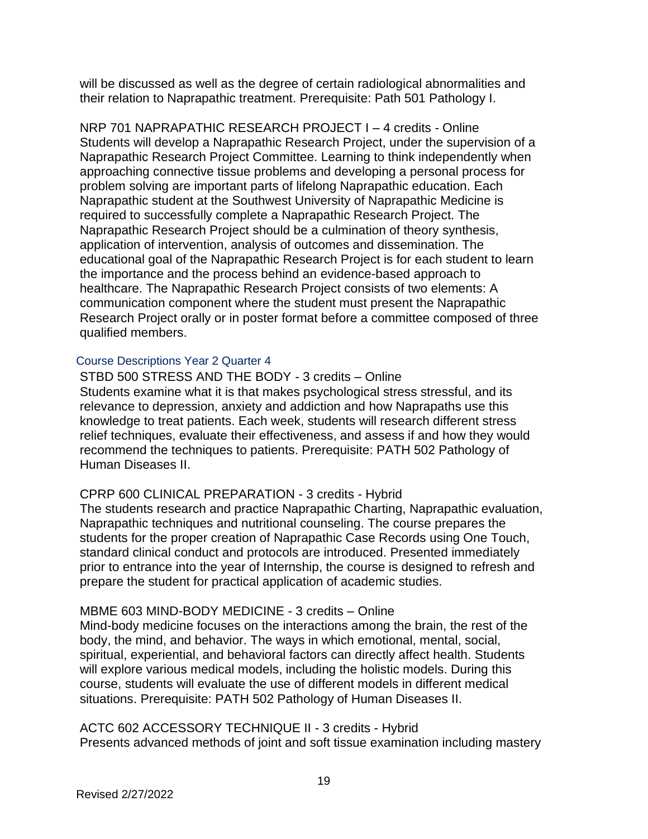will be discussed as well as the degree of certain radiological abnormalities and their relation to Naprapathic treatment. Prerequisite: Path 501 Pathology I.

NRP 701 NAPRAPATHIC RESEARCH PROJECT I – 4 credits - Online Students will develop a Naprapathic Research Project, under the supervision of a Naprapathic Research Project Committee. Learning to think independently when approaching connective tissue problems and developing a personal process for problem solving are important parts of lifelong Naprapathic education. Each Naprapathic student at the Southwest University of Naprapathic Medicine is required to successfully complete a Naprapathic Research Project. The Naprapathic Research Project should be a culmination of theory synthesis, application of intervention, analysis of outcomes and dissemination. The educational goal of the Naprapathic Research Project is for each student to learn the importance and the process behind an evidence-based approach to healthcare. The Naprapathic Research Project consists of two elements: A communication component where the student must present the Naprapathic Research Project orally or in poster format before a committee composed of three qualified members.

#### <span id="page-18-0"></span>Course Descriptions Year 2 Quarter 4

STBD 500 STRESS AND THE BODY - 3 credits – Online Students examine what it is that makes psychological stress stressful, and its relevance to depression, anxiety and addiction and how Naprapaths use this knowledge to treat patients. Each week, students will research different stress relief techniques, evaluate their effectiveness, and assess if and how they would recommend the techniques to patients. Prerequisite: PATH 502 Pathology of Human Diseases II.

## CPRP 600 CLINICAL PREPARATION - 3 credits - Hybrid

The students research and practice Naprapathic Charting, Naprapathic evaluation, Naprapathic techniques and nutritional counseling. The course prepares the students for the proper creation of Naprapathic Case Records using One Touch, standard clinical conduct and protocols are introduced. Presented immediately prior to entrance into the year of Internship, the course is designed to refresh and prepare the student for practical application of academic studies.

## MBME 603 MIND-BODY MEDICINE - 3 credits – Online

Mind-body medicine focuses on the interactions among the brain, the rest of the body, the mind, and behavior. The ways in which emotional, mental, social, spiritual, experiential, and behavioral factors can directly affect health. Students will explore various medical models, including the holistic models. During this course, students will evaluate the use of different models in different medical situations. Prerequisite: PATH 502 Pathology of Human Diseases II.

ACTC 602 ACCESSORY TECHNIQUE II - 3 credits - Hybrid Presents advanced methods of joint and soft tissue examination including mastery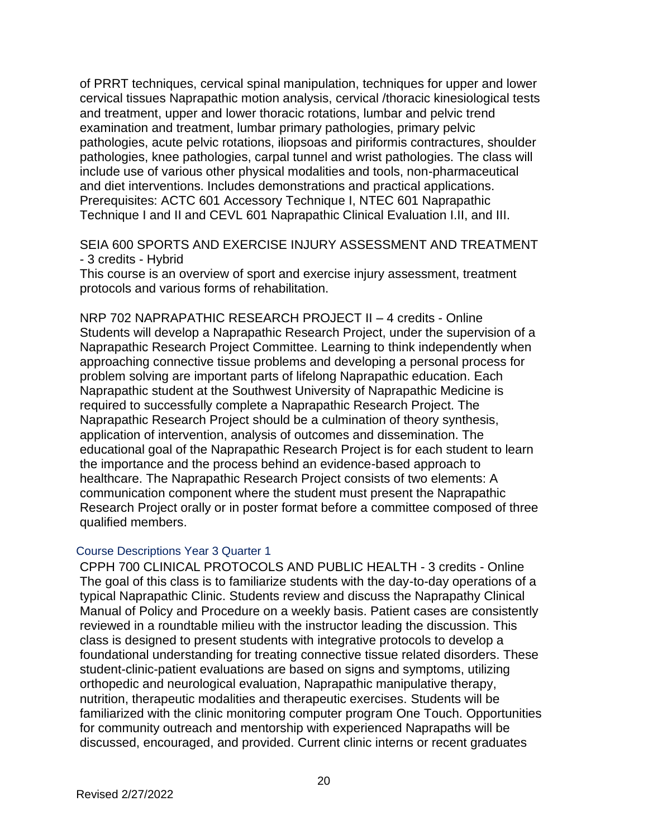of PRRT techniques, cervical spinal manipulation, techniques for upper and lower cervical tissues Naprapathic motion analysis, cervical /thoracic kinesiological tests and treatment, upper and lower thoracic rotations, lumbar and pelvic trend examination and treatment, lumbar primary pathologies, primary pelvic pathologies, acute pelvic rotations, iliopsoas and piriformis contractures, shoulder pathologies, knee pathologies, carpal tunnel and wrist pathologies. The class will include use of various other physical modalities and tools, non-pharmaceutical and diet interventions. Includes demonstrations and practical applications. Prerequisites: ACTC 601 Accessory Technique I, NTEC 601 Naprapathic Technique I and II and CEVL 601 Naprapathic Clinical Evaluation I.II, and III.

SEIA 600 SPORTS AND EXERCISE INJURY ASSESSMENT AND TREATMENT - 3 credits - Hybrid

This course is an overview of sport and exercise injury assessment, treatment protocols and various forms of rehabilitation.

NRP 702 NAPRAPATHIC RESEARCH PROJECT II – 4 credits - Online Students will develop a Naprapathic Research Project, under the supervision of a Naprapathic Research Project Committee. Learning to think independently when approaching connective tissue problems and developing a personal process for problem solving are important parts of lifelong Naprapathic education. Each Naprapathic student at the Southwest University of Naprapathic Medicine is required to successfully complete a Naprapathic Research Project. The Naprapathic Research Project should be a culmination of theory synthesis, application of intervention, analysis of outcomes and dissemination. The educational goal of the Naprapathic Research Project is for each student to learn the importance and the process behind an evidence-based approach to healthcare. The Naprapathic Research Project consists of two elements: A communication component where the student must present the Naprapathic Research Project orally or in poster format before a committee composed of three qualified members.

#### <span id="page-19-0"></span>Course Descriptions Year 3 Quarter 1

CPPH 700 CLINICAL PROTOCOLS AND PUBLIC HEALTH - 3 credits - Online The goal of this class is to familiarize students with the day-to-day operations of a typical Naprapathic Clinic. Students review and discuss the Naprapathy Clinical Manual of Policy and Procedure on a weekly basis. Patient cases are consistently reviewed in a roundtable milieu with the instructor leading the discussion. This class is designed to present students with integrative protocols to develop a foundational understanding for treating connective tissue related disorders. These student-clinic-patient evaluations are based on signs and symptoms, utilizing orthopedic and neurological evaluation, Naprapathic manipulative therapy, nutrition, therapeutic modalities and therapeutic exercises. Students will be familiarized with the clinic monitoring computer program One Touch. Opportunities for community outreach and mentorship with experienced Naprapaths will be discussed, encouraged, and provided. Current clinic interns or recent graduates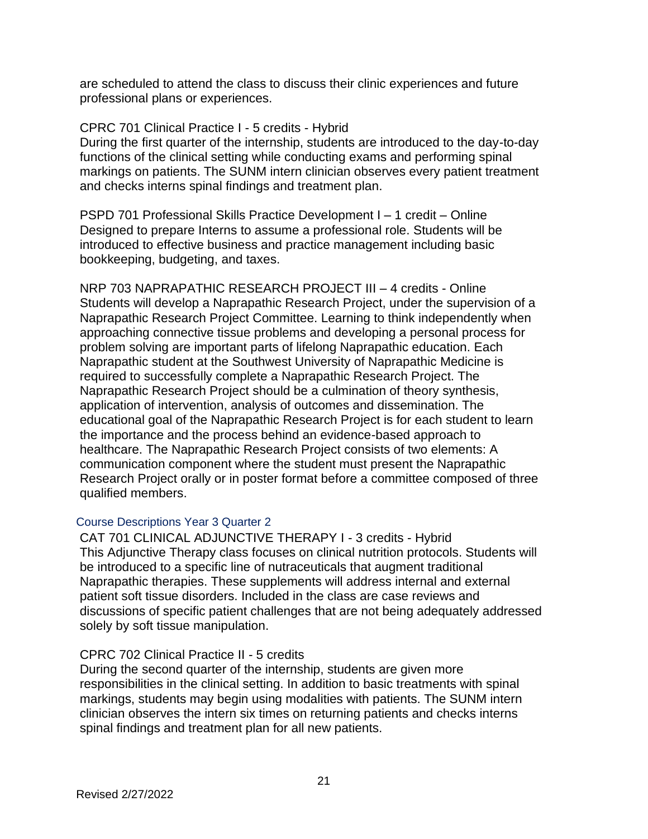are scheduled to attend the class to discuss their clinic experiences and future professional plans or experiences.

## CPRC 701 Clinical Practice I - 5 credits - Hybrid

During the first quarter of the internship, students are introduced to the day-to-day functions of the clinical setting while conducting exams and performing spinal markings on patients. The SUNM intern clinician observes every patient treatment and checks interns spinal findings and treatment plan.

PSPD 701 Professional Skills Practice Development I – 1 credit – Online Designed to prepare Interns to assume a professional role. Students will be introduced to effective business and practice management including basic bookkeeping, budgeting, and taxes.

NRP 703 NAPRAPATHIC RESEARCH PROJECT III – 4 credits - Online Students will develop a Naprapathic Research Project, under the supervision of a Naprapathic Research Project Committee. Learning to think independently when approaching connective tissue problems and developing a personal process for problem solving are important parts of lifelong Naprapathic education. Each Naprapathic student at the Southwest University of Naprapathic Medicine is required to successfully complete a Naprapathic Research Project. The Naprapathic Research Project should be a culmination of theory synthesis, application of intervention, analysis of outcomes and dissemination. The educational goal of the Naprapathic Research Project is for each student to learn the importance and the process behind an evidence-based approach to healthcare. The Naprapathic Research Project consists of two elements: A communication component where the student must present the Naprapathic Research Project orally or in poster format before a committee composed of three qualified members.

## <span id="page-20-0"></span>Course Descriptions Year 3 Quarter 2

CAT 701 CLINICAL ADJUNCTIVE THERAPY I - 3 credits - Hybrid This Adjunctive Therapy class focuses on clinical nutrition protocols. Students will be introduced to a specific line of nutraceuticals that augment traditional Naprapathic therapies. These supplements will address internal and external patient soft tissue disorders. Included in the class are case reviews and discussions of specific patient challenges that are not being adequately addressed solely by soft tissue manipulation.

# CPRC 702 Clinical Practice II - 5 credits

During the second quarter of the internship, students are given more responsibilities in the clinical setting. In addition to basic treatments with spinal markings, students may begin using modalities with patients. The SUNM intern clinician observes the intern six times on returning patients and checks interns spinal findings and treatment plan for all new patients.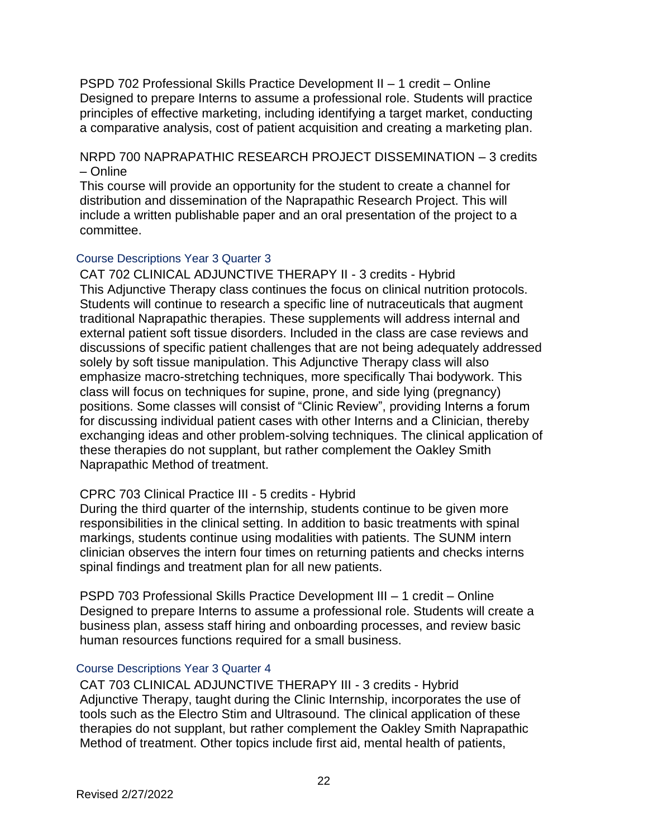PSPD 702 Professional Skills Practice Development II – 1 credit – Online Designed to prepare Interns to assume a professional role. Students will practice principles of effective marketing, including identifying a target market, conducting a comparative analysis, cost of patient acquisition and creating a marketing plan.

NRPD 700 NAPRAPATHIC RESEARCH PROJECT DISSEMINATION – 3 credits – Online

This course will provide an opportunity for the student to create a channel for distribution and dissemination of the Naprapathic Research Project. This will include a written publishable paper and an oral presentation of the project to a committee.

#### <span id="page-21-0"></span>Course Descriptions Year 3 Quarter 3

CAT 702 CLINICAL ADJUNCTIVE THERAPY II - 3 credits - Hybrid This Adjunctive Therapy class continues the focus on clinical nutrition protocols. Students will continue to research a specific line of nutraceuticals that augment traditional Naprapathic therapies. These supplements will address internal and external patient soft tissue disorders. Included in the class are case reviews and discussions of specific patient challenges that are not being adequately addressed solely by soft tissue manipulation. This Adjunctive Therapy class will also emphasize macro-stretching techniques, more specifically Thai bodywork. This class will focus on techniques for supine, prone, and side lying (pregnancy) positions. Some classes will consist of "Clinic Review", providing Interns a forum for discussing individual patient cases with other Interns and a Clinician, thereby exchanging ideas and other problem-solving techniques. The clinical application of these therapies do not supplant, but rather complement the Oakley Smith Naprapathic Method of treatment.

## CPRC 703 Clinical Practice III - 5 credits - Hybrid

During the third quarter of the internship, students continue to be given more responsibilities in the clinical setting. In addition to basic treatments with spinal markings, students continue using modalities with patients. The SUNM intern clinician observes the intern four times on returning patients and checks interns spinal findings and treatment plan for all new patients.

PSPD 703 Professional Skills Practice Development III – 1 credit – Online Designed to prepare Interns to assume a professional role. Students will create a business plan, assess staff hiring and onboarding processes, and review basic human resources functions required for a small business.

#### <span id="page-21-1"></span>Course Descriptions Year 3 Quarter 4

CAT 703 CLINICAL ADJUNCTIVE THERAPY III - 3 credits - Hybrid Adjunctive Therapy, taught during the Clinic Internship, incorporates the use of tools such as the Electro Stim and Ultrasound. The clinical application of these therapies do not supplant, but rather complement the Oakley Smith Naprapathic Method of treatment. Other topics include first aid, mental health of patients,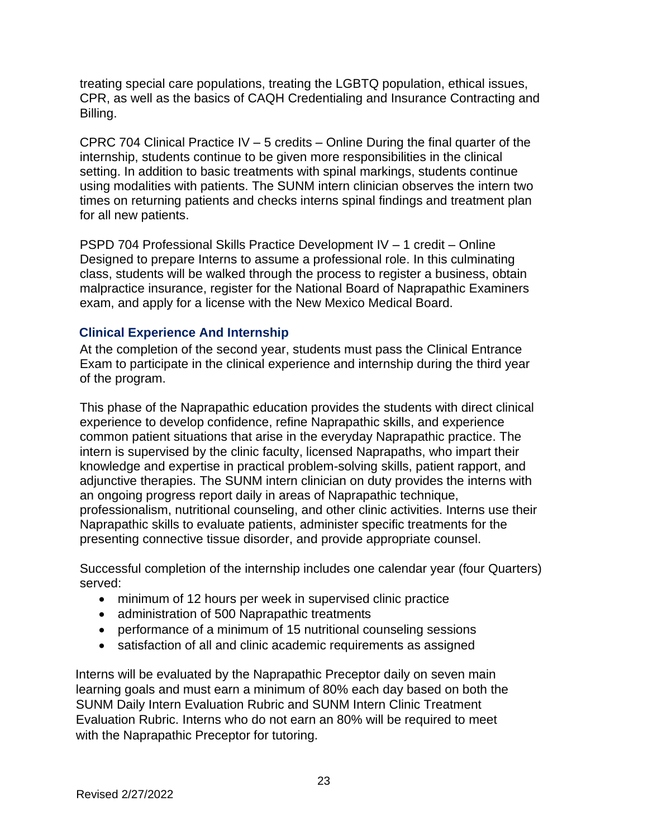treating special care populations, treating the LGBTQ population, ethical issues, CPR, as well as the basics of CAQH Credentialing and Insurance Contracting and Billing.

CPRC 704 Clinical Practice IV  $-5$  credits  $-$  Online During the final quarter of the internship, students continue to be given more responsibilities in the clinical setting. In addition to basic treatments with spinal markings, students continue using modalities with patients. The SUNM intern clinician observes the intern two times on returning patients and checks interns spinal findings and treatment plan for all new patients.

PSPD 704 Professional Skills Practice Development IV – 1 credit – Online Designed to prepare Interns to assume a professional role. In this culminating class, students will be walked through the process to register a business, obtain malpractice insurance, register for the National Board of Naprapathic Examiners exam, and apply for a license with the New Mexico Medical Board.

## <span id="page-22-0"></span>**Clinical Experience And Internship**

At the completion of the second year, students must pass the Clinical Entrance Exam to participate in the clinical experience and internship during the third year of the program.

This phase of the Naprapathic education provides the students with direct clinical experience to develop confidence, refine Naprapathic skills, and experience common patient situations that arise in the everyday Naprapathic practice. The intern is supervised by the clinic faculty, licensed Naprapaths, who impart their knowledge and expertise in practical problem-solving skills, patient rapport, and adjunctive therapies. The SUNM intern clinician on duty provides the interns with an ongoing progress report daily in areas of Naprapathic technique, professionalism, nutritional counseling, and other clinic activities. Interns use their Naprapathic skills to evaluate patients, administer specific treatments for the presenting connective tissue disorder, and provide appropriate counsel.

Successful completion of the internship includes one calendar year (four Quarters) served:

- minimum of 12 hours per week in supervised clinic practice
- administration of 500 Naprapathic treatments
- performance of a minimum of 15 nutritional counseling sessions
- satisfaction of all and clinic academic requirements as assigned

Interns will be evaluated by the Naprapathic Preceptor daily on seven main learning goals and must earn a minimum of 80% each day based on both the SUNM Daily Intern Evaluation Rubric and SUNM Intern Clinic Treatment Evaluation Rubric. Interns who do not earn an 80% will be required to meet with the Naprapathic Preceptor for tutoring.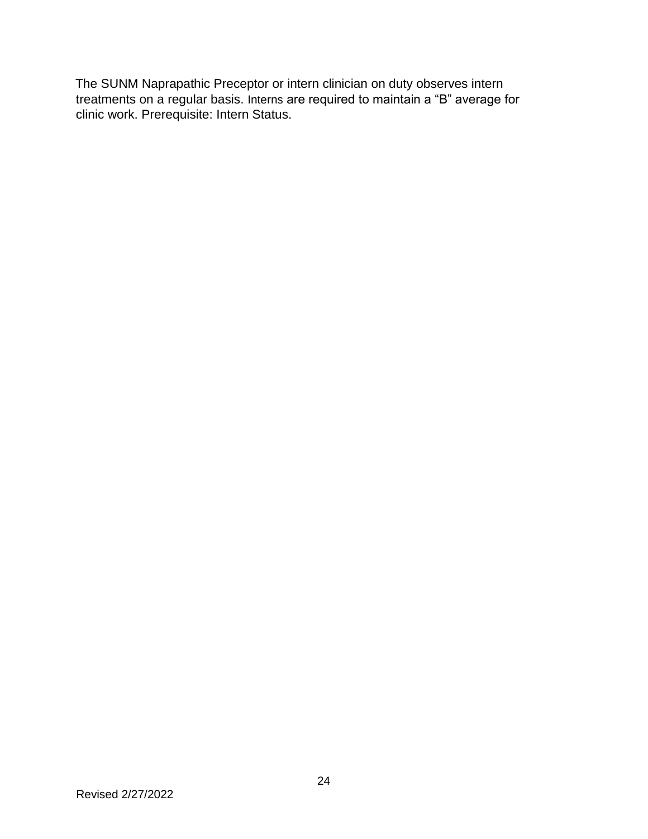The SUNM Naprapathic Preceptor or intern clinician on duty observes intern treatments on a regular basis. Interns are required to maintain a "B" average for clinic work. Prerequisite: Intern Status.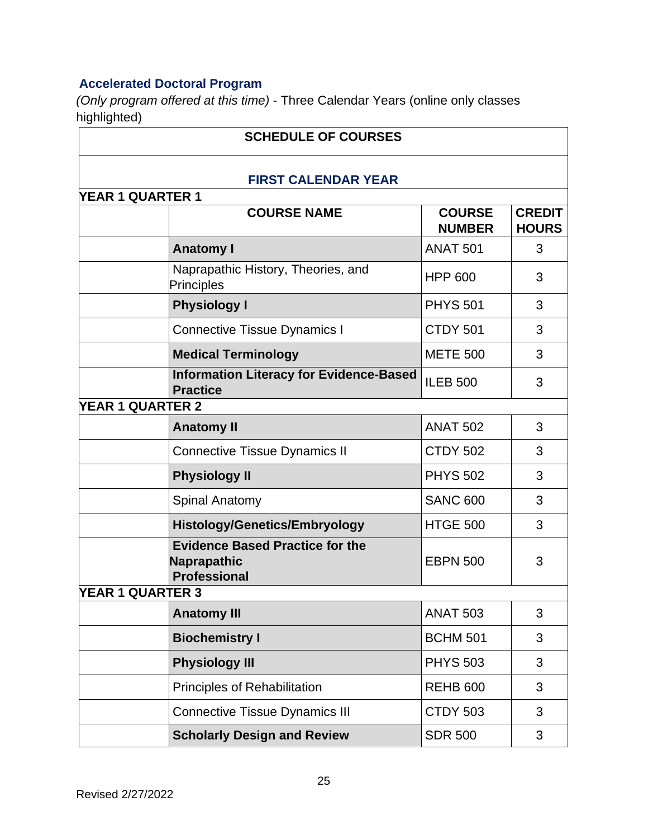# <span id="page-24-0"></span>**Accelerated Doctoral Program**

*(Only program offered at this time)* - Three Calendar Years (online only classes highlighted)

| <b>SCHEDULE OF COURSES</b> |                                                                              |                                |                               |  |  |
|----------------------------|------------------------------------------------------------------------------|--------------------------------|-------------------------------|--|--|
|                            | <b>FIRST CALENDAR YEAR</b>                                                   |                                |                               |  |  |
| YEAR 1 QUARTER 1           |                                                                              |                                |                               |  |  |
|                            | <b>COURSE NAME</b>                                                           | <b>COURSE</b><br><b>NUMBER</b> | <b>CREDIT</b><br><b>HOURS</b> |  |  |
|                            | <b>Anatomy I</b>                                                             | <b>ANAT 501</b>                | 3                             |  |  |
|                            | Naprapathic History, Theories, and<br>Principles                             | <b>HPP 600</b>                 | 3                             |  |  |
|                            | <b>Physiology I</b>                                                          | <b>PHYS 501</b>                | 3                             |  |  |
|                            | <b>Connective Tissue Dynamics I</b>                                          | <b>CTDY 501</b>                | 3                             |  |  |
|                            | <b>Medical Terminology</b>                                                   | <b>METE 500</b>                | 3                             |  |  |
|                            | <b>Information Literacy for Evidence-Based</b><br><b>Practice</b>            | <b>ILEB 500</b>                | 3                             |  |  |
| <b>YEAR 1 QUARTER 2</b>    |                                                                              |                                |                               |  |  |
|                            | <b>Anatomy II</b>                                                            | <b>ANAT 502</b>                | 3                             |  |  |
|                            | <b>Connective Tissue Dynamics II</b>                                         | <b>CTDY 502</b>                | 3                             |  |  |
|                            | <b>Physiology II</b>                                                         | <b>PHYS 502</b>                | 3                             |  |  |
|                            | Spinal Anatomy                                                               | <b>SANC 600</b>                | 3                             |  |  |
|                            | <b>Histology/Genetics/Embryology</b>                                         | <b>HTGE 500</b>                | 3                             |  |  |
|                            | <b>Evidence Based Practice for the</b><br>Naprapathic<br><b>Professional</b> | <b>EBPN 500</b>                | 3                             |  |  |
| <b>YEAR 1 QUARTER 3</b>    |                                                                              |                                |                               |  |  |
|                            | <b>Anatomy III</b>                                                           | <b>ANAT 503</b>                | 3                             |  |  |
|                            | <b>Biochemistry I</b>                                                        | <b>BCHM 501</b>                | 3                             |  |  |
|                            | <b>Physiology III</b>                                                        | <b>PHYS 503</b>                | 3                             |  |  |
|                            | Principles of Rehabilitation                                                 | <b>REHB 600</b>                | 3                             |  |  |
|                            | <b>Connective Tissue Dynamics III</b>                                        | <b>CTDY 503</b>                | 3                             |  |  |
|                            | <b>Scholarly Design and Review</b>                                           | <b>SDR 500</b>                 | 3                             |  |  |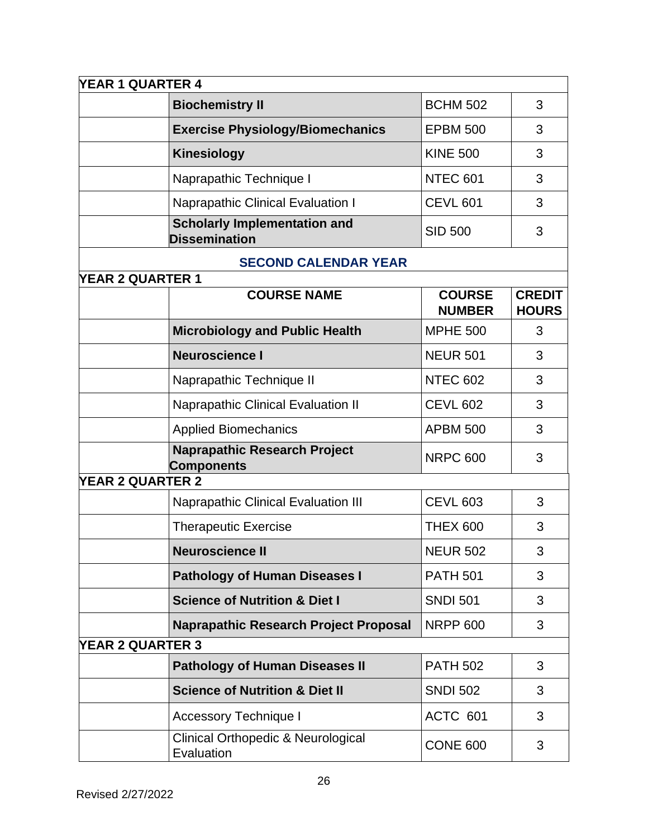| <b>YEAR 1 QUARTER 4</b> |                                                             |                                |                               |
|-------------------------|-------------------------------------------------------------|--------------------------------|-------------------------------|
|                         | <b>Biochemistry II</b>                                      | <b>BCHM 502</b>                | 3                             |
|                         | <b>Exercise Physiology/Biomechanics</b>                     | <b>EPBM 500</b>                | 3                             |
|                         | <b>Kinesiology</b>                                          | <b>KINE 500</b>                | 3                             |
|                         | Naprapathic Technique I                                     | <b>NTEC 601</b>                | 3                             |
|                         | <b>Naprapathic Clinical Evaluation I</b>                    | <b>CEVL 601</b>                | 3                             |
|                         | <b>Scholarly Implementation and</b><br><b>Dissemination</b> | <b>SID 500</b>                 | 3                             |
|                         | <b>SECOND CALENDAR YEAR</b>                                 |                                |                               |
| <b>YEAR 2 QUARTER 1</b> |                                                             |                                |                               |
|                         | <b>COURSE NAME</b>                                          | <b>COURSE</b><br><b>NUMBER</b> | <b>CREDIT</b><br><b>HOURS</b> |
|                         | <b>Microbiology and Public Health</b>                       | <b>MPHE 500</b>                | 3                             |
|                         | <b>Neuroscience I</b>                                       | <b>NEUR 501</b>                | 3                             |
|                         | Naprapathic Technique II                                    | <b>NTEC 602</b>                | 3                             |
|                         | <b>Naprapathic Clinical Evaluation II</b>                   | <b>CEVL 602</b>                | 3                             |
|                         | <b>Applied Biomechanics</b>                                 | <b>APBM 500</b>                | 3                             |
|                         | <b>Naprapathic Research Project</b><br><b>Components</b>    | <b>NRPC 600</b>                | 3                             |
| <b>YEAR 2 QUARTER 2</b> |                                                             |                                |                               |
|                         | <b>Naprapathic Clinical Evaluation III</b>                  | <b>CEVL 603</b>                | 3                             |
|                         | <b>Therapeutic Exercise</b>                                 | <b>THEX 600</b>                | 3                             |
|                         | <b>Neuroscience II</b>                                      | <b>NEUR 502</b>                | 3                             |
|                         | <b>Pathology of Human Diseases I</b>                        | <b>PATH 501</b>                | 3                             |
|                         | <b>Science of Nutrition &amp; Diet I</b>                    | <b>SNDI 501</b>                | 3                             |
|                         | <b>Naprapathic Research Project Proposal</b>                | <b>NRPP 600</b>                | 3                             |
| <b>YEAR 2 QUARTER 3</b> |                                                             |                                |                               |
|                         | <b>Pathology of Human Diseases II</b>                       | <b>PATH 502</b>                | 3                             |
|                         | <b>Science of Nutrition &amp; Diet II</b>                   | <b>SNDI 502</b>                | 3                             |
|                         | <b>Accessory Technique I</b>                                | ACTC 601                       | 3                             |
|                         | <b>Clinical Orthopedic &amp; Neurological</b><br>Evaluation | <b>CONE 600</b>                | 3                             |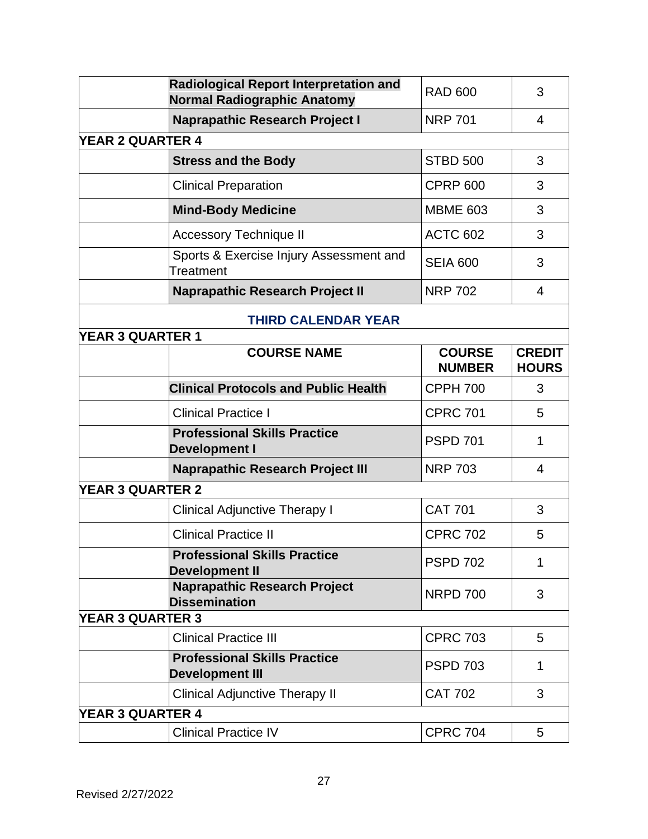|                         | <b>Radiological Report Interpretation and</b><br>Normal Radiographic Anatomy   | <b>RAD 600</b>                 | 3                             |  |  |
|-------------------------|--------------------------------------------------------------------------------|--------------------------------|-------------------------------|--|--|
|                         | <b>Naprapathic Research Project I</b><br><b>NRP 701</b>                        |                                |                               |  |  |
| <b>YEAR 2 QUARTER 4</b> |                                                                                |                                |                               |  |  |
|                         | <b>Stress and the Body</b>                                                     | <b>STBD 500</b>                | 3                             |  |  |
|                         | <b>Clinical Preparation</b>                                                    | <b>CPRP 600</b>                | 3                             |  |  |
|                         | <b>Mind-Body Medicine</b>                                                      | <b>MBME 603</b>                | 3                             |  |  |
|                         | <b>Accessory Technique II</b>                                                  | <b>ACTC 602</b>                | 3                             |  |  |
|                         | Sports & Exercise Injury Assessment and<br>Treatment                           | <b>SEIA 600</b>                | 3                             |  |  |
|                         | <b>Naprapathic Research Project II</b>                                         | <b>NRP 702</b>                 | 4                             |  |  |
|                         | <b>THIRD CALENDAR YEAR</b>                                                     |                                |                               |  |  |
| <b>YEAR 3 QUARTER 1</b> |                                                                                |                                |                               |  |  |
|                         | <b>COURSE NAME</b>                                                             | <b>COURSE</b><br><b>NUMBER</b> | <b>CREDIT</b><br><b>HOURS</b> |  |  |
|                         | <b>Clinical Protocols and Public Health</b>                                    | <b>CPPH 700</b>                | 3                             |  |  |
|                         | <b>Clinical Practice I</b>                                                     | <b>CPRC 701</b>                | 5                             |  |  |
|                         | <b>Professional Skills Practice</b><br><b>PSPD 701</b><br><b>Development I</b> |                                |                               |  |  |
|                         | <b>Naprapathic Research Project III</b>                                        | <b>NRP 703</b>                 | $\overline{4}$                |  |  |
| <b>YEAR 3 QUARTER 2</b> |                                                                                |                                |                               |  |  |
|                         | <b>Clinical Adjunctive Therapy I</b>                                           | <b>CAT 701</b>                 | 3                             |  |  |
|                         | <b>Clinical Practice II</b>                                                    | <b>CPRC 702</b>                | 5                             |  |  |
|                         | <b>Professional Skills Practice</b><br><b>Development II</b>                   | <b>PSPD 702</b>                | 1                             |  |  |
|                         | <b>Naprapathic Research Project</b><br><b>Dissemination</b>                    | <b>NRPD 700</b>                | 3                             |  |  |
| <b>YEAR 3 QUARTER 3</b> |                                                                                |                                |                               |  |  |
|                         | <b>Clinical Practice III</b>                                                   | <b>CPRC 703</b>                | 5                             |  |  |
|                         | <b>Professional Skills Practice</b><br><b>Development III</b>                  | <b>PSPD 703</b>                | 1                             |  |  |
|                         | <b>Clinical Adjunctive Therapy II</b>                                          | <b>CAT 702</b>                 | 3                             |  |  |
| <b>YEAR 3 QUARTER 4</b> |                                                                                |                                |                               |  |  |
|                         | <b>Clinical Practice IV</b>                                                    | <b>CPRC 704</b>                | 5                             |  |  |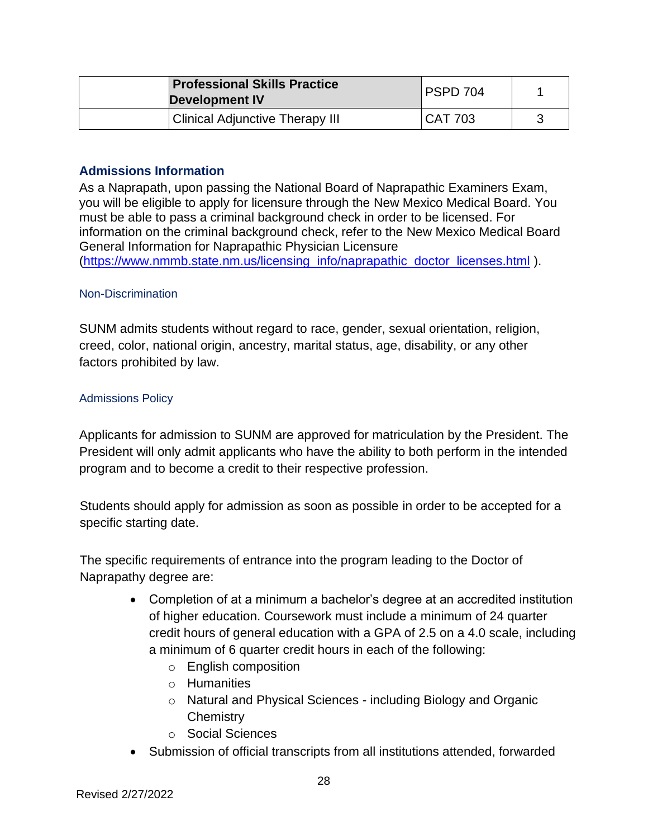| <b>Professional Skills Practice</b><br><b>Development IV</b> | PSPD 704       |  |
|--------------------------------------------------------------|----------------|--|
| <b>Clinical Adjunctive Therapy III</b>                       | <b>CAT 703</b> |  |

## <span id="page-27-0"></span>**Admissions Information**

As a Naprapath, upon passing the National Board of Naprapathic Examiners Exam, you will be eligible to apply for licensure through the New Mexico Medical Board. You must be able to pass a criminal background check in order to be licensed. For information on the criminal background check, refer to the New Mexico Medical Board General Information for Naprapathic Physician Licensure [\(https://www.nmmb.state.nm.us/licensing\\_info/naprapathic\\_doctor\\_licenses.html](https://www.nmmb.state.nm.us/licensing_info/naprapathic_doctor_licenses.html) ).

## <span id="page-27-1"></span>Non-Discrimination

SUNM admits students without regard to race, gender, sexual orientation, religion, creed, color, national origin, ancestry, marital status, age, disability, or any other factors prohibited by law.

#### <span id="page-27-2"></span>Admissions Policy

Applicants for admission to SUNM are approved for matriculation by the President. The President will only admit applicants who have the ability to both perform in the intended program and to become a credit to their respective profession.

Students should apply for admission as soon as possible in order to be accepted for a specific starting date.

The specific requirements of entrance into the program leading to the Doctor of Naprapathy degree are:

- Completion of at a minimum a bachelor's degree at an accredited institution of higher education. Coursework must include a minimum of 24 quarter credit hours of general education with a GPA of 2.5 on a 4.0 scale, including a minimum of 6 quarter credit hours in each of the following:
	- o English composition
	- o Humanities
	- o Natural and Physical Sciences including Biology and Organic **Chemistry**
	- o Social Sciences
- Submission of official transcripts from all institutions attended, forwarded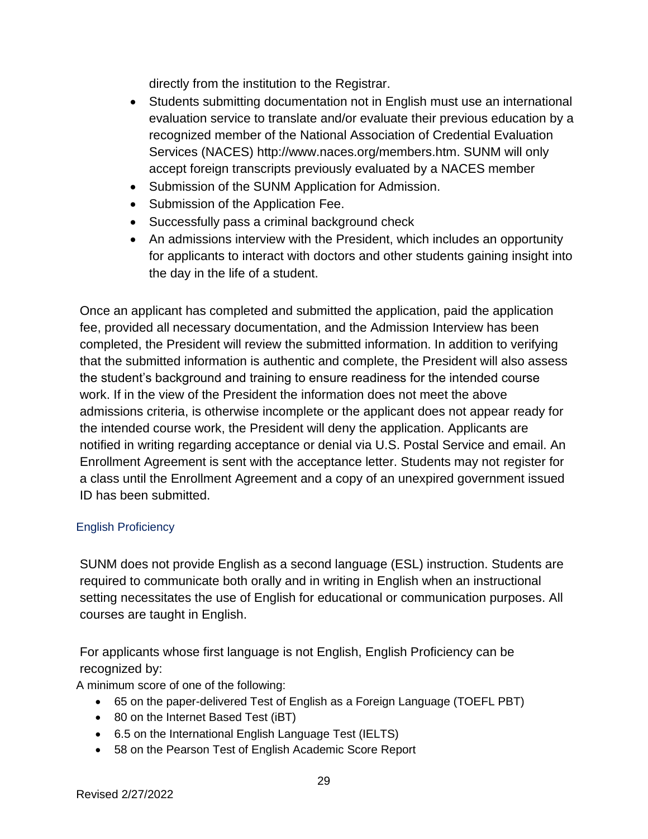directly from the institution to the Registrar.

- Students submitting documentation not in English must use an international evaluation service to translate and/or evaluate their previous education by a recognized member of the National Association of Credential Evaluation Services (NACES) http://www.naces.org/members.htm. SUNM will only accept foreign transcripts previously evaluated by a NACES member
- Submission of the SUNM Application for Admission.
- Submission of the Application Fee.
- Successfully pass a criminal background check
- An admissions interview with the President, which includes an opportunity for applicants to interact with doctors and other students gaining insight into the day in the life of a student.

Once an applicant has completed and submitted the application, paid the application fee, provided all necessary documentation, and the Admission Interview has been completed, the President will review the submitted information. In addition to verifying that the submitted information is authentic and complete, the President will also assess the student's background and training to ensure readiness for the intended course work. If in the view of the President the information does not meet the above admissions criteria, is otherwise incomplete or the applicant does not appear ready for the intended course work, the President will deny the application. Applicants are notified in writing regarding acceptance or denial via U.S. Postal Service and email. An Enrollment Agreement is sent with the acceptance letter. Students may not register for a class until the Enrollment Agreement and a copy of an unexpired government issued ID has been submitted.

# <span id="page-28-0"></span>English Proficiency

SUNM does not provide English as a second language (ESL) instruction. Students are required to communicate both orally and in writing in English when an instructional setting necessitates the use of English for educational or communication purposes. All courses are taught in English.

For applicants whose first language is not English, English Proficiency can be recognized by:

A minimum score of one of the following:

- 65 on the paper-delivered Test of English as a Foreign Language (TOEFL PBT)
- 80 on the Internet Based Test (iBT)
- 6.5 on the International English Language Test (IELTS)
- 58 on the Pearson Test of English Academic Score Report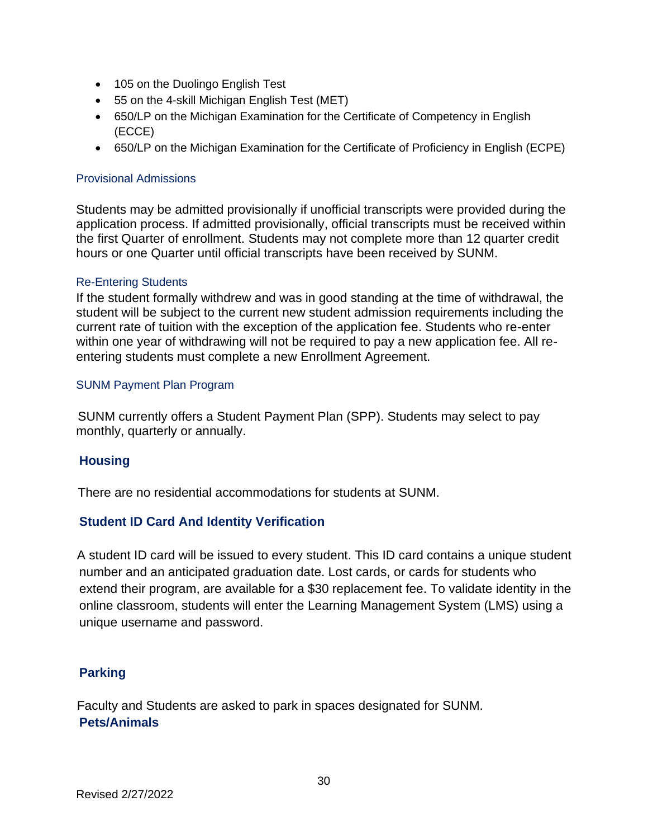- 105 on the Duolingo English Test
- 55 on the 4-skill Michigan English Test (MET)
- 650/LP on the Michigan Examination for the Certificate of Competency in English (ECCE)
- 650/LP on the Michigan Examination for the Certificate of Proficiency in English (ECPE)

#### <span id="page-29-0"></span>Provisional Admissions

Students may be admitted provisionally if unofficial transcripts were provided during the application process. If admitted provisionally, official transcripts must be received within the first Quarter of enrollment. Students may not complete more than 12 quarter credit hours or one Quarter until official transcripts have been received by SUNM.

#### <span id="page-29-1"></span>Re-Entering Students

If the student formally withdrew and was in good standing at the time of withdrawal, the student will be subject to the current new student admission requirements including the current rate of tuition with the exception of the application fee. Students who re-enter within one year of withdrawing will not be required to pay a new application fee. All reentering students must complete a new Enrollment Agreement.

#### <span id="page-29-2"></span>SUNM Payment Plan Program

SUNM currently offers a Student Payment Plan (SPP). Students may select to pay monthly, quarterly or annually.

## <span id="page-29-3"></span>**Housing**

There are no residential accommodations for students at SUNM.

# <span id="page-29-4"></span>**Student ID Card And Identity Verification**

A student ID card will be issued to every student. This ID card contains a unique student number and an anticipated graduation date. Lost cards, or cards for students who extend their program, are available for a \$30 replacement fee. To validate identity in the online classroom, students will enter the Learning Management System (LMS) using a unique username and password.

## <span id="page-29-5"></span>**Parking**

<span id="page-29-6"></span>Faculty and Students are asked to park in spaces designated for SUNM. **Pets/Animals**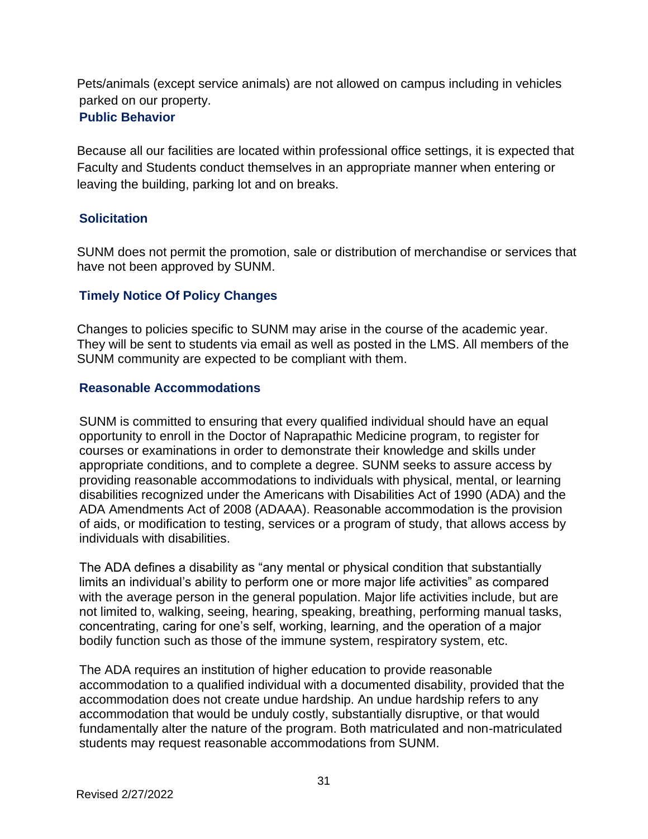<span id="page-30-0"></span>Pets/animals (except service animals) are not allowed on campus including in vehicles parked on our property. **Public Behavior**

Because all our facilities are located within professional office settings, it is expected that Faculty and Students conduct themselves in an appropriate manner when entering or leaving the building, parking lot and on breaks.

# <span id="page-30-1"></span>**Solicitation**

SUNM does not permit the promotion, sale or distribution of merchandise or services that have not been approved by SUNM.

# <span id="page-30-2"></span>**Timely Notice Of Policy Changes**

Changes to policies specific to SUNM may arise in the course of the academic year. They will be sent to students via email as well as posted in the LMS. All members of the SUNM community are expected to be compliant with them.

## <span id="page-30-3"></span>**Reasonable Accommodations**

SUNM is committed to ensuring that every qualified individual should have an equal opportunity to enroll in the Doctor of Naprapathic Medicine program, to register for courses or examinations in order to demonstrate their knowledge and skills under appropriate conditions, and to complete a degree. SUNM seeks to assure access by providing reasonable accommodations to individuals with physical, mental, or learning disabilities recognized under the Americans with Disabilities Act of 1990 (ADA) and the ADA Amendments Act of 2008 (ADAAA). Reasonable accommodation is the provision of aids, or modification to testing, services or a program of study, that allows access by individuals with disabilities.

The ADA defines a disability as "any mental or physical condition that substantially limits an individual's ability to perform one or more major life activities" as compared with the average person in the general population. Major life activities include, but are not limited to, walking, seeing, hearing, speaking, breathing, performing manual tasks, concentrating, caring for one's self, working, learning, and the operation of a major bodily function such as those of the immune system, respiratory system, etc.

The ADA requires an institution of higher education to provide reasonable accommodation to a qualified individual with a documented disability, provided that the accommodation does not create undue hardship. An undue hardship refers to any accommodation that would be unduly costly, substantially disruptive, or that would fundamentally alter the nature of the program. Both matriculated and non-matriculated students may request reasonable accommodations from SUNM.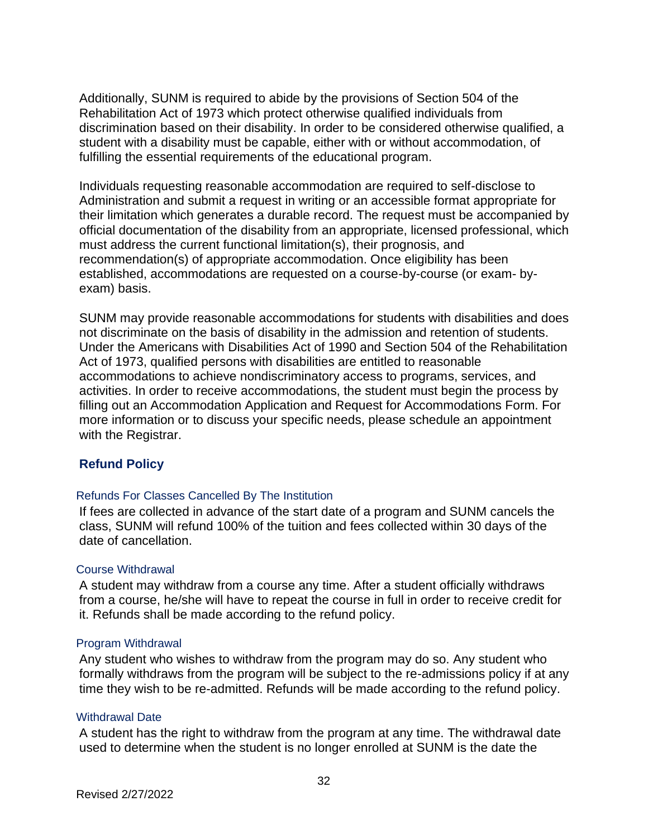Additionally, SUNM is required to abide by the provisions of Section 504 of the Rehabilitation Act of 1973 which protect otherwise qualified individuals from discrimination based on their disability. In order to be considered otherwise qualified, a student with a disability must be capable, either with or without accommodation, of fulfilling the essential requirements of the educational program.

Individuals requesting reasonable accommodation are required to self-disclose to Administration and submit a request in writing or an accessible format appropriate for their limitation which generates a durable record. The request must be accompanied by official documentation of the disability from an appropriate, licensed professional, which must address the current functional limitation(s), their prognosis, and recommendation(s) of appropriate accommodation. Once eligibility has been established, accommodations are requested on a course-by-course (or exam- byexam) basis.

SUNM may provide reasonable accommodations for students with disabilities and does not discriminate on the basis of disability in the admission and retention of students. Under the Americans with Disabilities Act of 1990 and Section 504 of the Rehabilitation Act of 1973, qualified persons with disabilities are entitled to reasonable accommodations to achieve nondiscriminatory access to programs, services, and activities. In order to receive accommodations, the student must begin the process by filling out an Accommodation Application and Request for Accommodations Form. For more information or to discuss your specific needs, please schedule an appointment with the Registrar.

## <span id="page-31-0"></span>**Refund Policy**

#### <span id="page-31-1"></span>Refunds For Classes Cancelled By The Institution

If fees are collected in advance of the start date of a program and SUNM cancels the class, SUNM will refund 100% of the tuition and fees collected within 30 days of the date of cancellation.

#### <span id="page-31-2"></span>Course Withdrawal

A student may withdraw from a course any time. After a student officially withdraws from a course, he/she will have to repeat the course in full in order to receive credit for it. Refunds shall be made according to the refund policy.

#### <span id="page-31-3"></span>Program Withdrawal

Any student who wishes to withdraw from the program may do so. Any student who formally withdraws from the program will be subject to the re-admissions policy if at any time they wish to be re-admitted. Refunds will be made according to the refund policy.

#### <span id="page-31-4"></span>Withdrawal Date

A student has the right to withdraw from the program at any time. The withdrawal date used to determine when the student is no longer enrolled at SUNM is the date the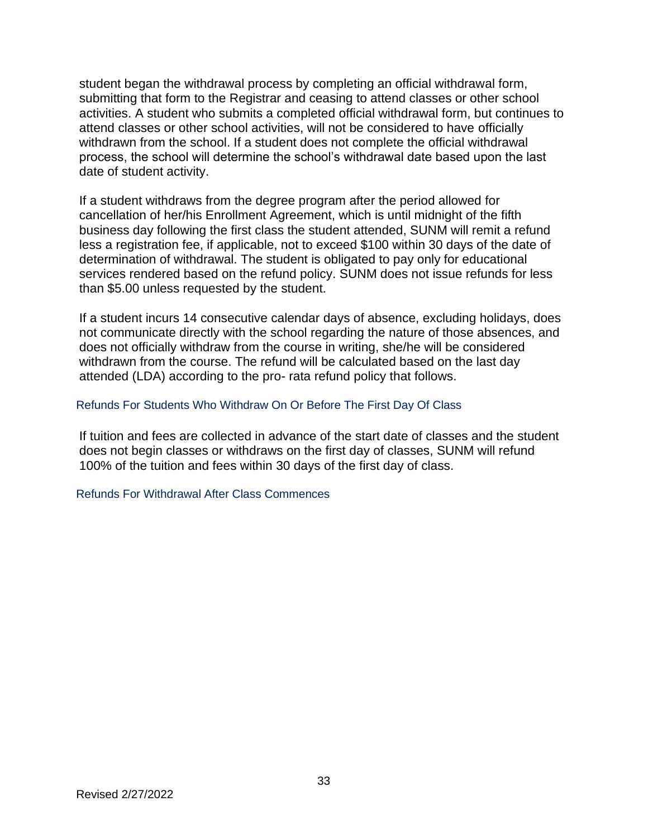student began the withdrawal process by completing an official withdrawal form, submitting that form to the Registrar and ceasing to attend classes or other school activities. A student who submits a completed official withdrawal form, but continues to attend classes or other school activities, will not be considered to have officially withdrawn from the school. If a student does not complete the official withdrawal process, the school will determine the school's withdrawal date based upon the last date of student activity.

If a student withdraws from the degree program after the period allowed for cancellation of her/his Enrollment Agreement, which is until midnight of the fifth business day following the first class the student attended, SUNM will remit a refund less a registration fee, if applicable, not to exceed \$100 within 30 days of the date of determination of withdrawal. The student is obligated to pay only for educational services rendered based on the refund policy. SUNM does not issue refunds for less than \$5.00 unless requested by the student.

If a student incurs 14 consecutive calendar days of absence, excluding holidays, does not communicate directly with the school regarding the nature of those absences, and does not officially withdraw from the course in writing, she/he will be considered withdrawn from the course. The refund will be calculated based on the last day attended (LDA) according to the pro- rata refund policy that follows.

#### <span id="page-32-0"></span>Refunds For Students Who Withdraw On Or Before The First Day Of Class

If tuition and fees are collected in advance of the start date of classes and the student does not begin classes or withdraws on the first day of classes, SUNM will refund 100% of the tuition and fees within 30 days of the first day of class.

#### <span id="page-32-1"></span>Refunds For Withdrawal After Class Commences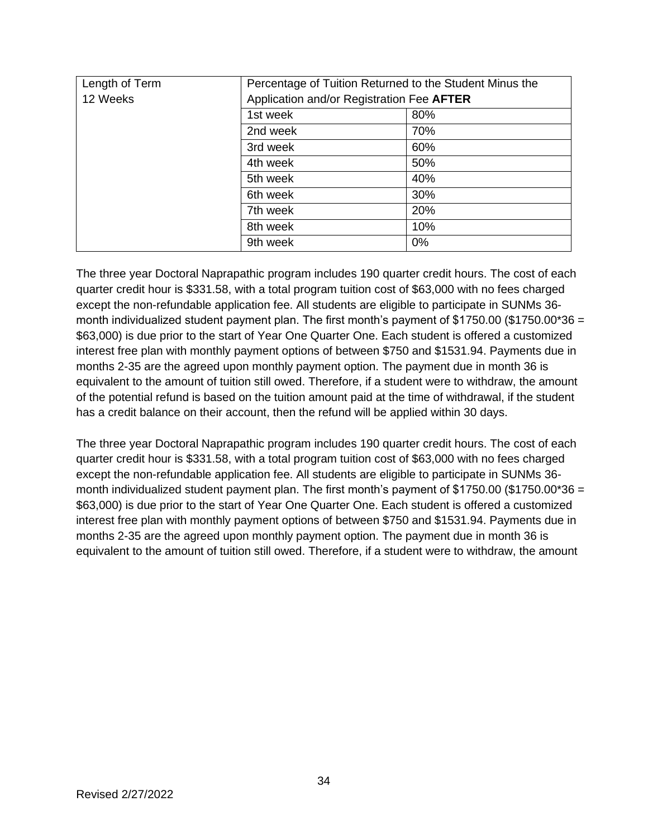| Length of Term | Percentage of Tuition Returned to the Student Minus the |     |  |
|----------------|---------------------------------------------------------|-----|--|
| 12 Weeks       | Application and/or Registration Fee AFTER               |     |  |
|                | 1st week                                                | 80% |  |
|                | 2nd week                                                | 70% |  |
|                | 3rd week                                                | 60% |  |
|                | 4th week                                                | 50% |  |
|                | 5th week                                                | 40% |  |
|                | 6th week                                                | 30% |  |
|                | 7th week                                                | 20% |  |
|                | 8th week                                                | 10% |  |
|                | 9th week                                                | 0%  |  |

The three year Doctoral Naprapathic program includes 190 quarter credit hours. The cost of each quarter credit hour is \$331.58, with a total program tuition cost of \$63,000 with no fees charged except the non-refundable application fee. All students are eligible to participate in SUNMs 36 month individualized student payment plan. The first month's payment of \$1750.00 (\$1750.00\*36 = \$63,000) is due prior to the start of Year One Quarter One. Each student is offered a customized interest free plan with monthly payment options of between \$750 and \$1531.94. Payments due in months 2-35 are the agreed upon monthly payment option. The payment due in month 36 is equivalent to the amount of tuition still owed. Therefore, if a student were to withdraw, the amount of the potential refund is based on the tuition amount paid at the time of withdrawal, if the student has a credit balance on their account, then the refund will be applied within 30 days.

The three year Doctoral Naprapathic program includes 190 quarter credit hours. The cost of each quarter credit hour is \$331.58, with a total program tuition cost of \$63,000 with no fees charged except the non-refundable application fee. All students are eligible to participate in SUNMs 36 month individualized student payment plan. The first month's payment of \$1750.00 (\$1750.00\*36 = \$63,000) is due prior to the start of Year One Quarter One. Each student is offered a customized interest free plan with monthly payment options of between \$750 and \$1531.94. Payments due in months 2-35 are the agreed upon monthly payment option. The payment due in month 36 is equivalent to the amount of tuition still owed. Therefore, if a student were to withdraw, the amount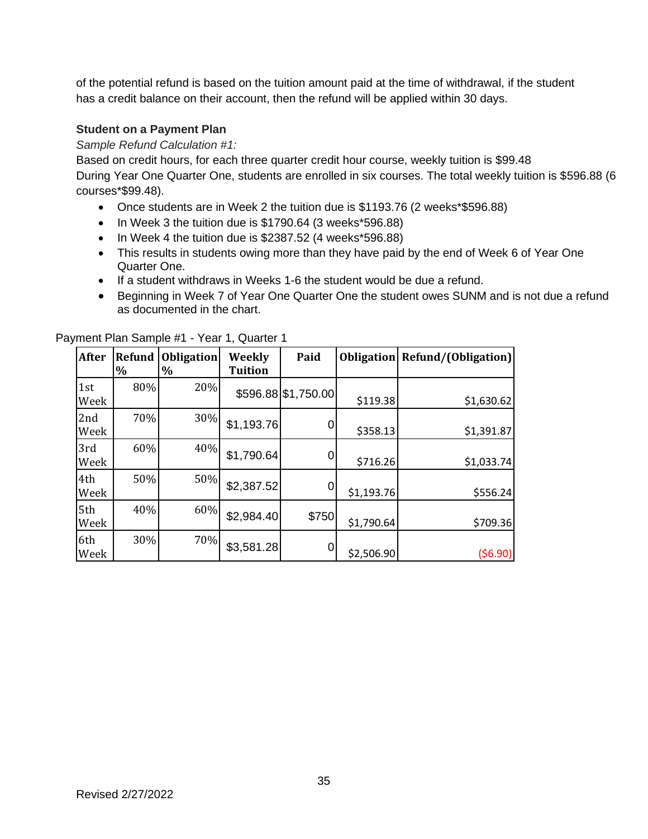of the potential refund is based on the tuition amount paid at the time of withdrawal, if the student has a credit balance on their account, then the refund will be applied within 30 days.

#### **Student on a Payment Plan**

*Sample Refund Calculation #1:* 

Based on credit hours, for each three quarter credit hour course, weekly tuition is \$99.48 During Year One Quarter One, students are enrolled in six courses. The total weekly tuition is \$596.88 (6 courses\*\$99.48).

- Once students are in Week 2 the tuition due is \$1193.76 (2 weeks\*\$596.88)
- In Week 3 the tuition due is \$1790.64 (3 weeks\*596.88)
- In Week 4 the tuition due is \$2387.52 (4 weeks\*596.88)
- This results in students owing more than they have paid by the end of Week 6 of Year One Quarter One.
- If a student withdraws in Weeks 1-6 the student would be due a refund.
- Beginning in Week 7 of Year One Quarter One the student owes SUNM and is not due a refund as documented in the chart.

| <b>After</b> | <b>Refund</b><br>% | <b>Obligation</b><br>$\%$ | Weekly<br><b>Tuition</b> | Paid                |            | <b>Obligation</b> Refund/(Obligation) |
|--------------|--------------------|---------------------------|--------------------------|---------------------|------------|---------------------------------------|
| 1st<br>Week  | 80%                | 20%                       |                          | \$596.88 \$1,750.00 | \$119.38   | \$1,630.62                            |
| 2nd<br>Week  | 70%                | 30%                       | \$1,193.76               |                     | \$358.13   | \$1,391.87                            |
| 3rd<br>Week  | 60%                | 40%                       | \$1,790.64               |                     | \$716.26   | \$1,033.74                            |
| 4th<br>Week  | 50%                | 50%                       | \$2,387.52               | 0                   | \$1,193.76 | \$556.24                              |
| 5th<br>Week  | 40%                | 60%                       | \$2,984.40               | \$750               | \$1,790.64 | \$709.36                              |
| 6th<br>Week  | 30%                | 70%                       | \$3,581.28               |                     | \$2,506.90 | (56.90)                               |

Payment Plan Sample #1 - Year 1, Quarter 1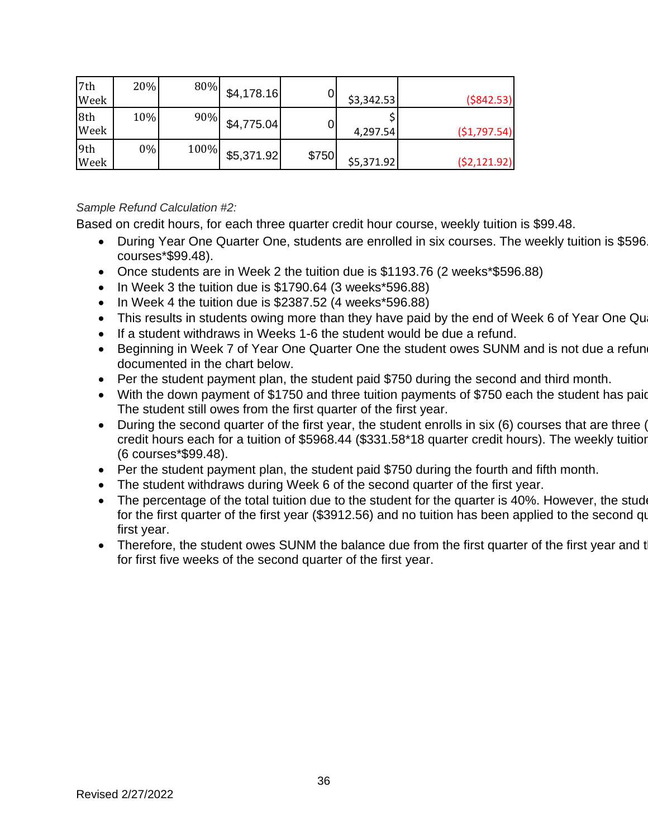| 7th<br>Week | 20% | 80%  | \$4,178.16 |       | \$3,342.53 | ( \$842.53)  |
|-------------|-----|------|------------|-------|------------|--------------|
| 8th<br>Week | 10% | 90%  | \$4,775.04 |       | 4,297.54   | (51,797.54)  |
| 9th<br>Week | 0%  | 100% | \$5,371.92 | \$750 | \$5,371.92 | (52, 121.92) |

## *Sample Refund Calculation #2:*

Based on credit hours, for each three quarter credit hour course, weekly tuition is \$99.48.

- During Year One Quarter One, students are enrolled in six courses. The weekly tuition is \$596 courses\*\$99.48).
- Once students are in Week 2 the tuition due is \$1193.76 (2 weeks\*\$596.88)
- In Week 3 the tuition due is \$1790.64 (3 weeks\*596.88)
- In Week 4 the tuition due is \$2387.52 (4 weeks\*596.88)
- This results in students owing more than they have paid by the end of Week 6 of Year One Qu
- If a student withdraws in Weeks 1-6 the student would be due a refund.
- Beginning in Week 7 of Year One Quarter One the student owes SUNM and is not due a refun documented in the chart below.
- Per the student payment plan, the student paid \$750 during the second and third month.
- With the down payment of \$1750 and three tuition payments of \$750 each the student has paid The student still owes from the first quarter of the first year.
- During the second quarter of the first year, the student enrolls in six (6) courses that are three (3) credit hours each for a tuition of \$5968.44 (\$331.58\*18 quarter credit hours). The weekly tuitior (6 courses\*\$99.48).
- Per the student payment plan, the student paid \$750 during the fourth and fifth month.
- The student withdraws during Week 6 of the second quarter of the first year.
- The percentage of the total tuition due to the student for the quarter is 40%. However, the student still for the first quarter of the first year (\$3912.56) and no tuition has been applied to the second quarter of the first year (\$3912.56) and no tuition has been applied to the second qu first year.
- Therefore, the student owes SUNM the balance due from the first quarter of the first year and t for first five weeks of the second quarter of the first year.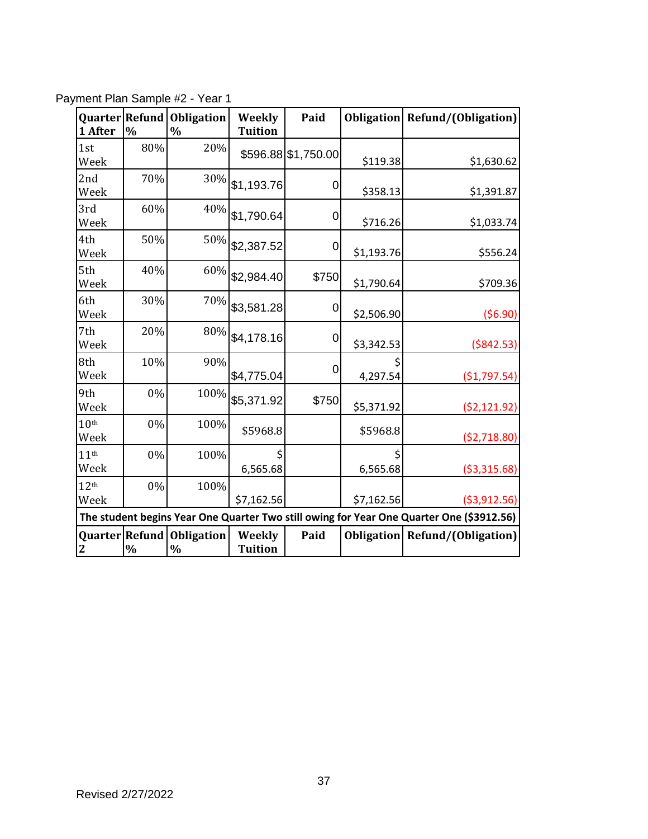| Quarter Refund<br>1 After | $\frac{0}{0}$                                                                            | <b>Obligation</b><br>$\%$ | Weekly<br><b>Tuition</b>        | Paid                | <b>Obligation</b> | Refund/(Obligation) |
|---------------------------|------------------------------------------------------------------------------------------|---------------------------|---------------------------------|---------------------|-------------------|---------------------|
| 1st<br>Week               | 80%                                                                                      | 20%                       |                                 | \$596.88 \$1,750.00 | \$119.38          | \$1,630.62          |
| 2nd<br>Week               | 70%                                                                                      |                           | $30\%$ \$1,193.76               | 0                   | \$358.13          | \$1,391.87          |
| 3rd<br>Week               | 60%                                                                                      | 40%                       | \$1,790.64                      | 0                   | \$716.26          | \$1,033.74          |
| 4th<br>Week               | 50%                                                                                      |                           | $50\%$ \$2,387.52               | 0                   | \$1,193.76        | \$556.24            |
| 5th<br>Week               | 40%                                                                                      | 60%                       | \$2,984.40                      | \$750               | \$1,790.64        | \$709.36            |
| 6th<br>Week               | 30%                                                                                      |                           | $70\%$ \$3,581.28               | 0                   | \$2,506.90        | (56.90)             |
| 7th<br>Week               | 20%                                                                                      | 80%                       | \$4,178.16                      | 0                   | \$3,342.53        | ( \$842.53)         |
| 8th<br>Week               | 10%                                                                                      | 90%                       | \$4,775.04                      | 0                   | 4,297.54          | (\$1,797.54)        |
| 9th<br>Week               | $0\%$                                                                                    |                           | 100% \$5,371.92                 | \$750               | \$5,371.92        | (52, 121.92)        |
| 10 <sup>th</sup><br>Week  | 0%                                                                                       | 100%                      | \$5968.8                        |                     | \$5968.8          | ( \$2,718.80)       |
| 11 <sup>th</sup><br>Week  | 0%                                                                                       | 100%                      | 6,565.68                        |                     | 6,565.68          | ( \$3,315.68)       |
| 12 <sup>th</sup><br>Week  | 0%                                                                                       | 100%                      | \$7,162.56                      |                     | \$7,162.56        | ( \$3, 912.56)      |
|                           | The student begins Year One Quarter Two still owing for Year One Quarter One (\$3912.56) |                           |                                 |                     |                   |                     |
| <b>2</b>                  | Quarter Refund<br>$\%$                                                                   | Obligation<br>$\%$        | <b>Weekly</b><br><b>Tuition</b> | Paid                | <b>Obligation</b> | Refund/(Obligation) |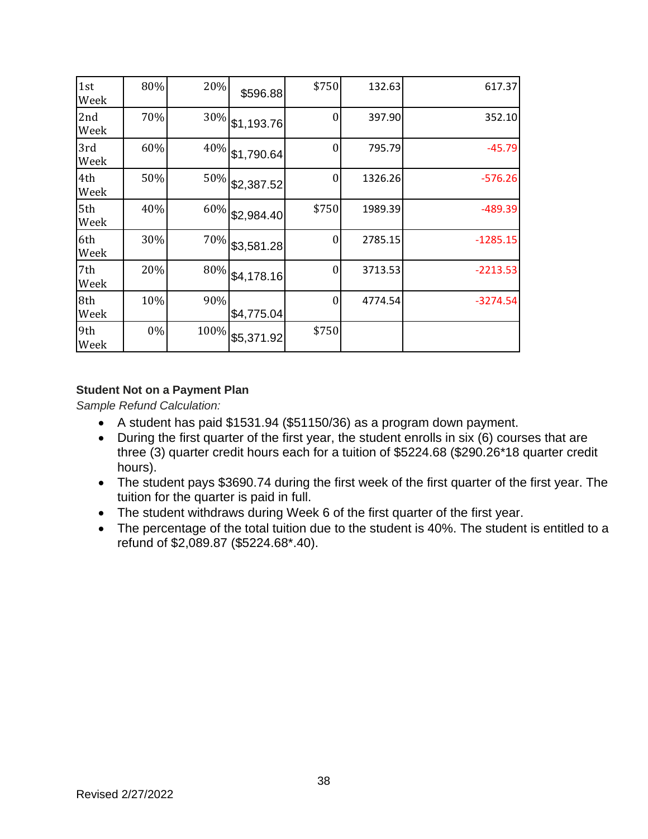| 1st<br>Week | 80% | 20%  | \$596.88   | \$750            | 132.63  | 617.37     |
|-------------|-----|------|------------|------------------|---------|------------|
| 2nd<br>Week | 70% | 30%  | \$1,193.76 | $\Omega$         | 397.90  | 352.10     |
| 3rd<br>Week | 60% | 40%  | \$1,790.64 | $\theta$         | 795.79  | $-45.79$   |
| 4th<br>Week | 50% | 50%  | \$2,387.52 | $\boldsymbol{0}$ | 1326.26 | $-576.26$  |
| 5th<br>Week | 40% | 60%  | \$2,984.40 | \$750            | 1989.39 | $-489.39$  |
| 6th<br>Week | 30% | 70%  | \$3,581.28 | $\Omega$         | 2785.15 | $-1285.15$ |
| 7th<br>Week | 20% | 80%  | \$4,178.16 | $\Omega$         | 3713.53 | $-2213.53$ |
| 8th<br>Week | 10% | 90%  | \$4,775.04 | $\theta$         | 4774.54 | $-3274.54$ |
| 9th<br>Week | 0%  | 100% | \$5,371.92 | \$750            |         |            |

# **Student Not on a Payment Plan**

*Sample Refund Calculation:* 

- A student has paid \$1531.94 (\$51150/36) as a program down payment.
- During the first quarter of the first year, the student enrolls in six (6) courses that are three (3) quarter credit hours each for a tuition of \$5224.68 (\$290.26\*18 quarter credit hours).
- The student pays \$3690.74 during the first week of the first quarter of the first year. The tuition for the quarter is paid in full.
- The student withdraws during Week 6 of the first quarter of the first year.
- The percentage of the total tuition due to the student is 40%. The student is entitled to a refund of \$2,089.87 (\$5224.68\*.40).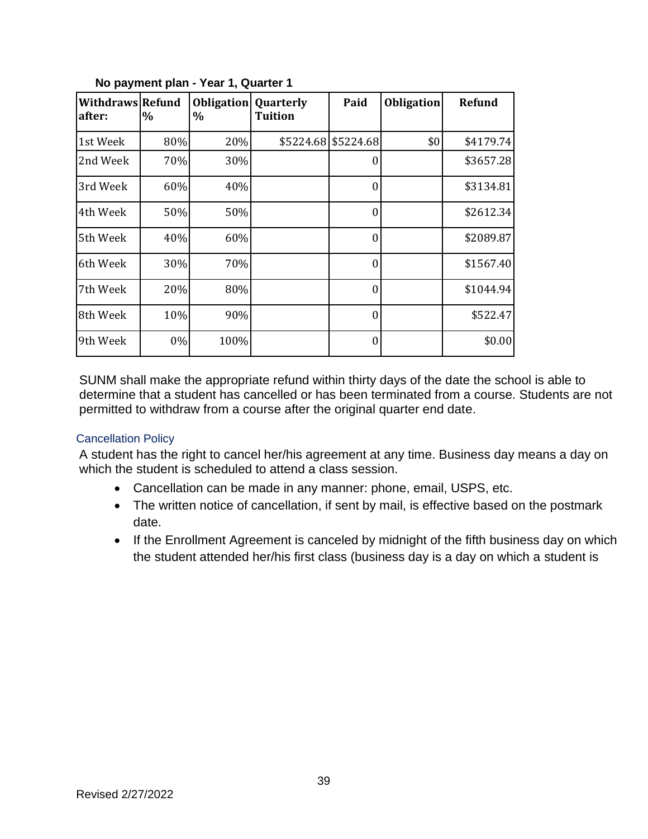| <b>Withdraws Refund</b><br>after: | $\%$ | <b>Obligation</b><br>$\%$ | <b>Quarterly</b><br><b>Tuition</b> | Paid      | <b>Obligation</b> | <b>Refund</b> |
|-----------------------------------|------|---------------------------|------------------------------------|-----------|-------------------|---------------|
| 1st Week                          | 80%  | 20%                       | \$5224.68                          | \$5224.68 | \$0               | \$4179.74     |
| 2nd Week                          | 70%  | 30%                       |                                    | $\Omega$  |                   | \$3657.28     |
| 3rd Week                          | 60%  | 40%                       |                                    | $\Omega$  |                   | \$3134.81     |
| 4th Week                          | 50%  | 50%                       |                                    | $\Omega$  |                   | \$2612.34     |
| 5th Week                          | 40%  | 60%                       |                                    | $\theta$  |                   | \$2089.87     |
| 6th Week                          | 30%  | 70%                       |                                    | $\Omega$  |                   | \$1567.40     |
| 7th Week                          | 20%  | 80%                       |                                    | $\Omega$  |                   | \$1044.94     |
| 8th Week                          | 10%  | 90%                       |                                    | $\Omega$  |                   | \$522.47      |
| 9th Week                          | 0%   | 100%                      |                                    | $\Omega$  |                   | \$0.00        |

### **No payment plan - Year 1, Quarter 1**

SUNM shall make the appropriate refund within thirty days of the date the school is able to determine that a student has cancelled or has been terminated from a course. Students are not permitted to withdraw from a course after the original quarter end date.

#### Cancellation Policy

A student has the right to cancel her/his agreement at any time. Business day means a day on which the student is scheduled to attend a class session.

- Cancellation can be made in any manner: phone, email, USPS, etc.
- The written notice of cancellation, if sent by mail, is effective based on the postmark date.
- If the Enrollment Agreement is canceled by midnight of the fifth business day on which the student attended her/his first class (business day is a day on which a student is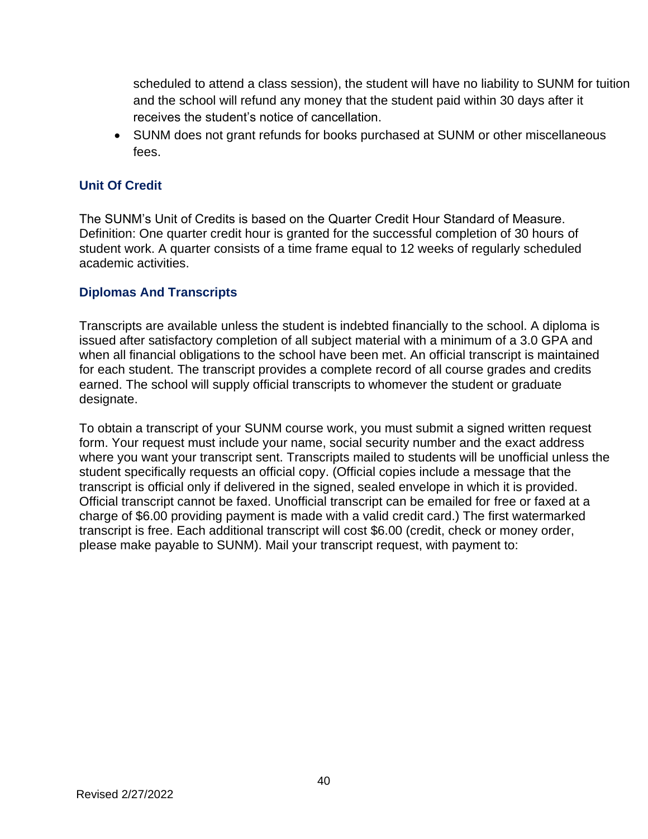scheduled to attend a class session), the student will have no liability to SUNM for tuition and the school will refund any money that the student paid within 30 days after it receives the student's notice of cancellation.

• SUNM does not grant refunds for books purchased at SUNM or other miscellaneous fees.

# **Unit Of Credit**

The SUNM's Unit of Credits is based on the Quarter Credit Hour Standard of Measure. Definition: One quarter credit hour is granted for the successful completion of 30 hours of student work. A quarter consists of a time frame equal to 12 weeks of regularly scheduled academic activities.

# **Diplomas And Transcripts**

Transcripts are available unless the student is indebted financially to the school. A diploma is issued after satisfactory completion of all subject material with a minimum of a 3.0 GPA and when all financial obligations to the school have been met. An official transcript is maintained for each student. The transcript provides a complete record of all course grades and credits earned. The school will supply official transcripts to whomever the student or graduate designate.

To obtain a transcript of your SUNM course work, you must submit a signed written request form. Your request must include your name, social security number and the exact address where you want your transcript sent. Transcripts mailed to students will be unofficial unless the student specifically requests an official copy. (Official copies include a message that the transcript is official only if delivered in the signed, sealed envelope in which it is provided. Official transcript cannot be faxed. Unofficial transcript can be emailed for free or faxed at a charge of \$6.00 providing payment is made with a valid credit card.) The first watermarked transcript is free. Each additional transcript will cost \$6.00 (credit, check or money order, please make payable to SUNM). Mail your transcript request, with payment to: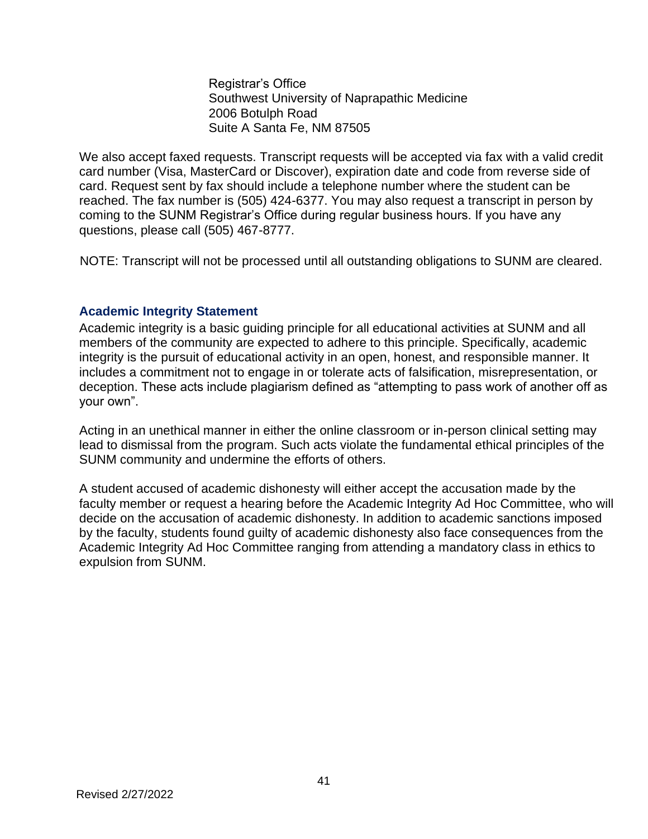Registrar's Office Southwest University of Naprapathic Medicine 2006 Botulph Road Suite A Santa Fe, NM 87505

We also accept faxed requests. Transcript requests will be accepted via fax with a valid credit card number (Visa, MasterCard or Discover), expiration date and code from reverse side of card. Request sent by fax should include a telephone number where the student can be reached. The fax number is (505) 424-6377. You may also request a transcript in person by coming to the SUNM Registrar's Office during regular business hours. If you have any questions, please call (505) 467-8777.

NOTE: Transcript will not be processed until all outstanding obligations to SUNM are cleared.

# **Academic Integrity Statement**

Academic integrity is a basic guiding principle for all educational activities at SUNM and all members of the community are expected to adhere to this principle. Specifically, academic integrity is the pursuit of educational activity in an open, honest, and responsible manner. It includes a commitment not to engage in or tolerate acts of falsification, misrepresentation, or deception. These acts include plagiarism defined as "attempting to pass work of another off as your own".

Acting in an unethical manner in either the online classroom or in-person clinical setting may lead to dismissal from the program. Such acts violate the fundamental ethical principles of the SUNM community and undermine the efforts of others.

A student accused of academic dishonesty will either accept the accusation made by the faculty member or request a hearing before the Academic Integrity Ad Hoc Committee, who will decide on the accusation of academic dishonesty. In addition to academic sanctions imposed by the faculty, students found guilty of academic dishonesty also face consequences from the Academic Integrity Ad Hoc Committee ranging from attending a mandatory class in ethics to expulsion from SUNM.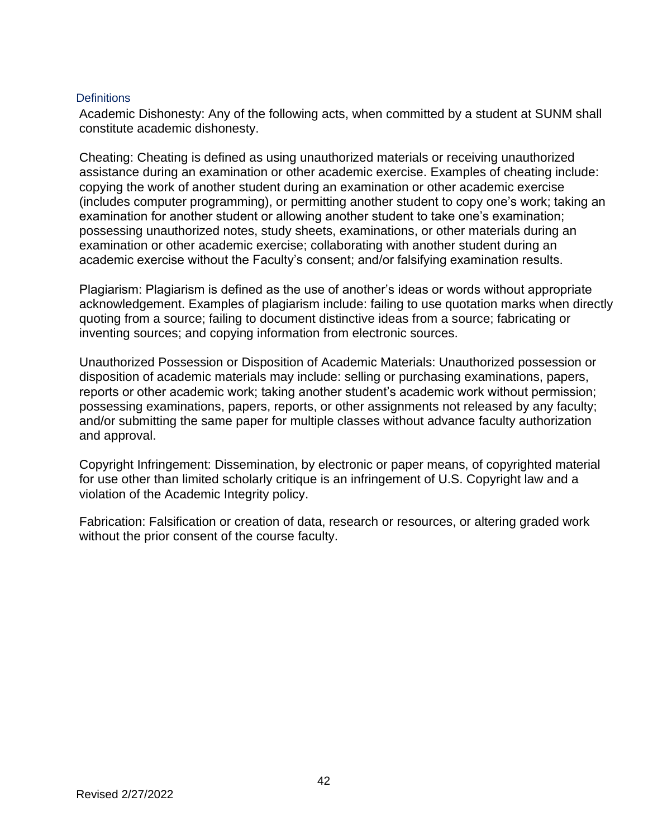#### **Definitions**

Academic Dishonesty: Any of the following acts, when committed by a student at SUNM shall constitute academic dishonesty.

Cheating: Cheating is defined as using unauthorized materials or receiving unauthorized assistance during an examination or other academic exercise. Examples of cheating include: copying the work of another student during an examination or other academic exercise (includes computer programming), or permitting another student to copy one's work; taking an examination for another student or allowing another student to take one's examination; possessing unauthorized notes, study sheets, examinations, or other materials during an examination or other academic exercise; collaborating with another student during an academic exercise without the Faculty's consent; and/or falsifying examination results.

Plagiarism: Plagiarism is defined as the use of another's ideas or words without appropriate acknowledgement. Examples of plagiarism include: failing to use quotation marks when directly quoting from a source; failing to document distinctive ideas from a source; fabricating or inventing sources; and copying information from electronic sources.

Unauthorized Possession or Disposition of Academic Materials: Unauthorized possession or disposition of academic materials may include: selling or purchasing examinations, papers, reports or other academic work; taking another student's academic work without permission; possessing examinations, papers, reports, or other assignments not released by any faculty; and/or submitting the same paper for multiple classes without advance faculty authorization and approval.

Copyright Infringement: Dissemination, by electronic or paper means, of copyrighted material for use other than limited scholarly critique is an infringement of U.S. Copyright law and a violation of the Academic Integrity policy.

Fabrication: Falsification or creation of data, research or resources, or altering graded work without the prior consent of the course faculty.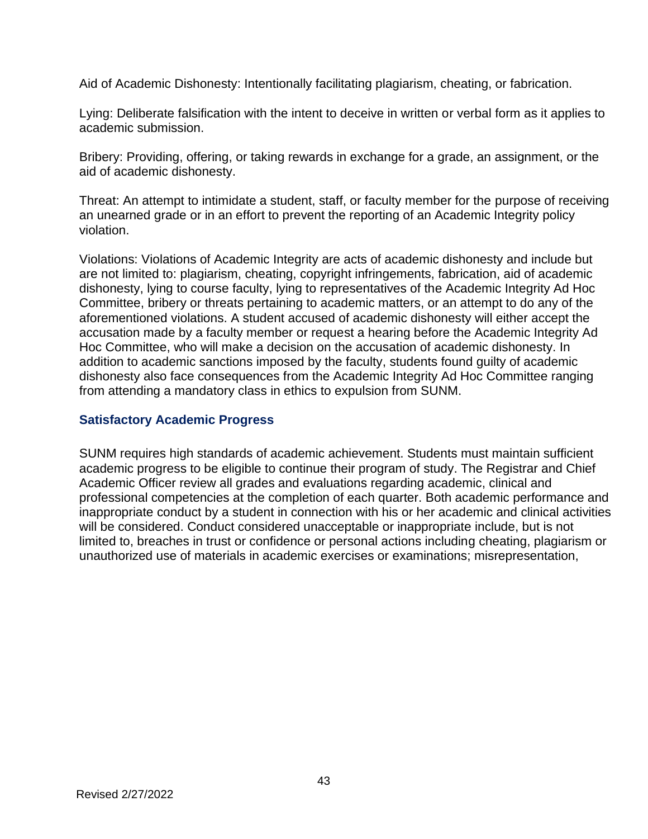Aid of Academic Dishonesty: Intentionally facilitating plagiarism, cheating, or fabrication.

Lying: Deliberate falsification with the intent to deceive in written or verbal form as it applies to academic submission.

Bribery: Providing, offering, or taking rewards in exchange for a grade, an assignment, or the aid of academic dishonesty.

Threat: An attempt to intimidate a student, staff, or faculty member for the purpose of receiving an unearned grade or in an effort to prevent the reporting of an Academic Integrity policy violation.

Violations: Violations of Academic Integrity are acts of academic dishonesty and include but are not limited to: plagiarism, cheating, copyright infringements, fabrication, aid of academic dishonesty, lying to course faculty, lying to representatives of the Academic Integrity Ad Hoc Committee, bribery or threats pertaining to academic matters, or an attempt to do any of the aforementioned violations. A student accused of academic dishonesty will either accept the accusation made by a faculty member or request a hearing before the Academic Integrity Ad Hoc Committee, who will make a decision on the accusation of academic dishonesty. In addition to academic sanctions imposed by the faculty, students found guilty of academic dishonesty also face consequences from the Academic Integrity Ad Hoc Committee ranging from attending a mandatory class in ethics to expulsion from SUNM.

# **Satisfactory Academic Progress**

SUNM requires high standards of academic achievement. Students must maintain sufficient academic progress to be eligible to continue their program of study. The Registrar and Chief Academic Officer review all grades and evaluations regarding academic, clinical and professional competencies at the completion of each quarter. Both academic performance and inappropriate conduct by a student in connection with his or her academic and clinical activities will be considered. Conduct considered unacceptable or inappropriate include, but is not limited to, breaches in trust or confidence or personal actions including cheating, plagiarism or unauthorized use of materials in academic exercises or examinations; misrepresentation,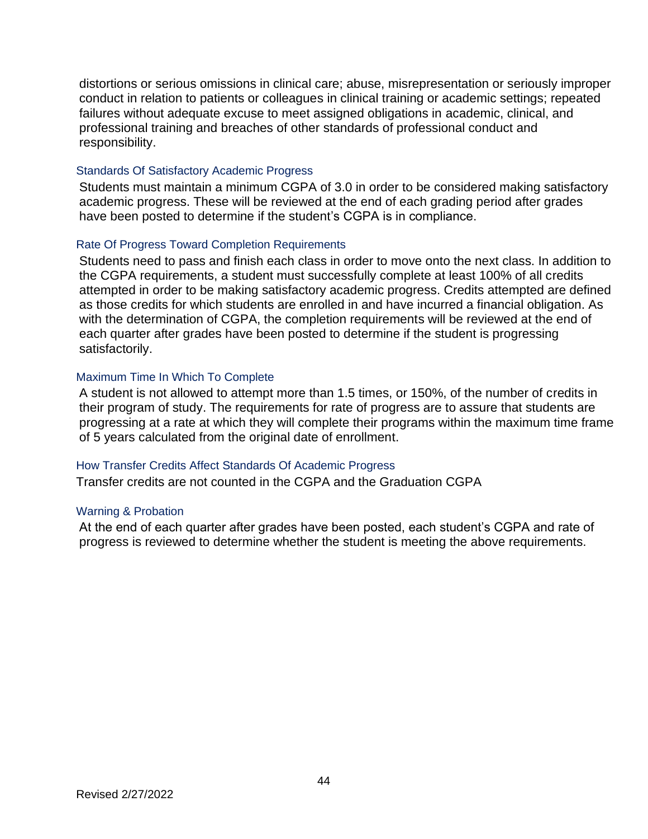distortions or serious omissions in clinical care; abuse, misrepresentation or seriously improper conduct in relation to patients or colleagues in clinical training or academic settings; repeated failures without adequate excuse to meet assigned obligations in academic, clinical, and professional training and breaches of other standards of professional conduct and responsibility.

#### Standards Of Satisfactory Academic Progress

Students must maintain a minimum CGPA of 3.0 in order to be considered making satisfactory academic progress. These will be reviewed at the end of each grading period after grades have been posted to determine if the student's CGPA is in compliance.

#### Rate Of Progress Toward Completion Requirements

Students need to pass and finish each class in order to move onto the next class. In addition to the CGPA requirements, a student must successfully complete at least 100% of all credits attempted in order to be making satisfactory academic progress. Credits attempted are defined as those credits for which students are enrolled in and have incurred a financial obligation. As with the determination of CGPA, the completion requirements will be reviewed at the end of each quarter after grades have been posted to determine if the student is progressing satisfactorily.

#### Maximum Time In Which To Complete

A student is not allowed to attempt more than 1.5 times, or 150%, of the number of credits in their program of study. The requirements for rate of progress are to assure that students are progressing at a rate at which they will complete their programs within the maximum time frame of 5 years calculated from the original date of enrollment.

#### How Transfer Credits Affect Standards Of Academic Progress

Transfer credits are not counted in the CGPA and the Graduation CGPA

#### Warning & Probation

At the end of each quarter after grades have been posted, each student's CGPA and rate of progress is reviewed to determine whether the student is meeting the above requirements.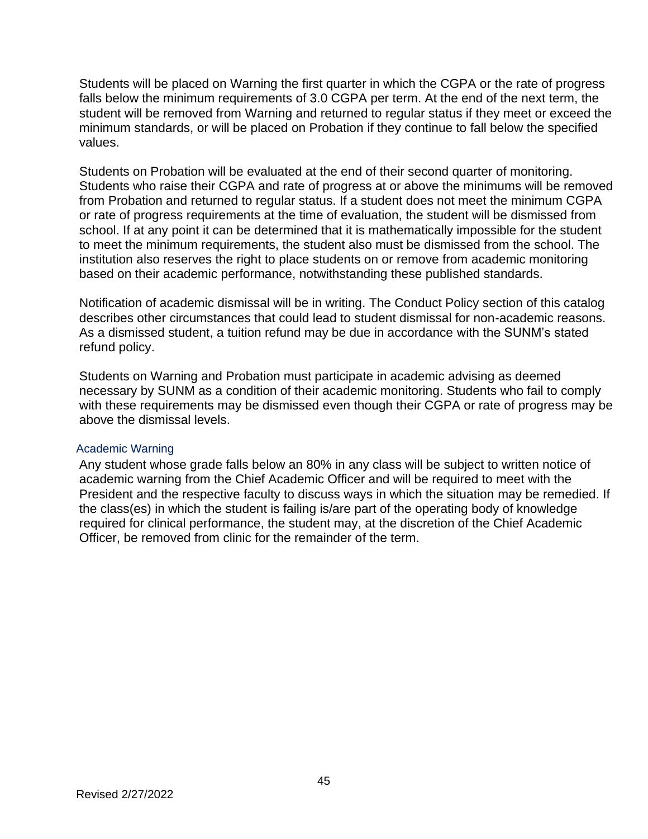Students will be placed on Warning the first quarter in which the CGPA or the rate of progress falls below the minimum requirements of 3.0 CGPA per term. At the end of the next term, the student will be removed from Warning and returned to regular status if they meet or exceed the minimum standards, or will be placed on Probation if they continue to fall below the specified values.

Students on Probation will be evaluated at the end of their second quarter of monitoring. Students who raise their CGPA and rate of progress at or above the minimums will be removed from Probation and returned to regular status. If a student does not meet the minimum CGPA or rate of progress requirements at the time of evaluation, the student will be dismissed from school. If at any point it can be determined that it is mathematically impossible for the student to meet the minimum requirements, the student also must be dismissed from the school. The institution also reserves the right to place students on or remove from academic monitoring based on their academic performance, notwithstanding these published standards.

Notification of academic dismissal will be in writing. The Conduct Policy section of this catalog describes other circumstances that could lead to student dismissal for non-academic reasons. As a dismissed student, a tuition refund may be due in accordance with the SUNM's stated refund policy.

Students on Warning and Probation must participate in academic advising as deemed necessary by SUNM as a condition of their academic monitoring. Students who fail to comply with these requirements may be dismissed even though their CGPA or rate of progress may be above the dismissal levels.

#### Academic Warning

Any student whose grade falls below an 80% in any class will be subject to written notice of academic warning from the Chief Academic Officer and will be required to meet with the President and the respective faculty to discuss ways in which the situation may be remedied. If the class(es) in which the student is failing is/are part of the operating body of knowledge required for clinical performance, the student may, at the discretion of the Chief Academic Officer, be removed from clinic for the remainder of the term.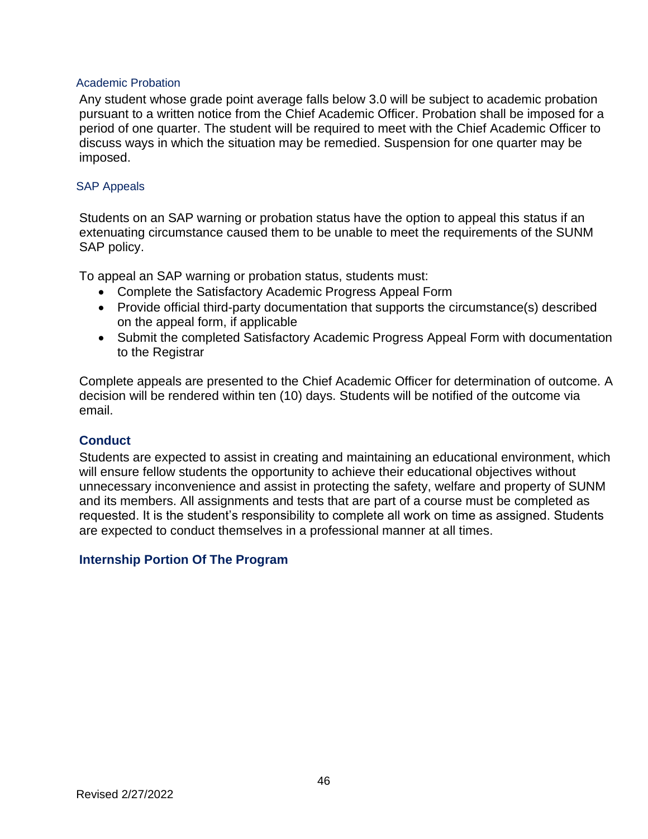#### Academic Probation

Any student whose grade point average falls below 3.0 will be subject to academic probation pursuant to a written notice from the Chief Academic Officer. Probation shall be imposed for a period of one quarter. The student will be required to meet with the Chief Academic Officer to discuss ways in which the situation may be remedied. Suspension for one quarter may be imposed.

#### SAP Appeals

Students on an SAP warning or probation status have the option to appeal this status if an extenuating circumstance caused them to be unable to meet the requirements of the SUNM SAP policy.

To appeal an SAP warning or probation status, students must:

- Complete the Satisfactory Academic Progress Appeal Form
- Provide official third-party documentation that supports the circumstance(s) described on the appeal form, if applicable
- Submit the completed Satisfactory Academic Progress Appeal Form with documentation to the Registrar

Complete appeals are presented to the Chief Academic Officer for determination of outcome. A decision will be rendered within ten (10) days. Students will be notified of the outcome via email.

#### **Conduct**

Students are expected to assist in creating and maintaining an educational environment, which will ensure fellow students the opportunity to achieve their educational objectives without unnecessary inconvenience and assist in protecting the safety, welfare and property of SUNM and its members. All assignments and tests that are part of a course must be completed as requested. It is the student's responsibility to complete all work on time as assigned. Students are expected to conduct themselves in a professional manner at all times.

# **Internship Portion Of The Program**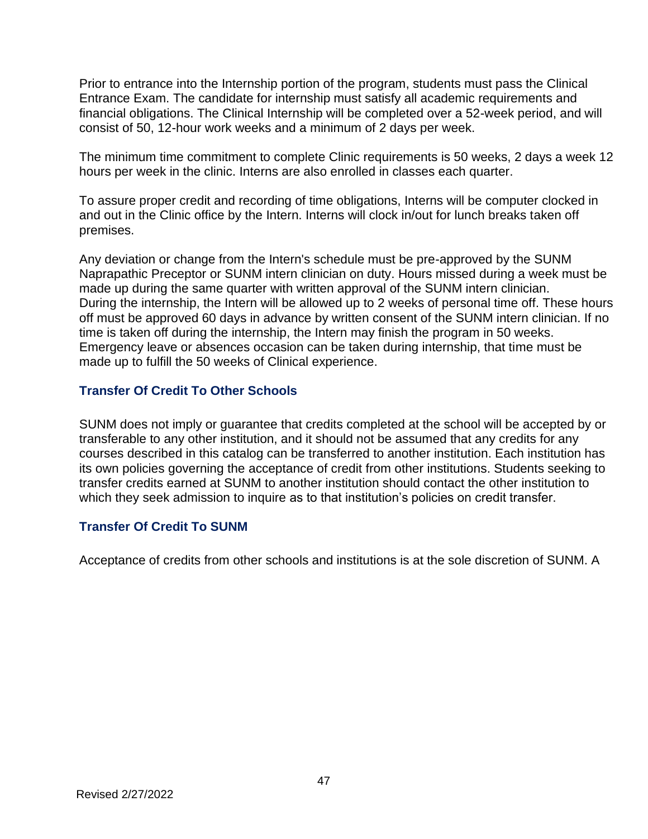Prior to entrance into the Internship portion of the program, students must pass the Clinical Entrance Exam. The candidate for internship must satisfy all academic requirements and financial obligations. The Clinical Internship will be completed over a 52-week period, and will consist of 50, 12-hour work weeks and a minimum of 2 days per week.

The minimum time commitment to complete Clinic requirements is 50 weeks, 2 days a week 12 hours per week in the clinic. Interns are also enrolled in classes each quarter.

To assure proper credit and recording of time obligations, Interns will be computer clocked in and out in the Clinic office by the Intern. Interns will clock in/out for lunch breaks taken off premises.

Any deviation or change from the Intern's schedule must be pre-approved by the SUNM Naprapathic Preceptor or SUNM intern clinician on duty. Hours missed during a week must be made up during the same quarter with written approval of the SUNM intern clinician. During the internship, the Intern will be allowed up to 2 weeks of personal time off. These hours off must be approved 60 days in advance by written consent of the SUNM intern clinician. If no time is taken off during the internship, the Intern may finish the program in 50 weeks. Emergency leave or absences occasion can be taken during internship, that time must be made up to fulfill the 50 weeks of Clinical experience.

# **Transfer Of Credit To Other Schools**

SUNM does not imply or guarantee that credits completed at the school will be accepted by or transferable to any other institution, and it should not be assumed that any credits for any courses described in this catalog can be transferred to another institution. Each institution has its own policies governing the acceptance of credit from other institutions. Students seeking to transfer credits earned at SUNM to another institution should contact the other institution to which they seek admission to inquire as to that institution's policies on credit transfer.

# **Transfer Of Credit To SUNM**

Acceptance of credits from other schools and institutions is at the sole discretion of SUNM. A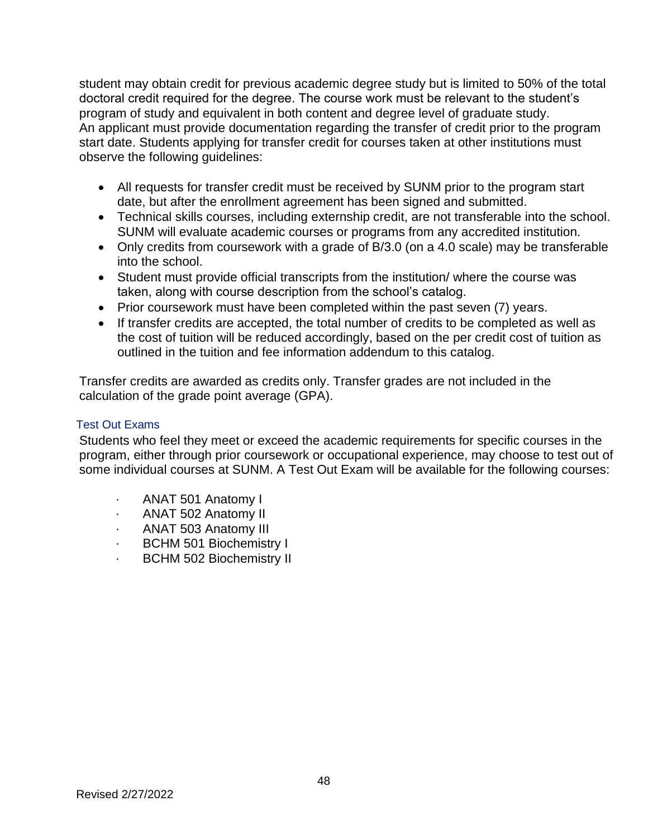student may obtain credit for previous academic degree study but is limited to 50% of the total doctoral credit required for the degree. The course work must be relevant to the student's program of study and equivalent in both content and degree level of graduate study. An applicant must provide documentation regarding the transfer of credit prior to the program start date. Students applying for transfer credit for courses taken at other institutions must observe the following guidelines:

- All requests for transfer credit must be received by SUNM prior to the program start date, but after the enrollment agreement has been signed and submitted.
- Technical skills courses, including externship credit, are not transferable into the school. SUNM will evaluate academic courses or programs from any accredited institution.
- Only credits from coursework with a grade of B/3.0 (on a 4.0 scale) may be transferable into the school.
- Student must provide official transcripts from the institution/ where the course was taken, along with course description from the school's catalog.
- Prior coursework must have been completed within the past seven (7) years.
- If transfer credits are accepted, the total number of credits to be completed as well as the cost of tuition will be reduced accordingly, based on the per credit cost of tuition as outlined in the tuition and fee information addendum to this catalog.

Transfer credits are awarded as credits only. Transfer grades are not included in the calculation of the grade point average (GPA).

# Test Out Exams

Students who feel they meet or exceed the academic requirements for specific courses in the program, either through prior coursework or occupational experience, may choose to test out of some individual courses at SUNM. A Test Out Exam will be available for the following courses:

- · ANAT 501 Anatomy I
- · ANAT 502 Anatomy II
- · ANAT 503 Anatomy III
- BCHM 501 Biochemistry I
- BCHM 502 Biochemistry II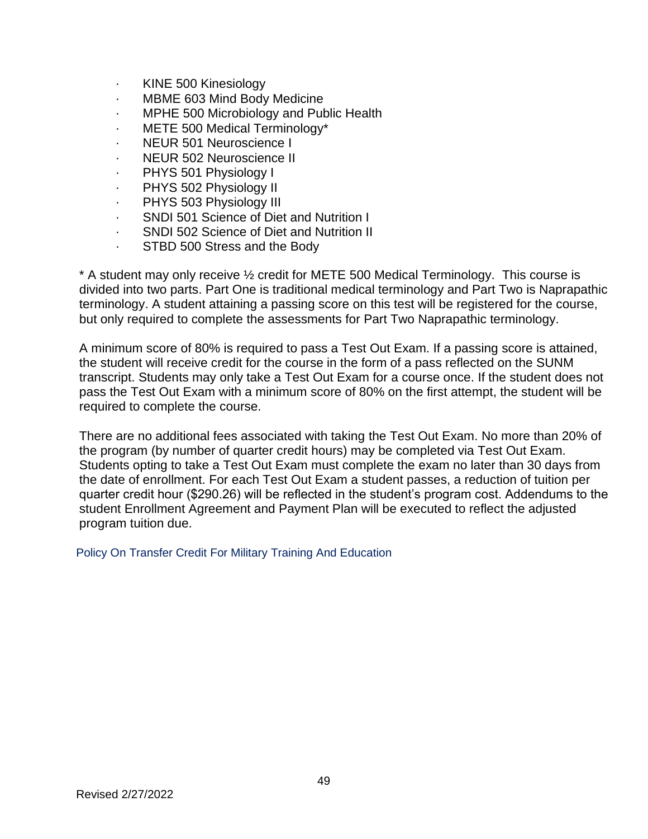- · KINE 500 Kinesiology
- MBME 603 Mind Body Medicine
- · MPHE 500 Microbiology and Public Health
- · METE 500 Medical Terminology\*
- NEUR 501 Neuroscience I
- NEUR 502 Neuroscience II
- · PHYS 501 Physiology I
- PHYS 502 Physiology II
- PHYS 503 Physiology III
- · SNDI 501 Science of Diet and Nutrition I
- SNDI 502 Science of Diet and Nutrition II
- STBD 500 Stress and the Body

\* A student may only receive ½ credit for METE 500 Medical Terminology. This course is divided into two parts. Part One is traditional medical terminology and Part Two is Naprapathic terminology. A student attaining a passing score on this test will be registered for the course, but only required to complete the assessments for Part Two Naprapathic terminology.

A minimum score of 80% is required to pass a Test Out Exam. If a passing score is attained, the student will receive credit for the course in the form of a pass reflected on the SUNM transcript. Students may only take a Test Out Exam for a course once. If the student does not pass the Test Out Exam with a minimum score of 80% on the first attempt, the student will be required to complete the course.

There are no additional fees associated with taking the Test Out Exam. No more than 20% of the program (by number of quarter credit hours) may be completed via Test Out Exam. Students opting to take a Test Out Exam must complete the exam no later than 30 days from the date of enrollment. For each Test Out Exam a student passes, a reduction of tuition per quarter credit hour (\$290.26) will be reflected in the student's program cost. Addendums to the student Enrollment Agreement and Payment Plan will be executed to reflect the adjusted program tuition due.

Policy On Transfer Credit For Military Training And Education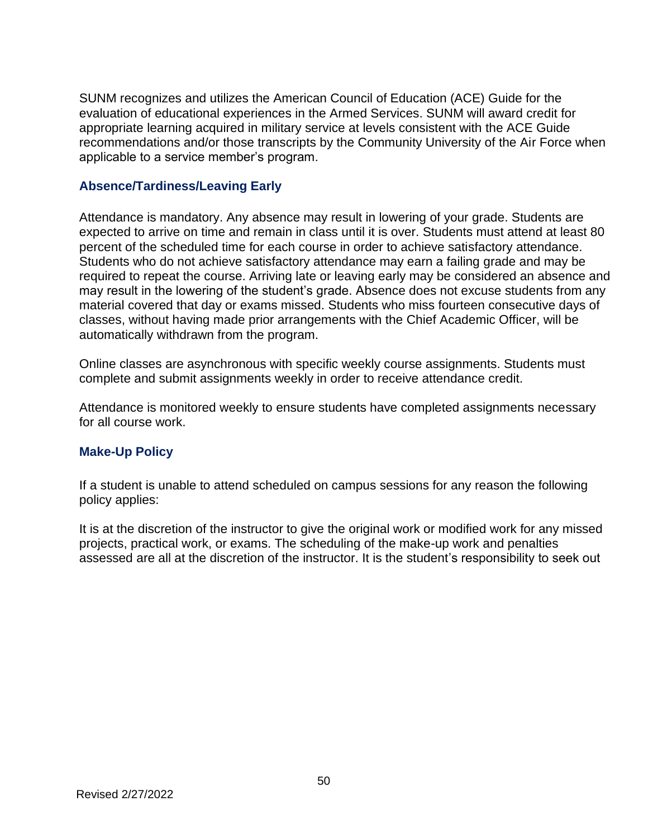SUNM recognizes and utilizes the American Council of Education (ACE) Guide for the evaluation of educational experiences in the Armed Services. SUNM will award credit for appropriate learning acquired in military service at levels consistent with the ACE Guide recommendations and/or those transcripts by the Community University of the Air Force when applicable to a service member's program.

## **Absence/Tardiness/Leaving Early**

Attendance is mandatory. Any absence may result in lowering of your grade. Students are expected to arrive on time and remain in class until it is over. Students must attend at least 80 percent of the scheduled time for each course in order to achieve satisfactory attendance. Students who do not achieve satisfactory attendance may earn a failing grade and may be required to repeat the course. Arriving late or leaving early may be considered an absence and may result in the lowering of the student's grade. Absence does not excuse students from any material covered that day or exams missed. Students who miss fourteen consecutive days of classes, without having made prior arrangements with the Chief Academic Officer, will be automatically withdrawn from the program.

Online classes are asynchronous with specific weekly course assignments. Students must complete and submit assignments weekly in order to receive attendance credit.

Attendance is monitored weekly to ensure students have completed assignments necessary for all course work.

# **Make-Up Policy**

If a student is unable to attend scheduled on campus sessions for any reason the following policy applies:

It is at the discretion of the instructor to give the original work or modified work for any missed projects, practical work, or exams. The scheduling of the make-up work and penalties assessed are all at the discretion of the instructor. It is the student's responsibility to seek out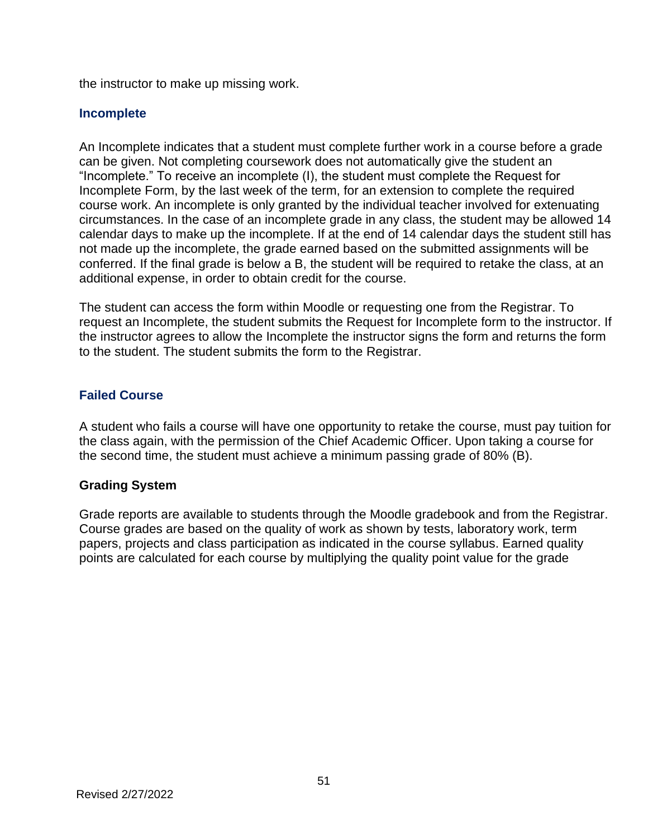the instructor to make up missing work.

# **Incomplete**

An Incomplete indicates that a student must complete further work in a course before a grade can be given. Not completing coursework does not automatically give the student an "Incomplete." To receive an incomplete (I), the student must complete the Request for Incomplete Form, by the last week of the term, for an extension to complete the required course work. An incomplete is only granted by the individual teacher involved for extenuating circumstances. In the case of an incomplete grade in any class, the student may be allowed 14 calendar days to make up the incomplete. If at the end of 14 calendar days the student still has not made up the incomplete, the grade earned based on the submitted assignments will be conferred. If the final grade is below a B, the student will be required to retake the class, at an additional expense, in order to obtain credit for the course.

The student can access the form within Moodle or requesting one from the Registrar. To request an Incomplete, the student submits the Request for Incomplete form to the instructor. If the instructor agrees to allow the Incomplete the instructor signs the form and returns the form to the student. The student submits the form to the Registrar.

# **Failed Course**

A student who fails a course will have one opportunity to retake the course, must pay tuition for the class again, with the permission of the Chief Academic Officer. Upon taking a course for the second time, the student must achieve a minimum passing grade of 80% (B).

# **Grading System**

Grade reports are available to students through the Moodle gradebook and from the Registrar. Course grades are based on the quality of work as shown by tests, laboratory work, term papers, projects and class participation as indicated in the course syllabus. Earned quality points are calculated for each course by multiplying the quality point value for the grade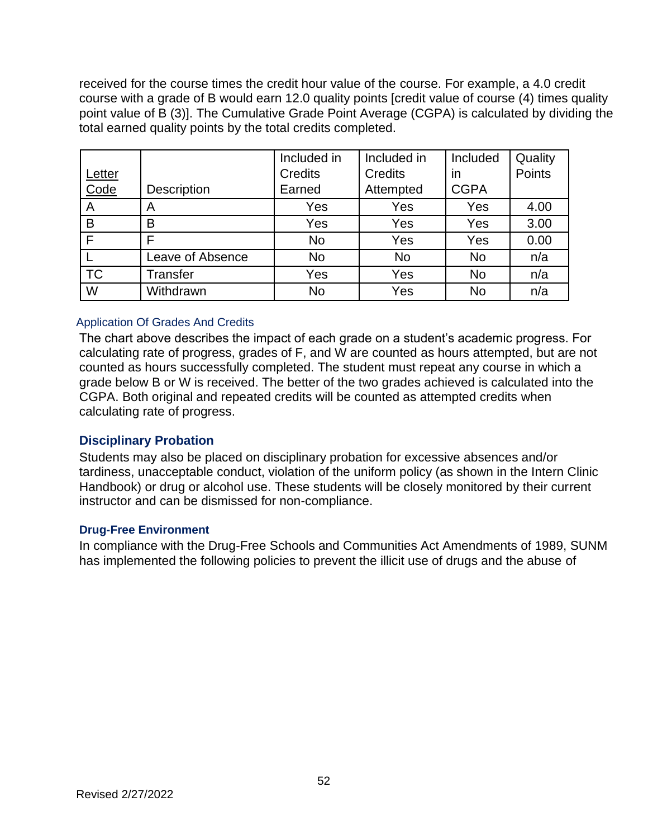received for the course times the credit hour value of the course. For example, a 4.0 credit course with a grade of B would earn 12.0 quality points [credit value of course (4) times quality point value of B (3)]. The Cumulative Grade Point Average (CGPA) is calculated by dividing the total earned quality points by the total credits completed.

|           |                         | Included in    | Included in    | Included    | Quality |
|-----------|-------------------------|----------------|----------------|-------------|---------|
| Letter    |                         | <b>Credits</b> | <b>Credits</b> | in          | Points  |
| Code      | <b>Description</b>      | Earned         | Attempted      | <b>CGPA</b> |         |
| A         | A                       | Yes            | Yes            | Yes         | 4.00    |
| B         | B                       | Yes            | Yes            | Yes         | 3.00    |
| Е         | Е                       | <b>No</b>      | Yes            | Yes         | 0.00    |
|           | <b>Leave of Absence</b> | No             | No             | <b>No</b>   | n/a     |
| <b>TC</b> | <b>Transfer</b>         | Yes            | Yes            | <b>No</b>   | n/a     |
| W         | Withdrawn               | No             | Yes            | <b>No</b>   | n/a     |

### Application Of Grades And Credits

The chart above describes the impact of each grade on a student's academic progress. For calculating rate of progress, grades of F, and W are counted as hours attempted, but are not counted as hours successfully completed. The student must repeat any course in which a grade below B or W is received. The better of the two grades achieved is calculated into the CGPA. Both original and repeated credits will be counted as attempted credits when calculating rate of progress.

# **Disciplinary Probation**

Students may also be placed on disciplinary probation for excessive absences and/or tardiness, unacceptable conduct, violation of the uniform policy (as shown in the Intern Clinic Handbook) or drug or alcohol use. These students will be closely monitored by their current instructor and can be dismissed for non-compliance.

#### **Drug-Free Environment**

In compliance with the Drug-Free Schools and Communities Act Amendments of 1989, SUNM has implemented the following policies to prevent the illicit use of drugs and the abuse of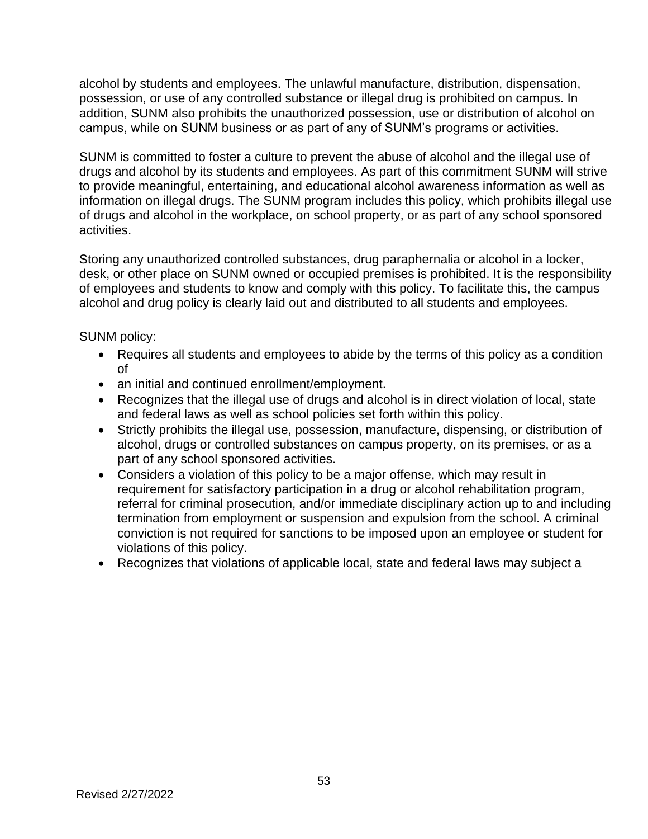alcohol by students and employees. The unlawful manufacture, distribution, dispensation, possession, or use of any controlled substance or illegal drug is prohibited on campus. In addition, SUNM also prohibits the unauthorized possession, use or distribution of alcohol on campus, while on SUNM business or as part of any of SUNM's programs or activities.

SUNM is committed to foster a culture to prevent the abuse of alcohol and the illegal use of drugs and alcohol by its students and employees. As part of this commitment SUNM will strive to provide meaningful, entertaining, and educational alcohol awareness information as well as information on illegal drugs. The SUNM program includes this policy, which prohibits illegal use of drugs and alcohol in the workplace, on school property, or as part of any school sponsored activities.

Storing any unauthorized controlled substances, drug paraphernalia or alcohol in a locker, desk, or other place on SUNM owned or occupied premises is prohibited. It is the responsibility of employees and students to know and comply with this policy. To facilitate this, the campus alcohol and drug policy is clearly laid out and distributed to all students and employees.

SUNM policy:

- Requires all students and employees to abide by the terms of this policy as a condition of
- an initial and continued enrollment/employment.
- Recognizes that the illegal use of drugs and alcohol is in direct violation of local, state and federal laws as well as school policies set forth within this policy.
- Strictly prohibits the illegal use, possession, manufacture, dispensing, or distribution of alcohol, drugs or controlled substances on campus property, on its premises, or as a part of any school sponsored activities.
- Considers a violation of this policy to be a major offense, which may result in requirement for satisfactory participation in a drug or alcohol rehabilitation program, referral for criminal prosecution, and/or immediate disciplinary action up to and including termination from employment or suspension and expulsion from the school. A criminal conviction is not required for sanctions to be imposed upon an employee or student for violations of this policy.
- Recognizes that violations of applicable local, state and federal laws may subject a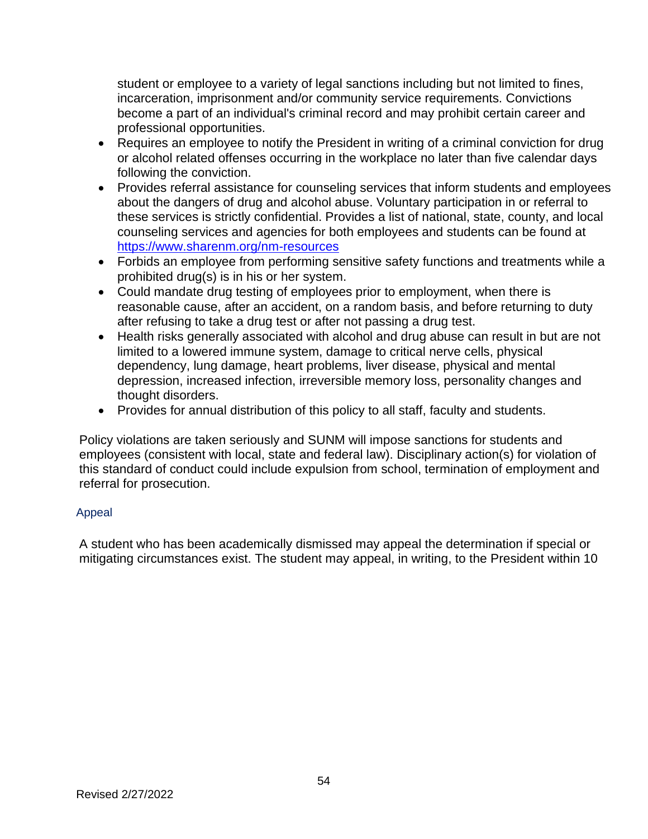student or employee to a variety of legal sanctions including but not limited to fines, incarceration, imprisonment and/or community service requirements. Convictions become a part of an individual's criminal record and may prohibit certain career and professional opportunities.

- Requires an employee to notify the President in writing of a criminal conviction for drug or alcohol related offenses occurring in the workplace no later than five calendar days following the conviction.
- Provides referral assistance for counseling services that inform students and employees about the dangers of drug and alcohol abuse. Voluntary participation in or referral to these services is strictly confidential. Provides a list of national, state, county, and local counseling services and agencies for both employees and students can be found at <https://www.sharenm.org/nm-resources>
- Forbids an employee from performing sensitive safety functions and treatments while a prohibited drug(s) is in his or her system.
- Could mandate drug testing of employees prior to employment, when there is reasonable cause, after an accident, on a random basis, and before returning to duty after refusing to take a drug test or after not passing a drug test.
- Health risks generally associated with alcohol and drug abuse can result in but are not limited to a lowered immune system, damage to critical nerve cells, physical dependency, lung damage, heart problems, liver disease, physical and mental depression, increased infection, irreversible memory loss, personality changes and thought disorders.
- Provides for annual distribution of this policy to all staff, faculty and students.

Policy violations are taken seriously and SUNM will impose sanctions for students and employees (consistent with local, state and federal law). Disciplinary action(s) for violation of this standard of conduct could include expulsion from school, termination of employment and referral for prosecution.

# Appeal

A student who has been academically dismissed may appeal the determination if special or mitigating circumstances exist. The student may appeal, in writing, to the President within 10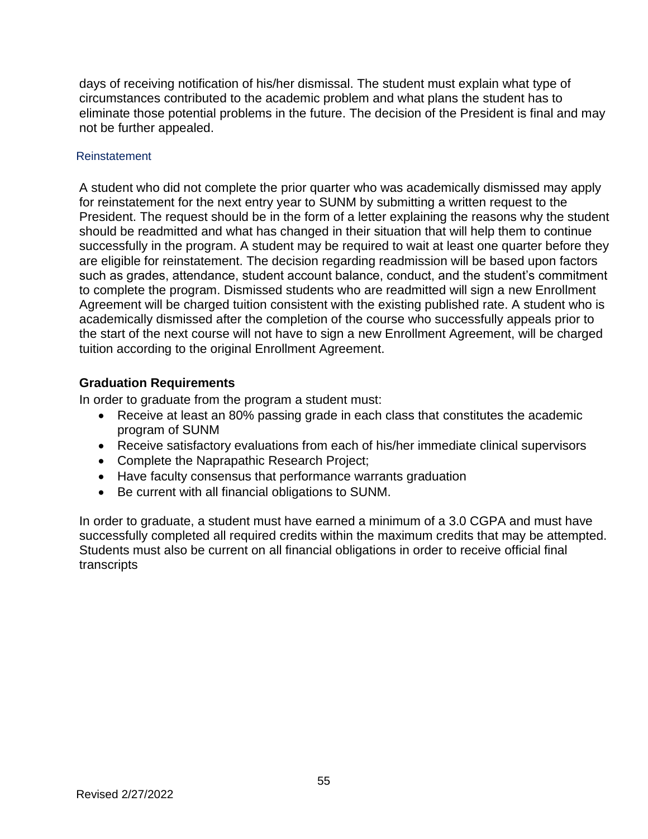days of receiving notification of his/her dismissal. The student must explain what type of circumstances contributed to the academic problem and what plans the student has to eliminate those potential problems in the future. The decision of the President is final and may not be further appealed.

### Reinstatement

A student who did not complete the prior quarter who was academically dismissed may apply for reinstatement for the next entry year to SUNM by submitting a written request to the President. The request should be in the form of a letter explaining the reasons why the student should be readmitted and what has changed in their situation that will help them to continue successfully in the program. A student may be required to wait at least one quarter before they are eligible for reinstatement. The decision regarding readmission will be based upon factors such as grades, attendance, student account balance, conduct, and the student's commitment to complete the program. Dismissed students who are readmitted will sign a new Enrollment Agreement will be charged tuition consistent with the existing published rate. A student who is academically dismissed after the completion of the course who successfully appeals prior to the start of the next course will not have to sign a new Enrollment Agreement, will be charged tuition according to the original Enrollment Agreement.

# **Graduation Requirements**

In order to graduate from the program a student must:

- Receive at least an 80% passing grade in each class that constitutes the academic program of SUNM
- Receive satisfactory evaluations from each of his/her immediate clinical supervisors
- Complete the Naprapathic Research Project;
- Have faculty consensus that performance warrants graduation
- Be current with all financial obligations to SUNM.

In order to graduate, a student must have earned a minimum of a 3.0 CGPA and must have successfully completed all required credits within the maximum credits that may be attempted. Students must also be current on all financial obligations in order to receive official final transcripts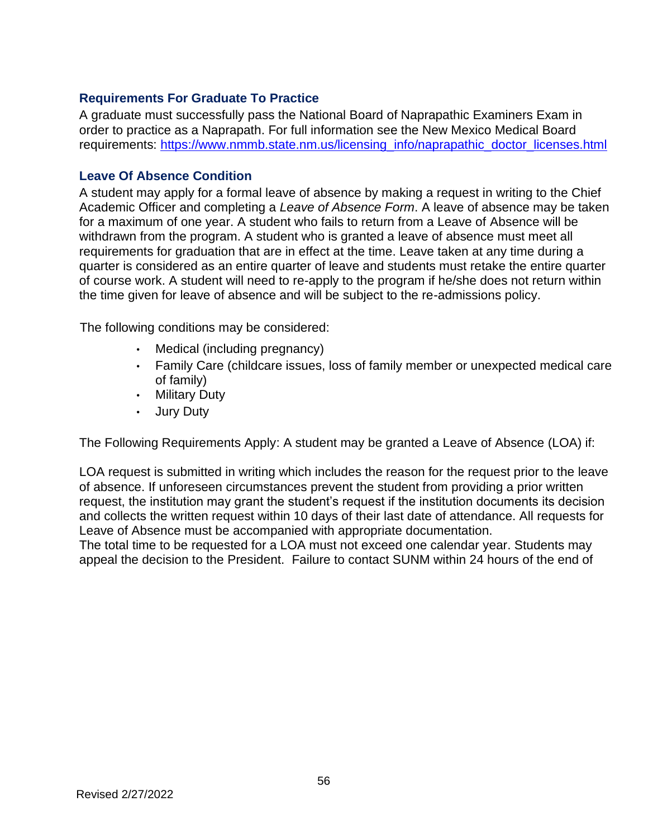# **Requirements For Graduate To Practice**

A graduate must successfully pass the National Board of Naprapathic Examiners Exam in order to practice as a Naprapath. For full information see the New Mexico Medical Board requirements: [https://www.nmmb.state.nm.us/licensing\\_info/naprapathic\\_doctor\\_licenses.html](https://www.nmmb.state.nm.us/licensing_info/naprapathic_doctor_licenses.html)

### **Leave Of Absence Condition**

A student may apply for a formal leave of absence by making a request in writing to the Chief Academic Officer and completing a *Leave of Absence Form*. A leave of absence may be taken for a maximum of one year. A student who fails to return from a Leave of Absence will be withdrawn from the program. A student who is granted a leave of absence must meet all requirements for graduation that are in effect at the time. Leave taken at any time during a quarter is considered as an entire quarter of leave and students must retake the entire quarter of course work. A student will need to re-apply to the program if he/she does not return within the time given for leave of absence and will be subject to the re-admissions policy.

The following conditions may be considered:

- Medical (including pregnancy)
- Family Care (childcare issues, loss of family member or unexpected medical care of family)
- Military Duty
- Jury Duty

The Following Requirements Apply: A student may be granted a Leave of Absence (LOA) if:

LOA request is submitted in writing which includes the reason for the request prior to the leave of absence. If unforeseen circumstances prevent the student from providing a prior written request, the institution may grant the student's request if the institution documents its decision and collects the written request within 10 days of their last date of attendance. All requests for Leave of Absence must be accompanied with appropriate documentation.

The total time to be requested for a LOA must not exceed one calendar year. Students may appeal the decision to the President. Failure to contact SUNM within 24 hours of the end of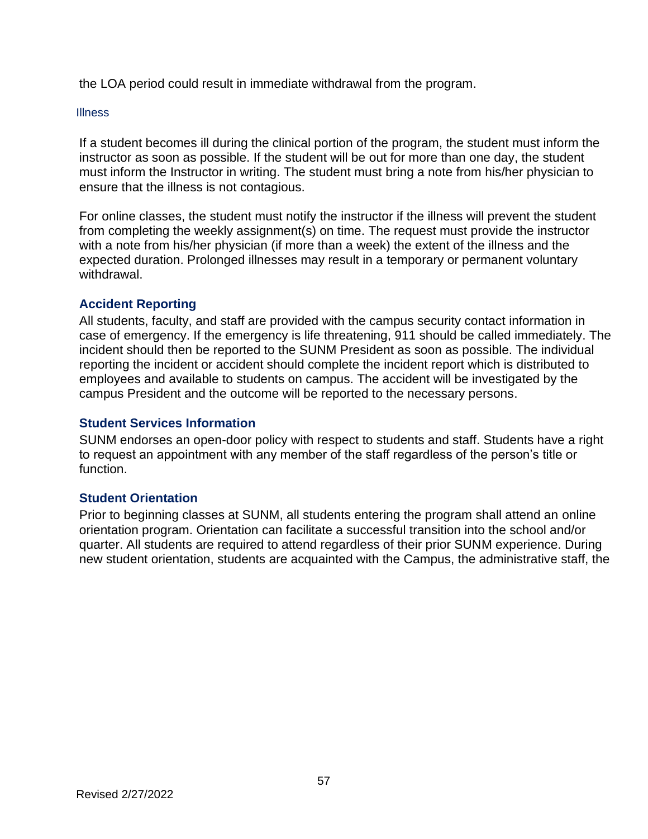the LOA period could result in immediate withdrawal from the program.

#### **Illness**

If a student becomes ill during the clinical portion of the program, the student must inform the instructor as soon as possible. If the student will be out for more than one day, the student must inform the Instructor in writing. The student must bring a note from his/her physician to ensure that the illness is not contagious.

For online classes, the student must notify the instructor if the illness will prevent the student from completing the weekly assignment(s) on time. The request must provide the instructor with a note from his/her physician (if more than a week) the extent of the illness and the expected duration. Prolonged illnesses may result in a temporary or permanent voluntary withdrawal.

# **Accident Reporting**

All students, faculty, and staff are provided with the campus security contact information in case of emergency. If the emergency is life threatening, 911 should be called immediately. The incident should then be reported to the SUNM President as soon as possible. The individual reporting the incident or accident should complete the incident report which is distributed to employees and available to students on campus. The accident will be investigated by the campus President and the outcome will be reported to the necessary persons.

# **Student Services Information**

SUNM endorses an open-door policy with respect to students and staff. Students have a right to request an appointment with any member of the staff regardless of the person's title or function.

# **Student Orientation**

Prior to beginning classes at SUNM, all students entering the program shall attend an online orientation program. Orientation can facilitate a successful transition into the school and/or quarter. All students are required to attend regardless of their prior SUNM experience. During new student orientation, students are acquainted with the Campus, the administrative staff, the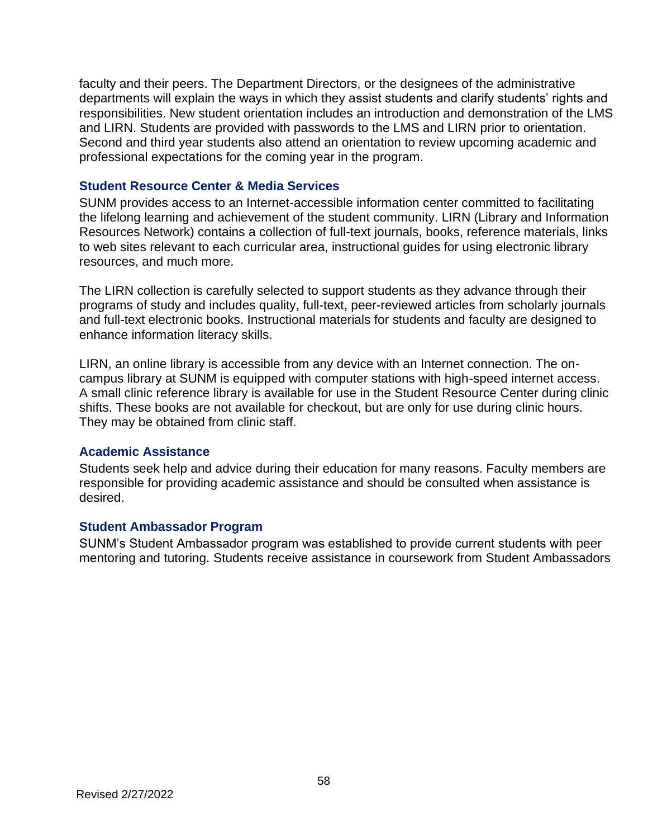faculty and their peers. The Department Directors, or the designees of the administrative departments will explain the ways in which they assist students and clarify students' rights and responsibilities. New student orientation includes an introduction and demonstration of the LMS and LIRN. Students are provided with passwords to the LMS and LIRN prior to orientation. Second and third year students also attend an orientation to review upcoming academic and professional expectations for the coming year in the program.

## **Student Resource Center & Media Services**

SUNM provides access to an Internet-accessible information center committed to facilitating the lifelong learning and achievement of the student community. LIRN (Library and Information Resources Network) contains a collection of full-text journals, books, reference materials, links to web sites relevant to each curricular area, instructional guides for using electronic library resources, and much more.

The LIRN collection is carefully selected to support students as they advance through their programs of study and includes quality, full-text, peer-reviewed articles from scholarly journals and full-text electronic books. Instructional materials for students and faculty are designed to enhance information literacy skills.

LIRN, an online library is accessible from any device with an Internet connection. The oncampus library at SUNM is equipped with computer stations with high-speed internet access. A small clinic reference library is available for use in the Student Resource Center during clinic shifts. These books are not available for checkout, but are only for use during clinic hours. They may be obtained from clinic staff.

#### **Academic Assistance**

Students seek help and advice during their education for many reasons. Faculty members are responsible for providing academic assistance and should be consulted when assistance is desired.

#### **Student Ambassador Program**

SUNM's Student Ambassador program was established to provide current students with peer mentoring and tutoring. Students receive assistance in coursework from Student Ambassadors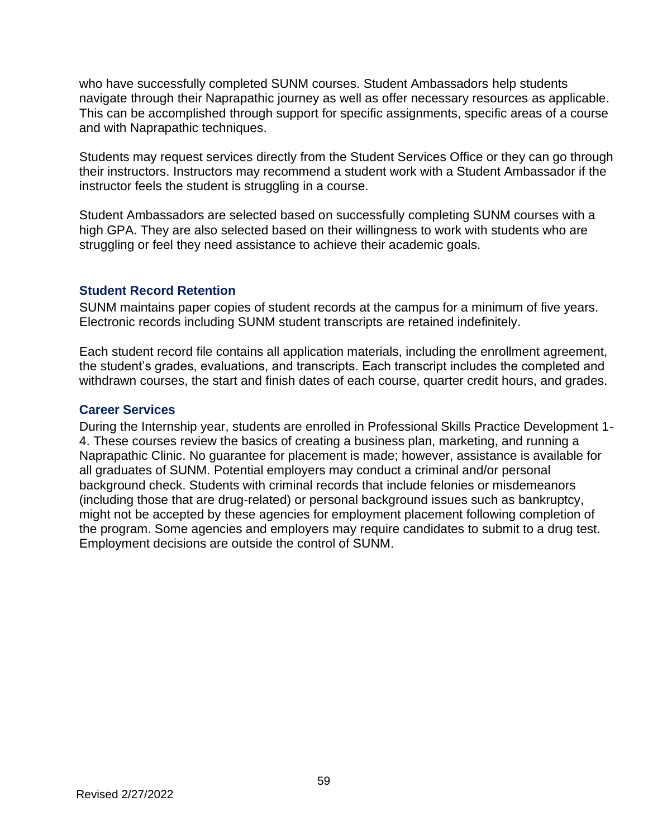who have successfully completed SUNM courses. Student Ambassadors help students navigate through their Naprapathic journey as well as offer necessary resources as applicable. This can be accomplished through support for specific assignments, specific areas of a course and with Naprapathic techniques.

Students may request services directly from the Student Services Office or they can go through their instructors. Instructors may recommend a student work with a Student Ambassador if the instructor feels the student is struggling in a course.

Student Ambassadors are selected based on successfully completing SUNM courses with a high GPA. They are also selected based on their willingness to work with students who are struggling or feel they need assistance to achieve their academic goals.

# **Student Record Retention**

SUNM maintains paper copies of student records at the campus for a minimum of five years. Electronic records including SUNM student transcripts are retained indefinitely.

Each student record file contains all application materials, including the enrollment agreement, the student's grades, evaluations, and transcripts. Each transcript includes the completed and withdrawn courses, the start and finish dates of each course, quarter credit hours, and grades.

# **Career Services**

During the Internship year, students are enrolled in Professional Skills Practice Development 1- 4. These courses review the basics of creating a business plan, marketing, and running a Naprapathic Clinic. No guarantee for placement is made; however, assistance is available for all graduates of SUNM. Potential employers may conduct a criminal and/or personal background check. Students with criminal records that include felonies or misdemeanors (including those that are drug-related) or personal background issues such as bankruptcy, might not be accepted by these agencies for employment placement following completion of the program. Some agencies and employers may require candidates to submit to a drug test. Employment decisions are outside the control of SUNM.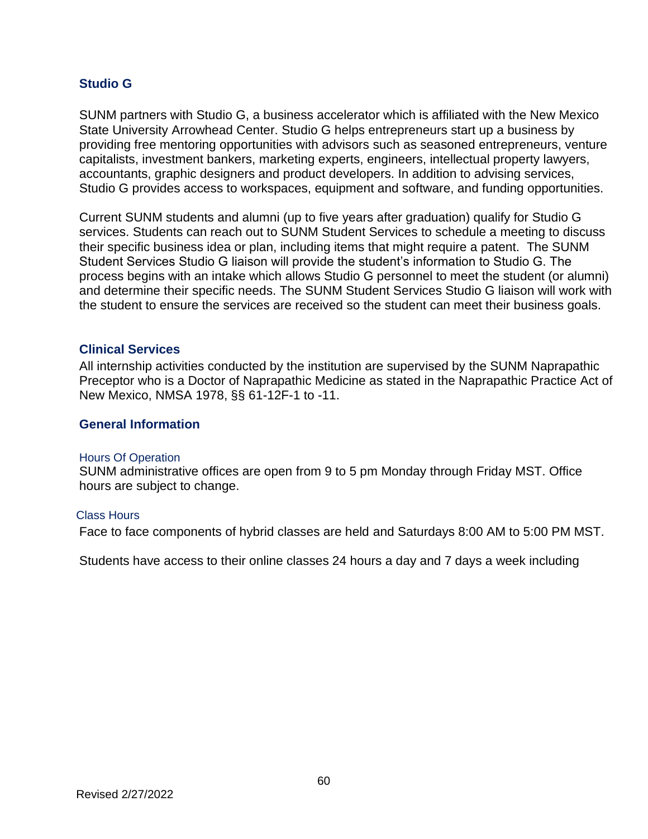# **Studio G**

SUNM partners with Studio G, a business accelerator which is affiliated with the New Mexico State University Arrowhead Center. Studio G helps entrepreneurs start up a business by providing free mentoring opportunities with advisors such as seasoned entrepreneurs, venture capitalists, investment bankers, marketing experts, engineers, intellectual property lawyers, accountants, graphic designers and product developers. In addition to advising services, Studio G provides access to workspaces, equipment and software, and funding opportunities.

Current SUNM students and alumni (up to five years after graduation) qualify for Studio G services. Students can reach out to SUNM Student Services to schedule a meeting to discuss their specific business idea or plan, including items that might require a patent. The SUNM Student Services Studio G liaison will provide the student's information to Studio G. The process begins with an intake which allows Studio G personnel to meet the student (or alumni) and determine their specific needs. The SUNM Student Services Studio G liaison will work with the student to ensure the services are received so the student can meet their business goals.

#### **Clinical Services**

All internship activities conducted by the institution are supervised by the SUNM Naprapathic Preceptor who is a Doctor of Naprapathic Medicine as stated in the Naprapathic Practice Act of New Mexico, NMSA 1978, §§ 61-12F-1 to -11.

#### **General Information**

#### Hours Of Operation

SUNM administrative offices are open from 9 to 5 pm Monday through Friday MST. Office hours are subject to change.

#### Class Hours

Face to face components of hybrid classes are held and Saturdays 8:00 AM to 5:00 PM MST.

Students have access to their online classes 24 hours a day and 7 days a week including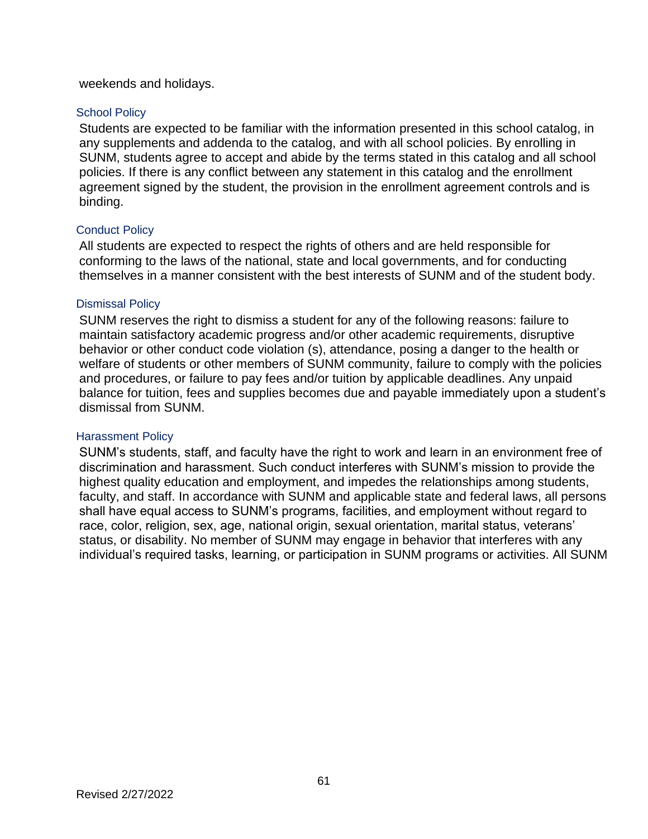#### weekends and holidays.

#### School Policy

Students are expected to be familiar with the information presented in this school catalog, in any supplements and addenda to the catalog, and with all school policies. By enrolling in SUNM, students agree to accept and abide by the terms stated in this catalog and all school policies. If there is any conflict between any statement in this catalog and the enrollment agreement signed by the student, the provision in the enrollment agreement controls and is binding.

#### Conduct Policy

All students are expected to respect the rights of others and are held responsible for conforming to the laws of the national, state and local governments, and for conducting themselves in a manner consistent with the best interests of SUNM and of the student body.

#### Dismissal Policy

SUNM reserves the right to dismiss a student for any of the following reasons: failure to maintain satisfactory academic progress and/or other academic requirements, disruptive behavior or other conduct code violation (s), attendance, posing a danger to the health or welfare of students or other members of SUNM community, failure to comply with the policies and procedures, or failure to pay fees and/or tuition by applicable deadlines. Any unpaid balance for tuition, fees and supplies becomes due and payable immediately upon a student's dismissal from SUNM.

#### Harassment Policy

SUNM's students, staff, and faculty have the right to work and learn in an environment free of discrimination and harassment. Such conduct interferes with SUNM's mission to provide the highest quality education and employment, and impedes the relationships among students, faculty, and staff. In accordance with SUNM and applicable state and federal laws, all persons shall have equal access to SUNM's programs, facilities, and employment without regard to race, color, religion, sex, age, national origin, sexual orientation, marital status, veterans' status, or disability. No member of SUNM may engage in behavior that interferes with any individual's required tasks, learning, or participation in SUNM programs or activities. All SUNM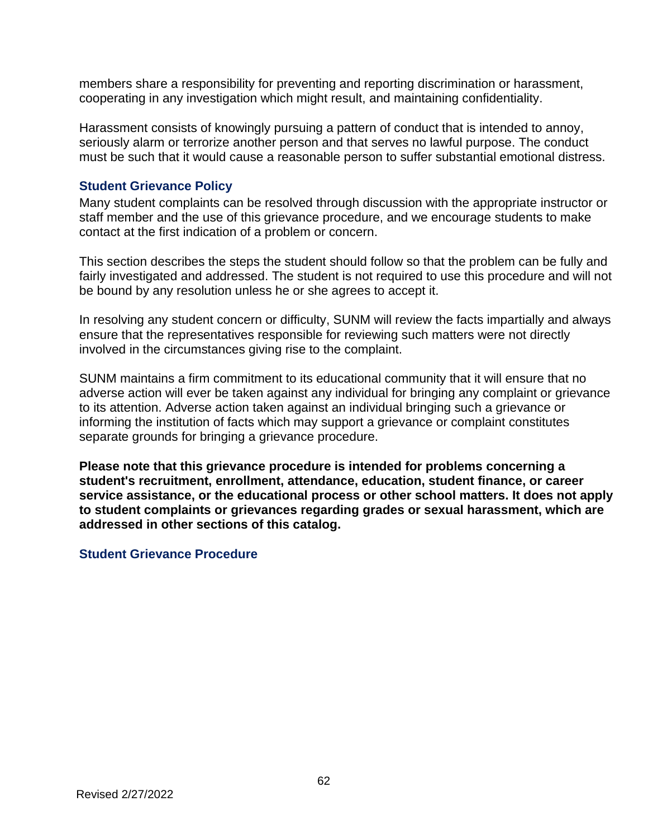members share a responsibility for preventing and reporting discrimination or harassment, cooperating in any investigation which might result, and maintaining confidentiality.

Harassment consists of knowingly pursuing a pattern of conduct that is intended to annoy, seriously alarm or terrorize another person and that serves no lawful purpose. The conduct must be such that it would cause a reasonable person to suffer substantial emotional distress.

### **Student Grievance Policy**

Many student complaints can be resolved through discussion with the appropriate instructor or staff member and the use of this grievance procedure, and we encourage students to make contact at the first indication of a problem or concern.

This section describes the steps the student should follow so that the problem can be fully and fairly investigated and addressed. The student is not required to use this procedure and will not be bound by any resolution unless he or she agrees to accept it.

In resolving any student concern or difficulty, SUNM will review the facts impartially and always ensure that the representatives responsible for reviewing such matters were not directly involved in the circumstances giving rise to the complaint.

SUNM maintains a firm commitment to its educational community that it will ensure that no adverse action will ever be taken against any individual for bringing any complaint or grievance to its attention. Adverse action taken against an individual bringing such a grievance or informing the institution of facts which may support a grievance or complaint constitutes separate grounds for bringing a grievance procedure.

**Please note that this grievance procedure is intended for problems concerning a student's recruitment, enrollment, attendance, education, student finance, or career service assistance, or the educational process or other school matters. It does not apply to student complaints or grievances regarding grades or sexual harassment, which are addressed in other sections of this catalog.** 

# **Student Grievance Procedure**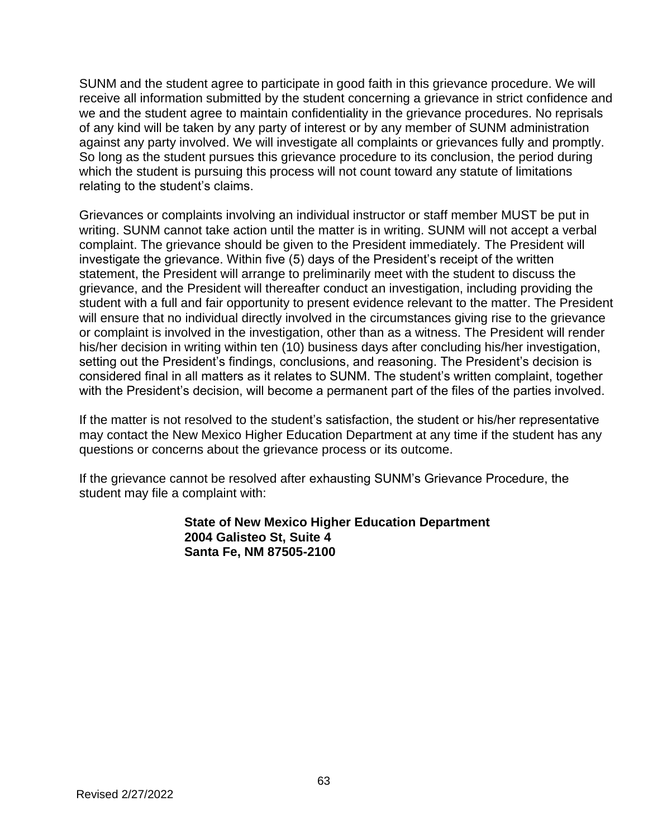SUNM and the student agree to participate in good faith in this grievance procedure. We will receive all information submitted by the student concerning a grievance in strict confidence and we and the student agree to maintain confidentiality in the grievance procedures. No reprisals of any kind will be taken by any party of interest or by any member of SUNM administration against any party involved. We will investigate all complaints or grievances fully and promptly. So long as the student pursues this grievance procedure to its conclusion, the period during which the student is pursuing this process will not count toward any statute of limitations relating to the student's claims.

Grievances or complaints involving an individual instructor or staff member MUST be put in writing. SUNM cannot take action until the matter is in writing. SUNM will not accept a verbal complaint. The grievance should be given to the President immediately. The President will investigate the grievance. Within five (5) days of the President's receipt of the written statement, the President will arrange to preliminarily meet with the student to discuss the grievance, and the President will thereafter conduct an investigation, including providing the student with a full and fair opportunity to present evidence relevant to the matter. The President will ensure that no individual directly involved in the circumstances giving rise to the grievance or complaint is involved in the investigation, other than as a witness. The President will render his/her decision in writing within ten (10) business days after concluding his/her investigation, setting out the President's findings, conclusions, and reasoning. The President's decision is considered final in all matters as it relates to SUNM. The student's written complaint, together with the President's decision, will become a permanent part of the files of the parties involved.

If the matter is not resolved to the student's satisfaction, the student or his/her representative may contact the New Mexico Higher Education Department at any time if the student has any questions or concerns about the grievance process or its outcome.

If the grievance cannot be resolved after exhausting SUNM's Grievance Procedure, the student may file a complaint with:

### **State of New Mexico Higher Education Department 2004 Galisteo St, Suite 4 Santa Fe, NM 87505-2100**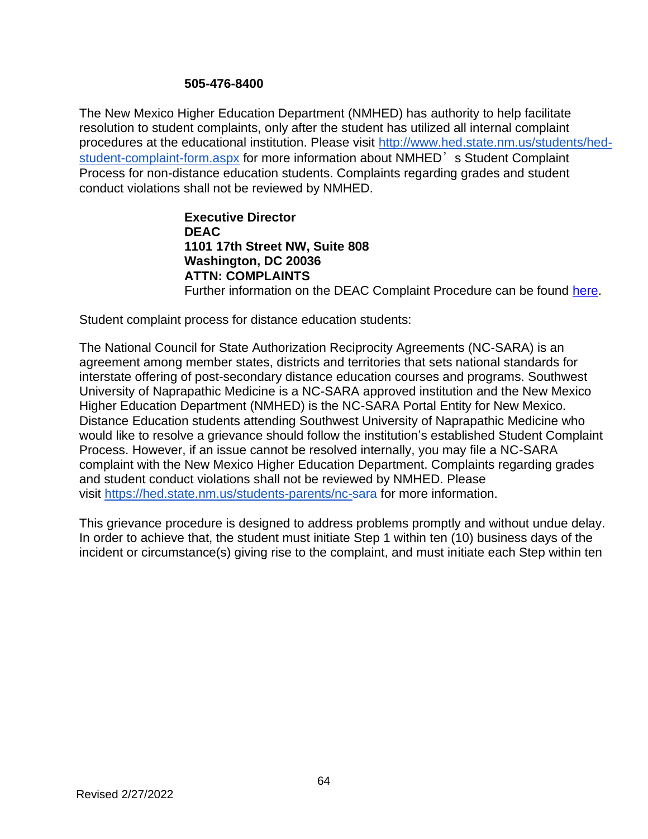#### **505-476-8400**

The New Mexico Higher Education Department (NMHED) has authority to help facilitate resolution to student complaints, only after the student has utilized all internal complaint procedures at the educational institution. Please visit [http://www.hed.state.nm.us/students/hed](https://gcc02.safelinks.protection.outlook.com/?url=http%3A%2F%2Fwww.hed.state.nm.us%2Fstudents%2Fhed-student-complaint-form.aspx&data=04%7C01%7CAlicia.Armijo%40state.nm.us%7Cb4a87d3ecf8b4d57a67908d9d21b971f%7C04aa6bf4d436426fbfa404b7a70e60ff%7C0%7C0%7C637771839152126699%7CUnknown%7CTWFpbGZsb3d8eyJWIjoiMC4wLjAwMDAiLCJQIjoiV2luMzIiLCJBTiI6Ik1haWwiLCJXVCI6Mn0%3D%7C3000&sdata=ojkJQaQ0HigQ6Y1kVHi1SPs5zJRwnc2c1wZ5OzhKJ2U%3D&reserved=0)[student-complaint-form.aspx](https://gcc02.safelinks.protection.outlook.com/?url=http%3A%2F%2Fwww.hed.state.nm.us%2Fstudents%2Fhed-student-complaint-form.aspx&data=04%7C01%7CAlicia.Armijo%40state.nm.us%7Cb4a87d3ecf8b4d57a67908d9d21b971f%7C04aa6bf4d436426fbfa404b7a70e60ff%7C0%7C0%7C637771839152126699%7CUnknown%7CTWFpbGZsb3d8eyJWIjoiMC4wLjAwMDAiLCJQIjoiV2luMzIiLCJBTiI6Ik1haWwiLCJXVCI6Mn0%3D%7C3000&sdata=ojkJQaQ0HigQ6Y1kVHi1SPs5zJRwnc2c1wZ5OzhKJ2U%3D&reserved=0) for more information about NMHED's Student Complaint Process for non-distance education students. Complaints regarding grades and student conduct violations shall not be reviewed by NMHED.

# **Executive Director DEAC 1101 17th Street NW, Suite 808 Washington, DC 20036 ATTN: COMPLAINTS** Further information on the DEAC Complaint Procedure can be found [here.](https://www.deac.org/Student-Center/Complaint-Process.aspx)

Student complaint process for distance education students:

The National Council for State Authorization Reciprocity Agreements (NC-SARA) is an agreement among member states, districts and territories that sets national standards for interstate offering of post-secondary distance education courses and programs. Southwest University of Naprapathic Medicine is a NC-SARA approved institution and the New Mexico Higher Education Department (NMHED) is the NC-SARA Portal Entity for New Mexico. Distance Education students attending Southwest University of Naprapathic Medicine who would like to resolve a grievance should follow the institution's established Student Complaint Process. However, if an issue cannot be resolved internally, you may file a NC-SARA complaint with the New Mexico Higher Education Department. Complaints regarding grades and student conduct violations shall not be reviewed by NMHED. Please visit [https://hed.state.nm.us/students-parents/nc-sara](https://gcc02.safelinks.protection.outlook.com/?url=https%3A%2F%2Fhed.state.nm.us%2Fstudents-parents%2Fnc-sara&data=04%7C01%7CAlicia.Armijo%40state.nm.us%7Cb4a87d3ecf8b4d57a67908d9d21b971f%7C04aa6bf4d436426fbfa404b7a70e60ff%7C0%7C0%7C637771839152126699%7CUnknown%7CTWFpbGZsb3d8eyJWIjoiMC4wLjAwMDAiLCJQIjoiV2luMzIiLCJBTiI6Ik1haWwiLCJXVCI6Mn0%3D%7C3000&sdata=ExYshWwZeFBSk5jhfHP0GDouBzcq5qFfOgHRENKcAWE%3D&reserved=0) for more information.

This grievance procedure is designed to address problems promptly and without undue delay. In order to achieve that, the student must initiate Step 1 within ten (10) business days of the incident or circumstance(s) giving rise to the complaint, and must initiate each Step within ten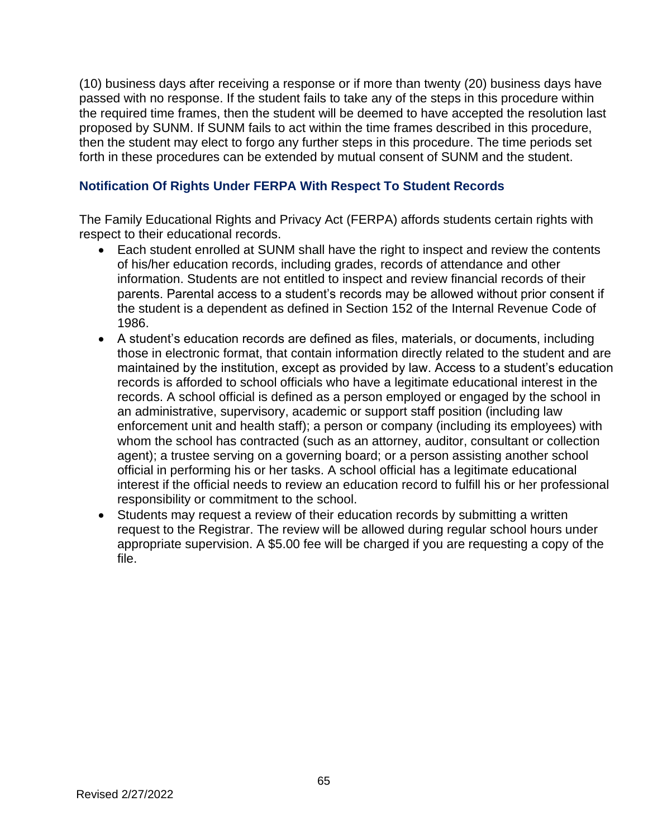(10) business days after receiving a response or if more than twenty (20) business days have passed with no response. If the student fails to take any of the steps in this procedure within the required time frames, then the student will be deemed to have accepted the resolution last proposed by SUNM. If SUNM fails to act within the time frames described in this procedure, then the student may elect to forgo any further steps in this procedure. The time periods set forth in these procedures can be extended by mutual consent of SUNM and the student.

# **Notification Of Rights Under FERPA With Respect To Student Records**

The Family Educational Rights and Privacy Act (FERPA) affords students certain rights with respect to their educational records.

- Each student enrolled at SUNM shall have the right to inspect and review the contents of his/her education records, including grades, records of attendance and other information. Students are not entitled to inspect and review financial records of their parents. Parental access to a student's records may be allowed without prior consent if the student is a dependent as defined in Section 152 of the Internal Revenue Code of 1986.
- A student's education records are defined as files, materials, or documents, including those in electronic format, that contain information directly related to the student and are maintained by the institution, except as provided by law. Access to a student's education records is afforded to school officials who have a legitimate educational interest in the records. A school official is defined as a person employed or engaged by the school in an administrative, supervisory, academic or support staff position (including law enforcement unit and health staff); a person or company (including its employees) with whom the school has contracted (such as an attorney, auditor, consultant or collection agent); a trustee serving on a governing board; or a person assisting another school official in performing his or her tasks. A school official has a legitimate educational interest if the official needs to review an education record to fulfill his or her professional responsibility or commitment to the school.
- Students may request a review of their education records by submitting a written request to the Registrar. The review will be allowed during regular school hours under appropriate supervision. A \$5.00 fee will be charged if you are requesting a copy of the file.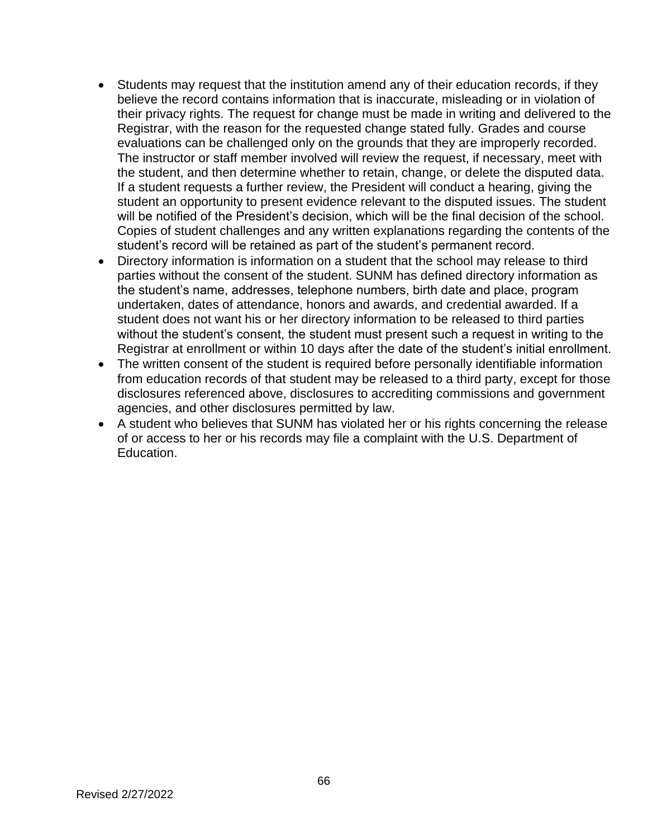- Students may request that the institution amend any of their education records, if they believe the record contains information that is inaccurate, misleading or in violation of their privacy rights. The request for change must be made in writing and delivered to the Registrar, with the reason for the requested change stated fully. Grades and course evaluations can be challenged only on the grounds that they are improperly recorded. The instructor or staff member involved will review the request, if necessary, meet with the student, and then determine whether to retain, change, or delete the disputed data. If a student requests a further review, the President will conduct a hearing, giving the student an opportunity to present evidence relevant to the disputed issues. The student will be notified of the President's decision, which will be the final decision of the school. Copies of student challenges and any written explanations regarding the contents of the student's record will be retained as part of the student's permanent record.
- Directory information is information on a student that the school may release to third parties without the consent of the student. SUNM has defined directory information as the student's name, addresses, telephone numbers, birth date and place, program undertaken, dates of attendance, honors and awards, and credential awarded. If a student does not want his or her directory information to be released to third parties without the student's consent, the student must present such a request in writing to the Registrar at enrollment or within 10 days after the date of the student's initial enrollment.
- The written consent of the student is required before personally identifiable information from education records of that student may be released to a third party, except for those disclosures referenced above, disclosures to accrediting commissions and government agencies, and other disclosures permitted by law.
- A student who believes that SUNM has violated her or his rights concerning the release of or access to her or his records may file a complaint with the U.S. Department of Education.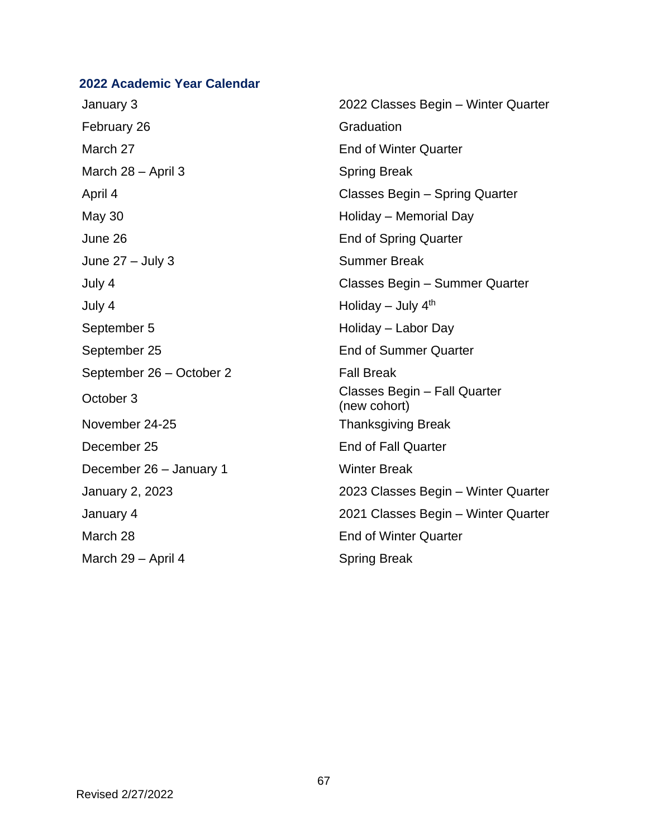## **2022 Academic Year Calendar**

February 26 Graduation March 27 **End of Winter Quarter** March 28 – April 3 Spring Break May 30 **May 30** Holiday – Memorial Day June 26 End of Spring Quarter June 27 – July 3 Summer Break July 4 Holiday – July 4th September 5 Holiday – Labor Day September 25 End of Summer Quarter September 26 – October 2 Fall Break November 24-25 Thanksgiving Break December 25 End of Fall Quarter December 26 – January 1 Winter Break March 28 **End of Winter Quarter** March 29 – April 4 Spring Break

January 3 2022 Classes Begin – Winter Quarter April 4 Classes Begin – Spring Quarter July 4 Classes Begin – Summer Quarter October 3 Classes Begin – Fall Quarter (new cohort) January 2, 2023 2023 Classes Begin – Winter Quarter January 4 2021 Classes Begin – Winter Quarter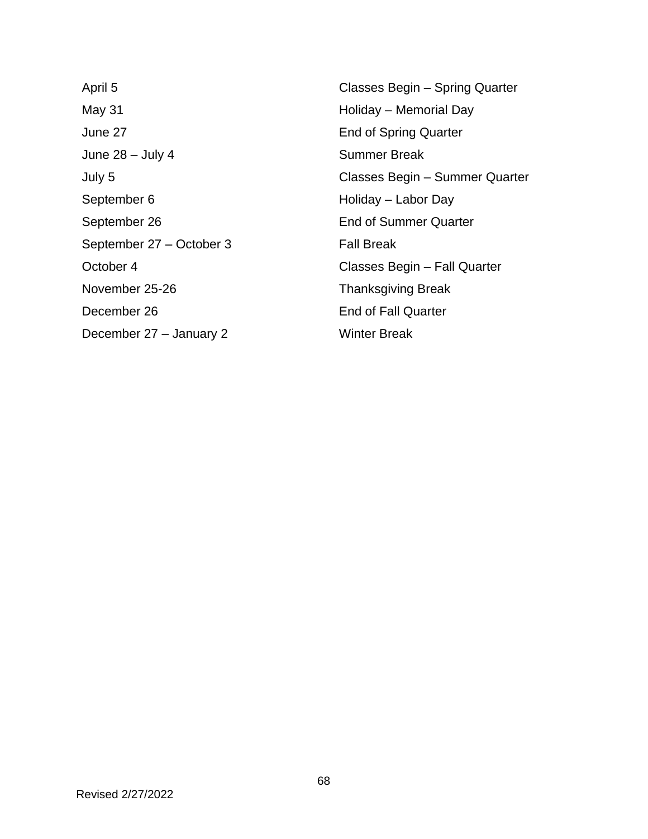May 31 May 31 May 31 May 31 May 31 May 31 May 31 May 31 May 31 May 31 May 31 May 31 May 32 May 32 May 32 May 32 June 27 End of Spring Quarter June 28 – July 4 Summer Break September 6 Holiday – Labor Day September 26 End of Summer Quarter September 27 – October 3 Fall Break November 25-26 Thanksgiving Break December 26 **End of Fall Quarter** December 27 – January 2 Winter Break

April 5 Classes Begin – Spring Quarter July 5 Classes Begin – Summer Quarter October 4 Classes Begin – Fall Quarter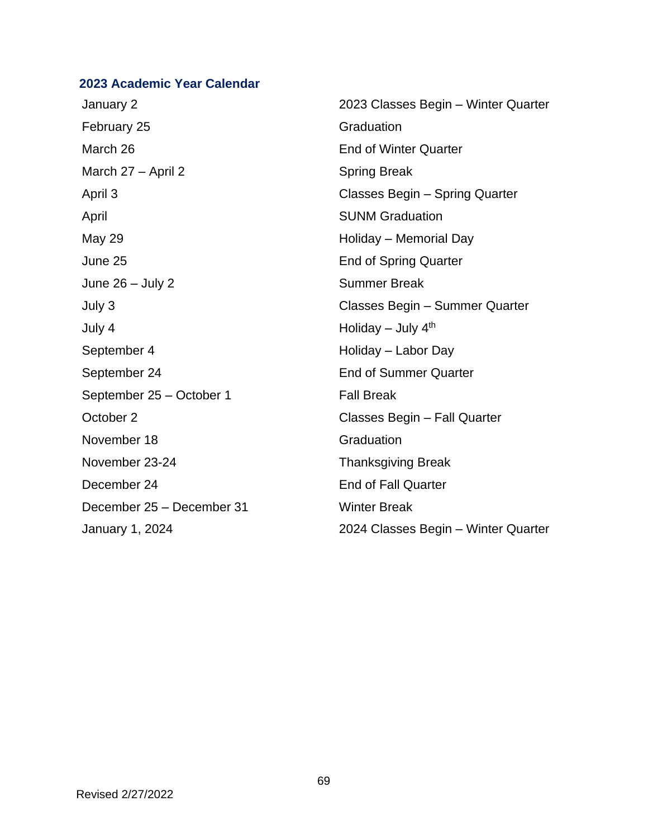## **2023 Academic Year Calendar**

January 2 2023 Classes Begin – Winter Quarter February 25 Graduation March 26 **End of Winter Quarter** March 27 – April 2 Spring Break April 3 Classes Begin – Spring Quarter April **April** SUNM Graduation May 29 **May 29 The Contract Contract Contract Contract Contract Contract Contract Contract Contract Contract Contract Contract Contract Contract Contract Contract Contract Contract Contract Contract Contract Contract Contr** June 25 End of Spring Quarter June 26 – July 2 Summer Break July 3 Classes Begin – Summer Quarter July 4 Holiday – July 4th September 4 Holiday – Labor Day September 24 End of Summer Quarter September 25 – October 1 Fall Break October 2 Classes Begin – Fall Quarter November 18 Graduation November 23-24 Thanksgiving Break December 24 End of Fall Quarter December 25 – December 31 Winter Break January 1, 2024 2024 Classes Begin – Winter Quarter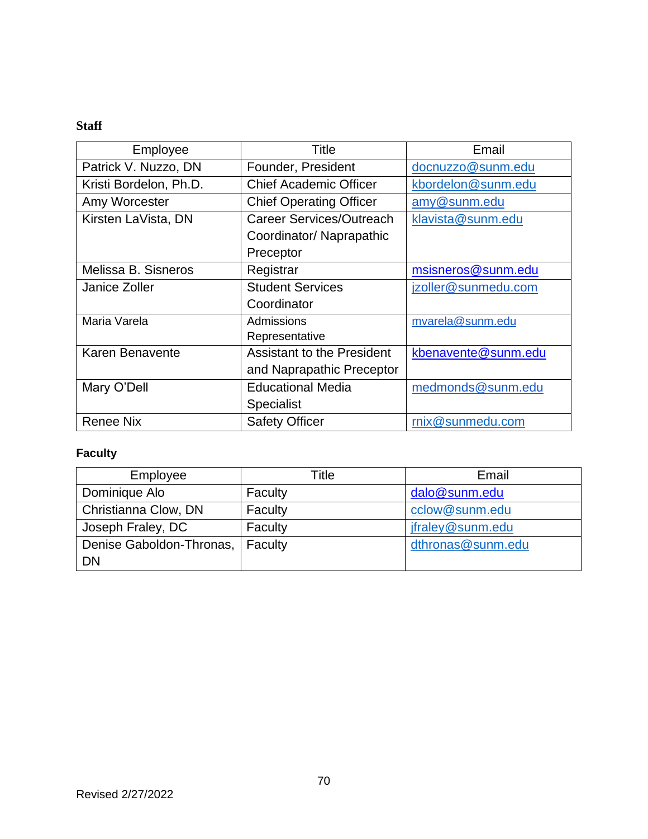# **Staff**

| Employee                                 | Title                             | Email               |
|------------------------------------------|-----------------------------------|---------------------|
| Patrick V. Nuzzo, DN                     | Founder, President                | docnuzzo@sunm.edu   |
| Kristi Bordelon, Ph.D.                   | <b>Chief Academic Officer</b>     | kbordelon@sunm.edu  |
| Amy Worcester                            | <b>Chief Operating Officer</b>    | amy@sunm.edu        |
| Kirsten LaVista, DN                      | Career Services/Outreach          | klavista@sunm.edu   |
|                                          | Coordinator/ Naprapathic          |                     |
|                                          | Preceptor                         |                     |
| Melissa B. Sisneros                      | Registrar                         | msisneros@sunm.edu  |
| <b>Student Services</b><br>Janice Zoller |                                   | jzoller@sunmedu.com |
|                                          | Coordinator                       |                     |
| Maria Varela                             | Admissions                        | mvarela@sunm.edu    |
|                                          | Representative                    |                     |
| Karen Benavente                          | <b>Assistant to the President</b> | kbenavente@sunm.edu |
|                                          | and Naprapathic Preceptor         |                     |
| Mary O'Dell                              | <b>Educational Media</b>          | medmonds@sunm.edu   |
|                                          | <b>Specialist</b>                 |                     |
| <b>Renee Nix</b>                         | <b>Safety Officer</b>             | rnix@sunmedu.com    |

# **Faculty**

| Employee                 | Title   | Email             |
|--------------------------|---------|-------------------|
| Dominique Alo            | Faculty | dalo@sunm.edu     |
| Christianna Clow, DN     | Faculty | cclow@sunm.edu    |
| Joseph Fraley, DC        | Faculty | jfraley@sunm.edu  |
| Denise Gaboldon-Thronas, | Faculty | dthronas@sunm.edu |
| DN                       |         |                   |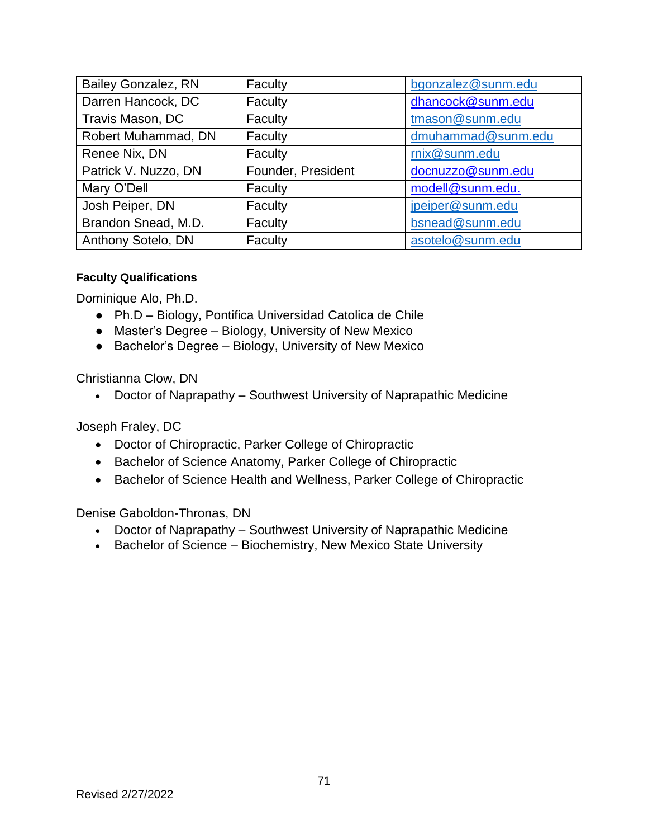| <b>Bailey Gonzalez, RN</b> | Faculty            | bgonzalez@sunm.edu |
|----------------------------|--------------------|--------------------|
| Darren Hancock, DC         | Faculty            | dhancock@sunm.edu  |
| Travis Mason, DC           | Faculty            | tmason@sunm.edu    |
| Robert Muhammad, DN        | Faculty            | dmuhammad@sunm.edu |
| Renee Nix, DN              | Faculty            | rnix@sunm.edu      |
| Patrick V. Nuzzo, DN       | Founder, President | docnuzzo@sunm.edu  |
| Mary O'Dell                | Faculty            | modell@sunm.edu.   |
| Josh Peiper, DN            | Faculty            | jpeiper@sunm.edu   |
| Brandon Snead, M.D.        | Faculty            | bsnead@sunm.edu    |
| Anthony Sotelo, DN         | Faculty            | asotelo@sunm.edu   |

### **Faculty Qualifications**

Dominique Alo, Ph.D.

- Ph.D Biology, Pontifica Universidad Catolica de Chile
- Master's Degree Biology, University of New Mexico
- Bachelor's Degree Biology, University of New Mexico

Christianna Clow, DN

• Doctor of Naprapathy – Southwest University of Naprapathic Medicine

Joseph Fraley, DC

- Doctor of Chiropractic, Parker College of Chiropractic
- Bachelor of Science Anatomy, Parker College of Chiropractic
- Bachelor of Science Health and Wellness, Parker College of Chiropractic

Denise Gaboldon-Thronas, DN

- Doctor of Naprapathy Southwest University of Naprapathic Medicine
- Bachelor of Science Biochemistry, New Mexico State University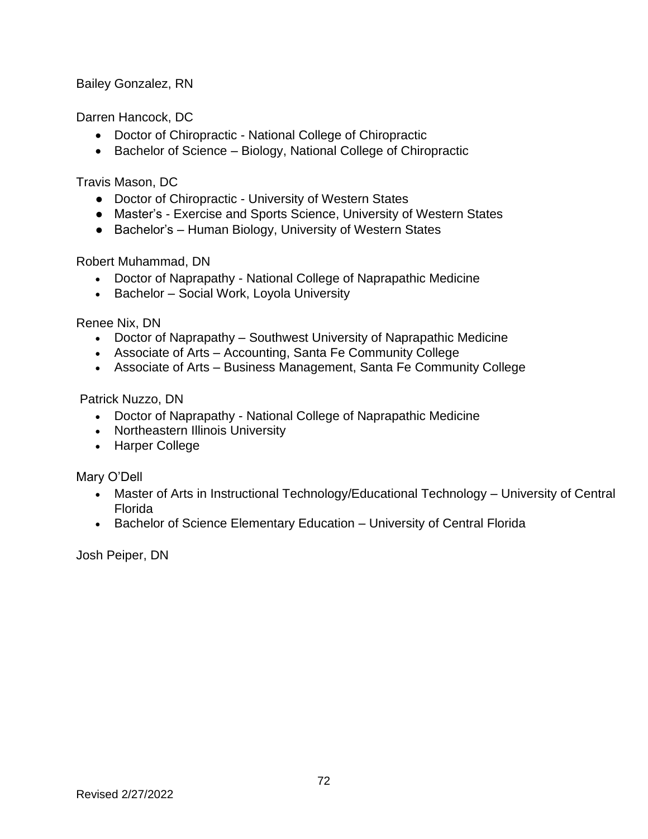Bailey Gonzalez, RN

Darren Hancock, DC

- Doctor of Chiropractic National College of Chiropractic
- Bachelor of Science Biology, National College of Chiropractic

Travis Mason, DC

- Doctor of Chiropractic University of Western States
- Master's Exercise and Sports Science, University of Western States
- Bachelor's Human Biology, University of Western States

Robert Muhammad, DN

- Doctor of Naprapathy National College of Naprapathic Medicine
- Bachelor Social Work, Loyola University

Renee Nix, DN

- Doctor of Naprapathy Southwest University of Naprapathic Medicine
- Associate of Arts Accounting, Santa Fe Community College
- Associate of Arts Business Management, Santa Fe Community College

Patrick Nuzzo, DN

- Doctor of Naprapathy National College of Naprapathic Medicine
- Northeastern Illinois University
- Harper College

Mary O'Dell

- Master of Arts in Instructional Technology/Educational Technology University of Central Florida
- Bachelor of Science Elementary Education University of Central Florida

Josh Peiper, DN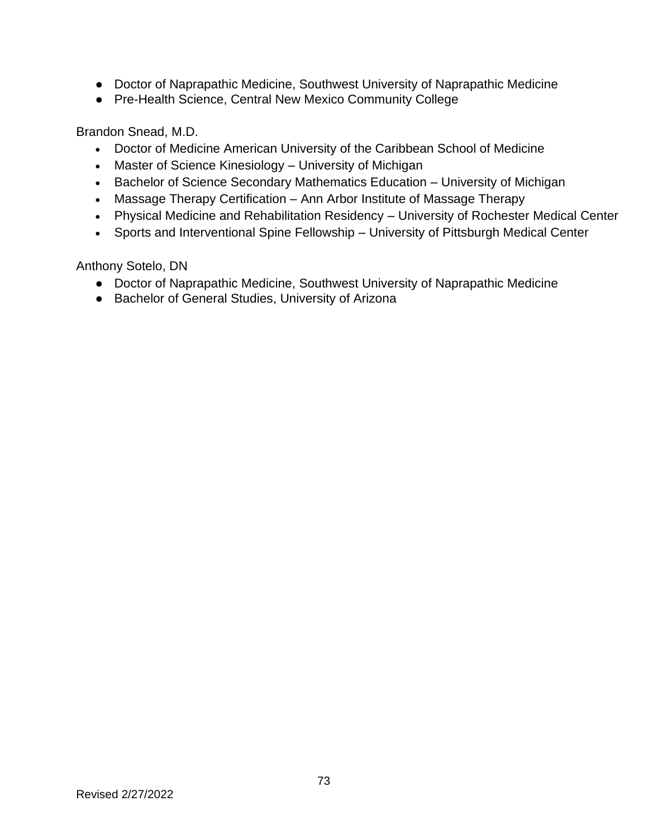- Doctor of Naprapathic Medicine, Southwest University of Naprapathic Medicine
- Pre-Health Science, Central New Mexico Community College

Brandon Snead, M.D.

- Doctor of Medicine American University of the Caribbean School of Medicine
- Master of Science Kinesiology University of Michigan
- Bachelor of Science Secondary Mathematics Education University of Michigan
- Massage Therapy Certification Ann Arbor Institute of Massage Therapy
- Physical Medicine and Rehabilitation Residency University of Rochester Medical Center
- Sports and Interventional Spine Fellowship University of Pittsburgh Medical Center

Anthony Sotelo, DN

- Doctor of Naprapathic Medicine, Southwest University of Naprapathic Medicine
- Bachelor of General Studies, University of Arizona